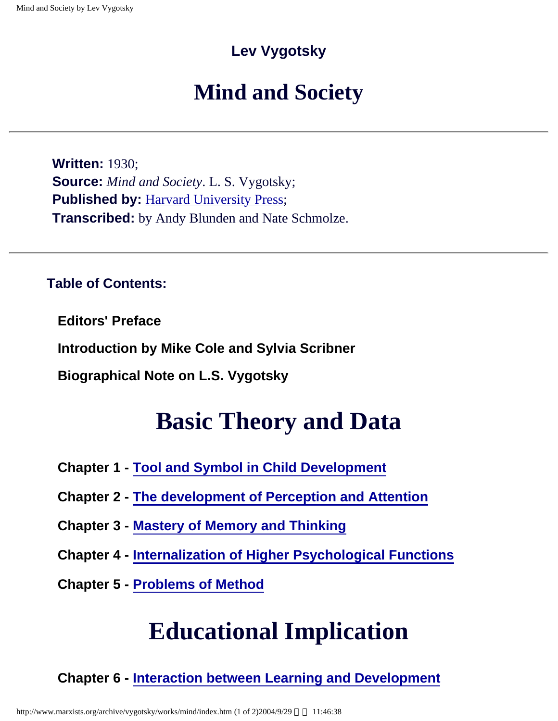### **Lev Vygotsky**

### **Mind and Society**

<span id="page-0-0"></span>**Written:** 1930; **Source:** *Mind and Society*. L. S. Vygotsky; **Published by: [Harvard University Press](http://www.hup.harvard.edu/); Transcribed:** by Andy Blunden and Nate Schmolze.

**Table of Contents:**

**Editors' Preface**

**Introduction by Mike Cole and Sylvia Scribner**

**Biographical Note on L.S. Vygotsky**

### **Basic Theory and Data**

- **Chapter 1 [Tool and Symbol in Child Development](#page-2-0)**
- **Chapter 2 [The development of Perception and Attention](#page-16-0)**
- **Chapter 3 [Mastery of Memory and Thinking](#page-24-0)**
- **Chapter 4 [Internalization of Higher Psychological Functions](#page-41-0)**
- **Chapter 5 [Problems of Method](#page-49-0)**

# **Educational Implication**

**Chapter 6 - [Interaction between Learning and Development](#page-70-0)**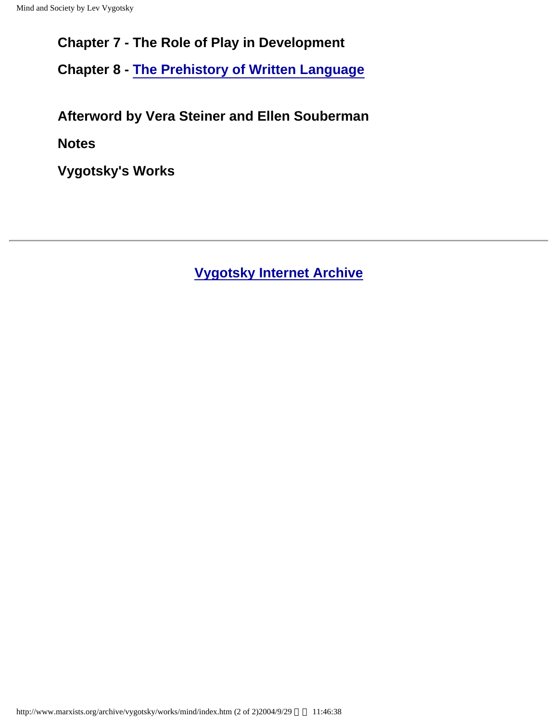**Chapter 7 - The Role of Play in Development**

**Chapter 8 - [The Prehistory of Written Language](#page-85-0)**

**Afterword by Vera Steiner and Ellen Souberman**

**Notes**

**Vygotsky's Works**

**[Vygotsky Internet Archive](http://www.marxists.org/archive/vygotsky/index.htm)**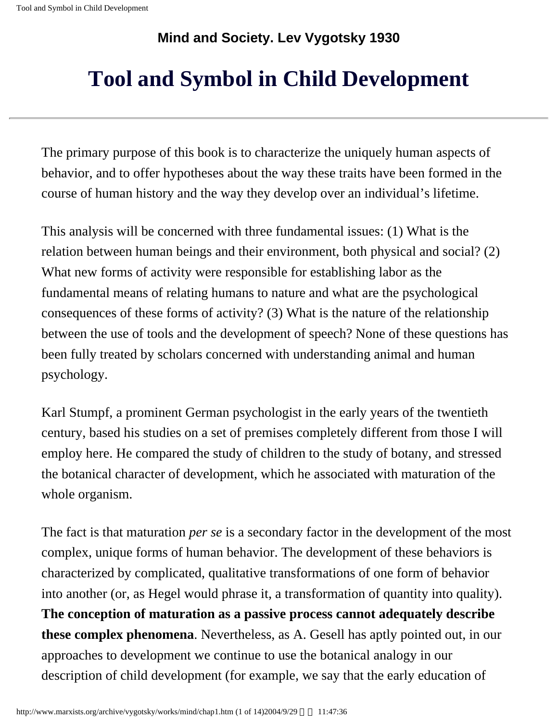#### **Mind and Society. Lev Vygotsky 1930**

### <span id="page-2-0"></span>**Tool and Symbol in Child Development**

The primary purpose of this book is to characterize the uniquely human aspects of behavior, and to offer hypotheses about the way these traits have been formed in the course of human history and the way they develop over an individual's lifetime.

This analysis will be concerned with three fundamental issues: (1) What is the relation between human beings and their environment, both physical and social? (2) What new forms of activity were responsible for establishing labor as the fundamental means of relating humans to nature and what are the psychological consequences of these forms of activity? (3) What is the nature of the relationship between the use of tools and the development of speech? None of these questions has been fully treated by scholars concerned with understanding animal and human psychology.

Karl Stumpf, a prominent German psychologist in the early years of the twentieth century, based his studies on a set of premises completely different from those I will employ here. He compared the study of children to the study of botany, and stressed the botanical character of development, which he associated with maturation of the whole organism.

The fact is that maturation *per se* is a secondary factor in the development of the most complex, unique forms of human behavior. The development of these behaviors is characterized by complicated, qualitative transformations of one form of behavior into another (or, as Hegel would phrase it, a transformation of quantity into quality). **The conception of maturation as a passive process cannot adequately describe these complex phenomena**. Nevertheless, as A. Gesell has aptly pointed out, in our approaches to development we continue to use the botanical analogy in our description of child development (for example, we say that the early education of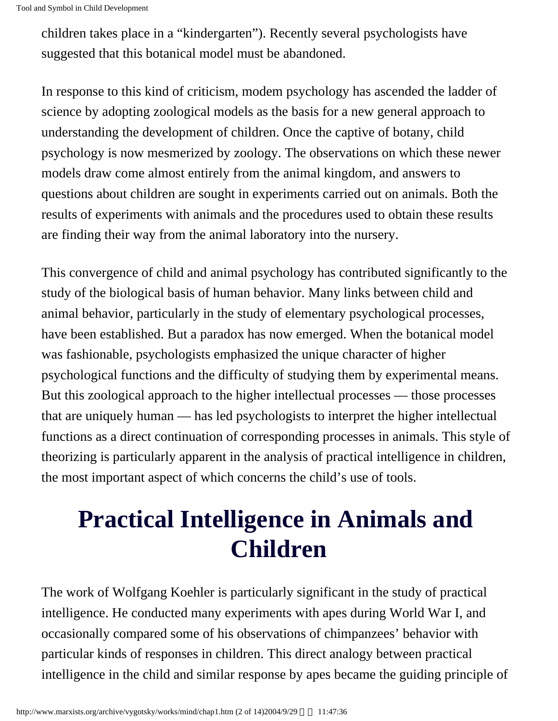children takes place in a "kindergarten"). Recently several psychologists have suggested that this botanical model must be abandoned.

In response to this kind of criticism, modem psychology has ascended the ladder of science by adopting zoological models as the basis for a new general approach to understanding the development of children. Once the captive of botany, child psychology is now mesmerized by zoology. The observations on which these newer models draw come almost entirely from the animal kingdom, and answers to questions about children are sought in experiments carried out on animals. Both the results of experiments with animals and the procedures used to obtain these results are finding their way from the animal laboratory into the nursery.

This convergence of child and animal psychology has contributed significantly to the study of the biological basis of human behavior. Many links between child and animal behavior, particularly in the study of elementary psychological processes, have been established. But a paradox has now emerged. When the botanical model was fashionable, psychologists emphasized the unique character of higher psychological functions and the difficulty of studying them by experimental means. But this zoological approach to the higher intellectual processes — those processes that are uniquely human — has led psychologists to interpret the higher intellectual functions as a direct continuation of corresponding processes in animals. This style of theorizing is particularly apparent in the analysis of practical intelligence in children, the most important aspect of which concerns the child's use of tools.

## **Practical Intelligence in Animals and Children**

The work of Wolfgang Koehler is particularly significant in the study of practical intelligence. He conducted many experiments with apes during World War I, and occasionally compared some of his observations of chimpanzees' behavior with particular kinds of responses in children. This direct analogy between practical intelligence in the child and similar response by apes became the guiding principle of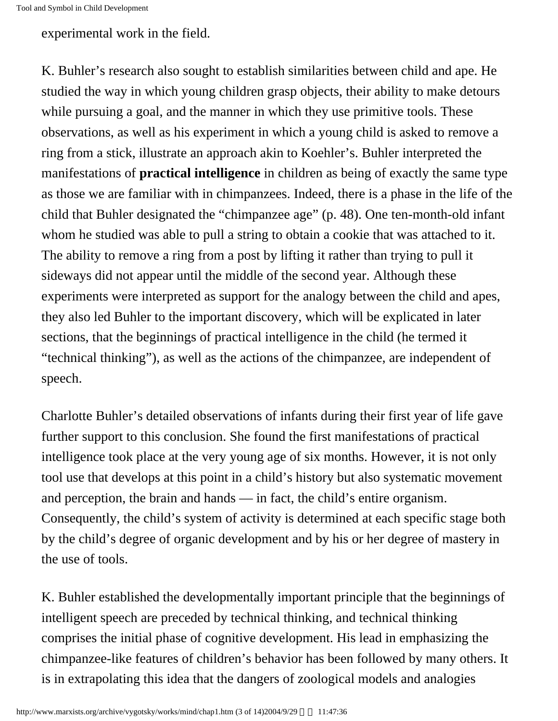experimental work in the field.

K. Buhler's research also sought to establish similarities between child and ape. He studied the way in which young children grasp objects, their ability to make detours while pursuing a goal, and the manner in which they use primitive tools. These observations, as well as his experiment in which a young child is asked to remove a ring from a stick, illustrate an approach akin to Koehler's. Buhler interpreted the manifestations of **practical intelligence** in children as being of exactly the same type as those we are familiar with in chimpanzees. Indeed, there is a phase in the life of the child that Buhler designated the "chimpanzee age" (p. 48). One ten-month-old infant whom he studied was able to pull a string to obtain a cookie that was attached to it. The ability to remove a ring from a post by lifting it rather than trying to pull it sideways did not appear until the middle of the second year. Although these experiments were interpreted as support for the analogy between the child and apes, they also led Buhler to the important discovery, which will be explicated in later sections, that the beginnings of practical intelligence in the child (he termed it "technical thinking"), as well as the actions of the chimpanzee, are independent of speech.

Charlotte Buhler's detailed observations of infants during their first year of life gave further support to this conclusion. She found the first manifestations of practical intelligence took place at the very young age of six months. However, it is not only tool use that develops at this point in a child's history but also systematic movement and perception, the brain and hands — in fact, the child's entire organism. Consequently, the child's system of activity is determined at each specific stage both by the child's degree of organic development and by his or her degree of mastery in the use of tools.

K. Buhler established the developmentally important principle that the beginnings of intelligent speech are preceded by technical thinking, and technical thinking comprises the initial phase of cognitive development. His lead in emphasizing the chimpanzee-like features of children's behavior has been followed by many others. It is in extrapolating this idea that the dangers of zoological models and analogies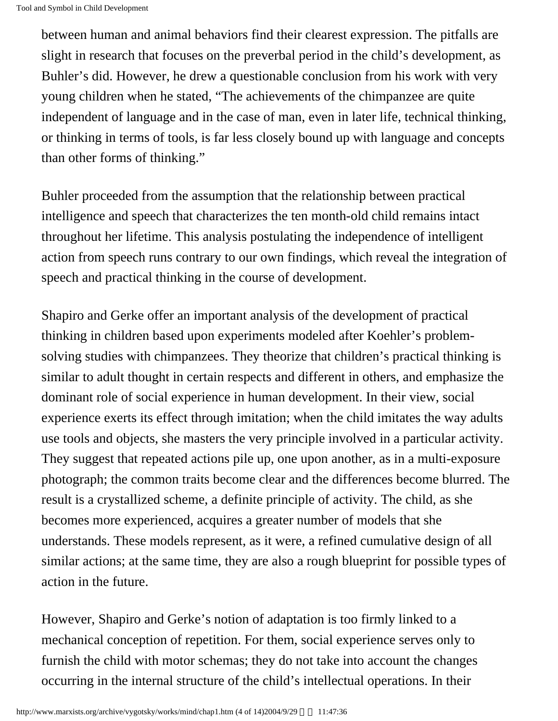between human and animal behaviors find their clearest expression. The pitfalls are slight in research that focuses on the preverbal period in the child's development, as Buhler's did. However, he drew a questionable conclusion from his work with very young children when he stated, "The achievements of the chimpanzee are quite independent of language and in the case of man, even in later life, technical thinking, or thinking in terms of tools, is far less closely bound up with language and concepts than other forms of thinking."

Buhler proceeded from the assumption that the relationship between practical intelligence and speech that characterizes the ten month-old child remains intact throughout her lifetime. This analysis postulating the independence of intelligent action from speech runs contrary to our own findings, which reveal the integration of speech and practical thinking in the course of development.

Shapiro and Gerke offer an important analysis of the development of practical thinking in children based upon experiments modeled after Koehler's problemsolving studies with chimpanzees. They theorize that children's practical thinking is similar to adult thought in certain respects and different in others, and emphasize the dominant role of social experience in human development. In their view, social experience exerts its effect through imitation; when the child imitates the way adults use tools and objects, she masters the very principle involved in a particular activity. They suggest that repeated actions pile up, one upon another, as in a multi-exposure photograph; the common traits become clear and the differences become blurred. The result is a crystallized scheme, a definite principle of activity. The child, as she becomes more experienced, acquires a greater number of models that she understands. These models represent, as it were, a refined cumulative design of all similar actions; at the same time, they are also a rough blueprint for possible types of action in the future.

However, Shapiro and Gerke's notion of adaptation is too firmly linked to a mechanical conception of repetition. For them, social experience serves only to furnish the child with motor schemas; they do not take into account the changes occurring in the internal structure of the child's intellectual operations. In their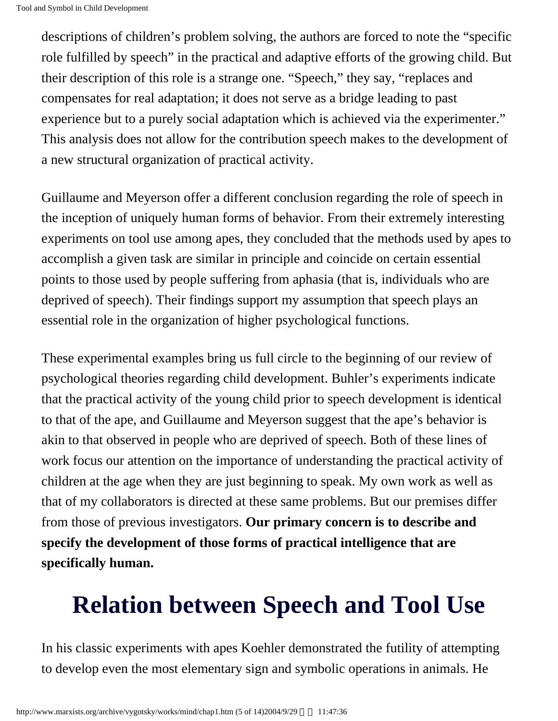descriptions of children's problem solving, the authors are forced to note the "specific role fulfilled by speech" in the practical and adaptive efforts of the growing child. But their description of this role is a strange one. "Speech," they say, "replaces and compensates for real adaptation; it does not serve as a bridge leading to past experience but to a purely social adaptation which is achieved via the experimenter." This analysis does not allow for the contribution speech makes to the development of a new structural organization of practical activity.

Guillaume and Meyerson offer a different conclusion regarding the role of speech in the inception of uniquely human forms of behavior. From their extremely interesting experiments on tool use among apes, they concluded that the methods used by apes to accomplish a given task are similar in principle and coincide on certain essential points to those used by people suffering from aphasia (that is, individuals who are deprived of speech). Their findings support my assumption that speech plays an essential role in the organization of higher psychological functions.

These experimental examples bring us full circle to the beginning of our review of psychological theories regarding child development. Buhler's experiments indicate that the practical activity of the young child prior to speech development is identical to that of the ape, and Guillaume and Meyerson suggest that the ape's behavior is akin to that observed in people who are deprived of speech. Both of these lines of work focus our attention on the importance of understanding the practical activity of children at the age when they are just beginning to speak. My own work as well as that of my collaborators is directed at these same problems. But our premises differ from those of previous investigators. **Our primary concern is to describe and specify the development of those forms of practical intelligence that are specifically human.**

### **Relation between Speech and Tool Use**

In his classic experiments with apes Koehler demonstrated the futility of attempting to develop even the most elementary sign and symbolic operations in animals. He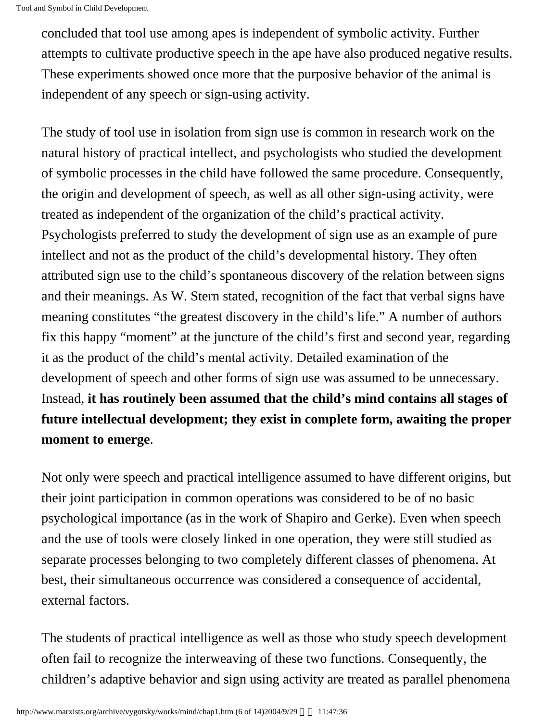concluded that tool use among apes is independent of symbolic activity. Further attempts to cultivate productive speech in the ape have also produced negative results. These experiments showed once more that the purposive behavior of the animal is independent of any speech or sign-using activity.

The study of tool use in isolation from sign use is common in research work on the natural history of practical intellect, and psychologists who studied the development of symbolic processes in the child have followed the same procedure. Consequently, the origin and development of speech, as well as all other sign-using activity, were treated as independent of the organization of the child's practical activity. Psychologists preferred to study the development of sign use as an example of pure intellect and not as the product of the child's developmental history. They often attributed sign use to the child's spontaneous discovery of the relation between signs and their meanings. As W. Stern stated, recognition of the fact that verbal signs have meaning constitutes "the greatest discovery in the child's life." A number of authors fix this happy "moment" at the juncture of the child's first and second year, regarding it as the product of the child's mental activity. Detailed examination of the development of speech and other forms of sign use was assumed to be unnecessary. Instead, **it has routinely been assumed that the child's mind contains all stages of future intellectual development; they exist in complete form, awaiting the proper moment to emerge**.

Not only were speech and practical intelligence assumed to have different origins, but their joint participation in common operations was considered to be of no basic psychological importance (as in the work of Shapiro and Gerke). Even when speech and the use of tools were closely linked in one operation, they were still studied as separate processes belonging to two completely different classes of phenomena. At best, their simultaneous occurrence was considered a consequence of accidental, external factors.

The students of practical intelligence as well as those who study speech development often fail to recognize the interweaving of these two functions. Consequently, the children's adaptive behavior and sign using activity are treated as parallel phenomena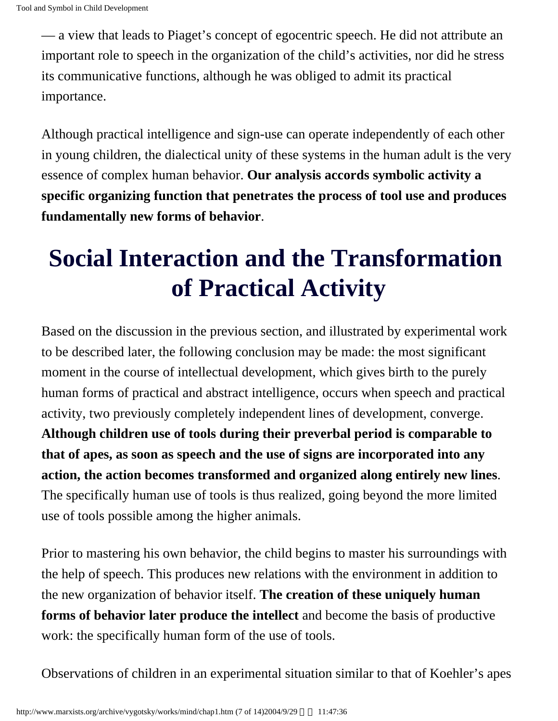— a view that leads to Piaget's concept of egocentric speech. He did not attribute an important role to speech in the organization of the child's activities, nor did he stress its communicative functions, although he was obliged to admit its practical importance.

Although practical intelligence and sign-use can operate independently of each other in young children, the dialectical unity of these systems in the human adult is the very essence of complex human behavior. **Our analysis accords symbolic activity a specific organizing function that penetrates the process of tool use and produces fundamentally new forms of behavior**.

# **Social Interaction and the Transformation of Practical Activity**

Based on the discussion in the previous section, and illustrated by experimental work to be described later, the following conclusion may be made: the most significant moment in the course of intellectual development, which gives birth to the purely human forms of practical and abstract intelligence, occurs when speech and practical activity, two previously completely independent lines of development, converge. **Although children use of tools during their preverbal period is comparable to that of apes, as soon as speech and the use of signs are incorporated into any action, the action becomes transformed and organized along entirely new lines**. The specifically human use of tools is thus realized, going beyond the more limited use of tools possible among the higher animals.

Prior to mastering his own behavior, the child begins to master his surroundings with the help of speech. This produces new relations with the environment in addition to the new organization of behavior itself. **The creation of these uniquely human forms of behavior later produce the intellect** and become the basis of productive work: the specifically human form of the use of tools.

Observations of children in an experimental situation similar to that of Koehler's apes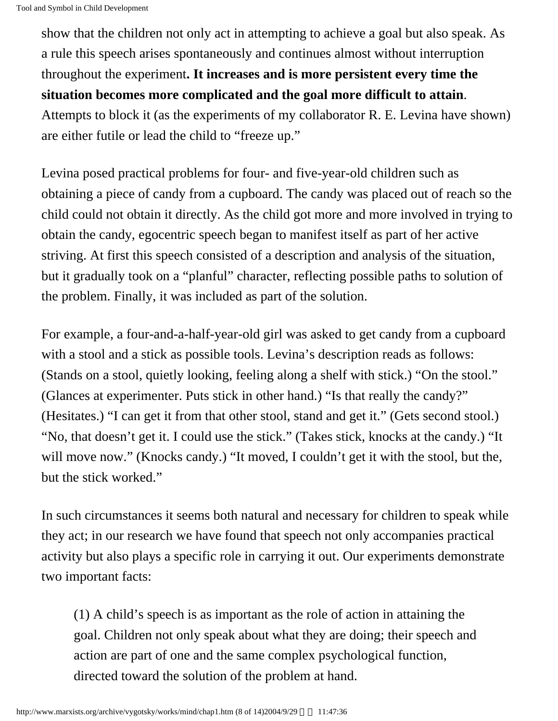show that the children not only act in attempting to achieve a goal but also speak. As a rule this speech arises spontaneously and continues almost without interruption throughout the experiment**. It increases and is more persistent every time the situation becomes more complicated and the goal more difficult to attain**. Attempts to block it (as the experiments of my collaborator R. E. Levina have shown) are either futile or lead the child to "freeze up."

Levina posed practical problems for four- and five-year-old children such as obtaining a piece of candy from a cupboard. The candy was placed out of reach so the child could not obtain it directly. As the child got more and more involved in trying to obtain the candy, egocentric speech began to manifest itself as part of her active striving. At first this speech consisted of a description and analysis of the situation, but it gradually took on a "planful" character, reflecting possible paths to solution of the problem. Finally, it was included as part of the solution.

For example, a four-and-a-half-year-old girl was asked to get candy from a cupboard with a stool and a stick as possible tools. Levina's description reads as follows: (Stands on a stool, quietly looking, feeling along a shelf with stick.) "On the stool." (Glances at experimenter. Puts stick in other hand.) "Is that really the candy?" (Hesitates.) "I can get it from that other stool, stand and get it." (Gets second stool.) "No, that doesn't get it. I could use the stick." (Takes stick, knocks at the candy.) "It will move now." (Knocks candy.) "It moved, I couldn't get it with the stool, but the, but the stick worked."

In such circumstances it seems both natural and necessary for children to speak while they act; in our research we have found that speech not only accompanies practical activity but also plays a specific role in carrying it out. Our experiments demonstrate two important facts:

(1) A child's speech is as important as the role of action in attaining the goal. Children not only speak about what they are doing; their speech and action are part of one and the same complex psychological function, directed toward the solution of the problem at hand.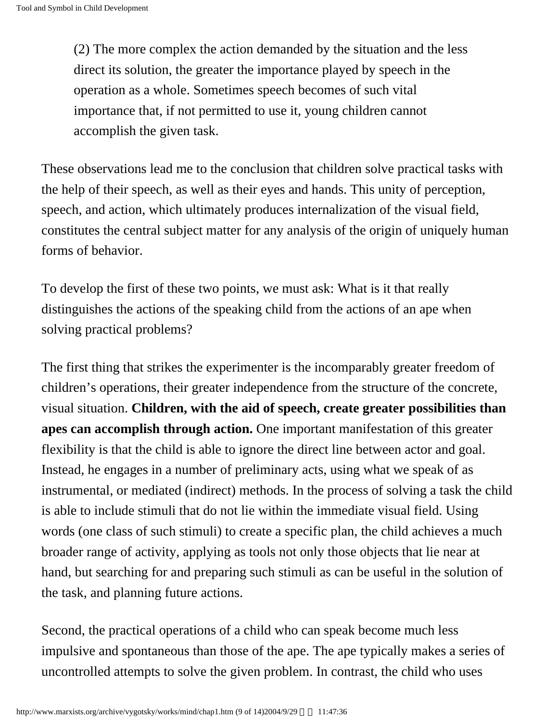(2) The more complex the action demanded by the situation and the less direct its solution, the greater the importance played by speech in the operation as a whole. Sometimes speech becomes of such vital importance that, if not permitted to use it, young children cannot accomplish the given task.

These observations lead me to the conclusion that children solve practical tasks with the help of their speech, as well as their eyes and hands. This unity of perception, speech, and action, which ultimately produces internalization of the visual field, constitutes the central subject matter for any analysis of the origin of uniquely human forms of behavior.

To develop the first of these two points, we must ask: What is it that really distinguishes the actions of the speaking child from the actions of an ape when solving practical problems?

The first thing that strikes the experimenter is the incomparably greater freedom of children's operations, their greater independence from the structure of the concrete, visual situation. **Children, with the aid of speech, create greater possibilities than apes can accomplish through action.** One important manifestation of this greater flexibility is that the child is able to ignore the direct line between actor and goal. Instead, he engages in a number of preliminary acts, using what we speak of as instrumental, or mediated (indirect) methods. In the process of solving a task the child is able to include stimuli that do not lie within the immediate visual field. Using words (one class of such stimuli) to create a specific plan, the child achieves a much broader range of activity, applying as tools not only those objects that lie near at hand, but searching for and preparing such stimuli as can be useful in the solution of the task, and planning future actions.

Second, the practical operations of a child who can speak become much less impulsive and spontaneous than those of the ape. The ape typically makes a series of uncontrolled attempts to solve the given problem. In contrast, the child who uses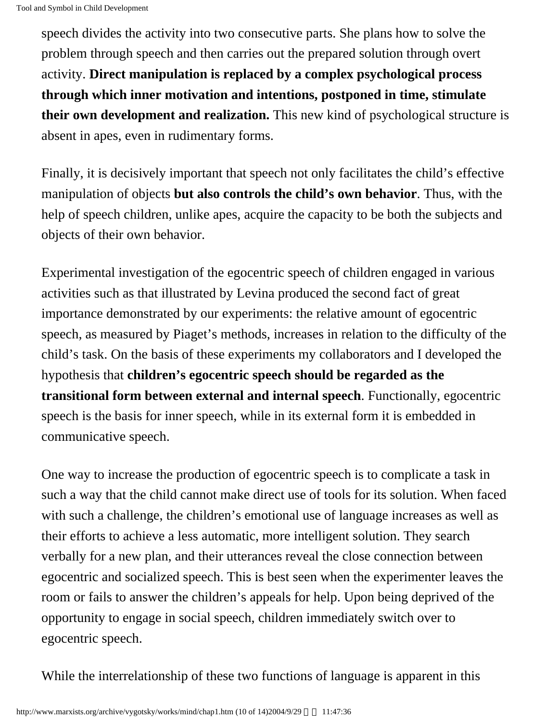speech divides the activity into two consecutive parts. She plans how to solve the problem through speech and then carries out the prepared solution through overt activity. **Direct manipulation is replaced by a complex psychological process through which inner motivation and intentions, postponed in time, stimulate their own development and realization.** This new kind of psychological structure is absent in apes, even in rudimentary forms.

Finally, it is decisively important that speech not only facilitates the child's effective manipulation of objects **but also controls the child's own behavior**. Thus, with the help of speech children, unlike apes, acquire the capacity to be both the subjects and objects of their own behavior.

Experimental investigation of the egocentric speech of children engaged in various activities such as that illustrated by Levina produced the second fact of great importance demonstrated by our experiments: the relative amount of egocentric speech, as measured by Piaget's methods, increases in relation to the difficulty of the child's task. On the basis of these experiments my collaborators and I developed the hypothesis that **children's egocentric speech should be regarded as the transitional form between external and internal speech**. Functionally, egocentric speech is the basis for inner speech, while in its external form it is embedded in communicative speech.

One way to increase the production of egocentric speech is to complicate a task in such a way that the child cannot make direct use of tools for its solution. When faced with such a challenge, the children's emotional use of language increases as well as their efforts to achieve a less automatic, more intelligent solution. They search verbally for a new plan, and their utterances reveal the close connection between egocentric and socialized speech. This is best seen when the experimenter leaves the room or fails to answer the children's appeals for help. Upon being deprived of the opportunity to engage in social speech, children immediately switch over to egocentric speech.

While the interrelationship of these two functions of language is apparent in this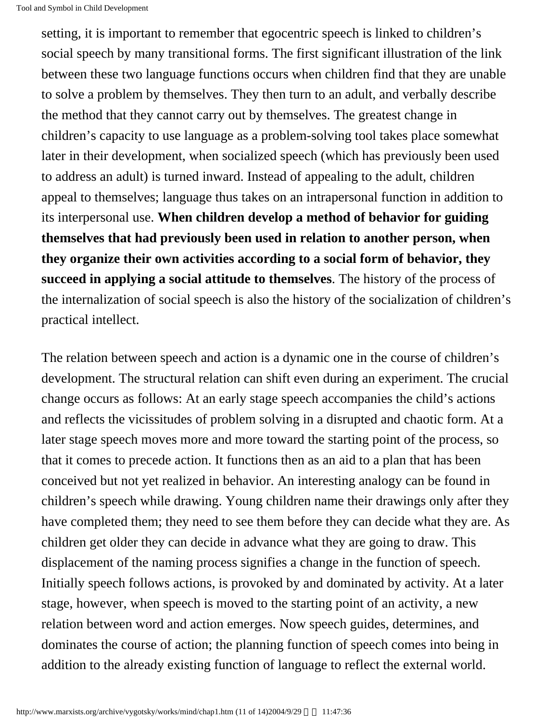setting, it is important to remember that egocentric speech is linked to children's social speech by many transitional forms. The first significant illustration of the link between these two language functions occurs when children find that they are unable to solve a problem by themselves. They then turn to an adult, and verbally describe the method that they cannot carry out by themselves. The greatest change in children's capacity to use language as a problem-solving tool takes place somewhat later in their development, when socialized speech (which has previously been used to address an adult) is turned inward. Instead of appealing to the adult, children appeal to themselves; language thus takes on an intrapersonal function in addition to its interpersonal use. **When children develop a method of behavior for guiding themselves that had previously been used in relation to another person, when they organize their own activities according to a social form of behavior, they succeed in applying a social attitude to themselves**. The history of the process of the internalization of social speech is also the history of the socialization of children's practical intellect.

The relation between speech and action is a dynamic one in the course of children's development. The structural relation can shift even during an experiment. The crucial change occurs as follows: At an early stage speech accompanies the child's actions and reflects the vicissitudes of problem solving in a disrupted and chaotic form. At a later stage speech moves more and more toward the starting point of the process, so that it comes to precede action. It functions then as an aid to a plan that has been conceived but not yet realized in behavior. An interesting analogy can be found in children's speech while drawing. Young children name their drawings only after they have completed them; they need to see them before they can decide what they are. As children get older they can decide in advance what they are going to draw. This displacement of the naming process signifies a change in the function of speech. Initially speech follows actions, is provoked by and dominated by activity. At a later stage, however, when speech is moved to the starting point of an activity, a new relation between word and action emerges. Now speech guides, determines, and dominates the course of action; the planning function of speech comes into being in addition to the already existing function of language to reflect the external world.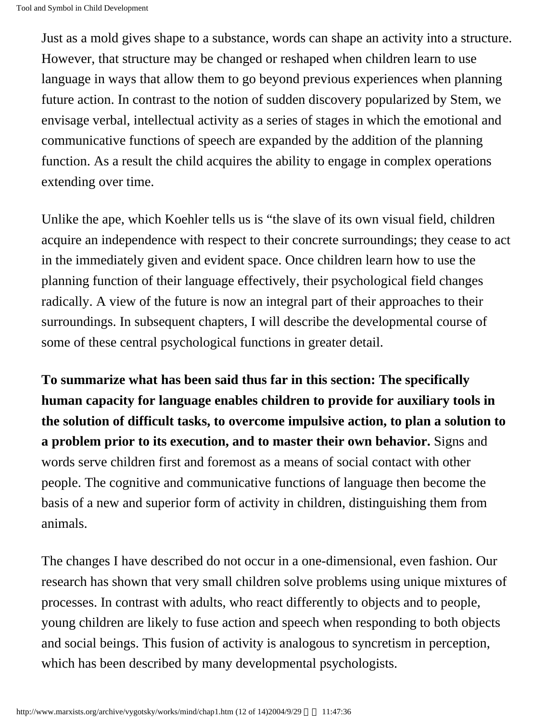Just as a mold gives shape to a substance, words can shape an activity into a structure. However, that structure may be changed or reshaped when children learn to use language in ways that allow them to go beyond previous experiences when planning future action. In contrast to the notion of sudden discovery popularized by Stem, we envisage verbal, intellectual activity as a series of stages in which the emotional and communicative functions of speech are expanded by the addition of the planning function. As a result the child acquires the ability to engage in complex operations extending over time.

Unlike the ape, which Koehler tells us is "the slave of its own visual field, children acquire an independence with respect to their concrete surroundings; they cease to act in the immediately given and evident space. Once children learn how to use the planning function of their language effectively, their psychological field changes radically. A view of the future is now an integral part of their approaches to their surroundings. In subsequent chapters, I will describe the developmental course of some of these central psychological functions in greater detail.

**To summarize what has been said thus far in this section: The specifically human capacity for language enables children to provide for auxiliary tools in the solution of difficult tasks, to overcome impulsive action, to plan a solution to a problem prior to its execution, and to master their own behavior.** Signs and words serve children first and foremost as a means of social contact with other people. The cognitive and communicative functions of language then become the basis of a new and superior form of activity in children, distinguishing them from animals.

The changes I have described do not occur in a one-dimensional, even fashion. Our research has shown that very small children solve problems using unique mixtures of processes. In contrast with adults, who react differently to objects and to people, young children are likely to fuse action and speech when responding to both objects and social beings. This fusion of activity is analogous to syncretism in perception, which has been described by many developmental psychologists.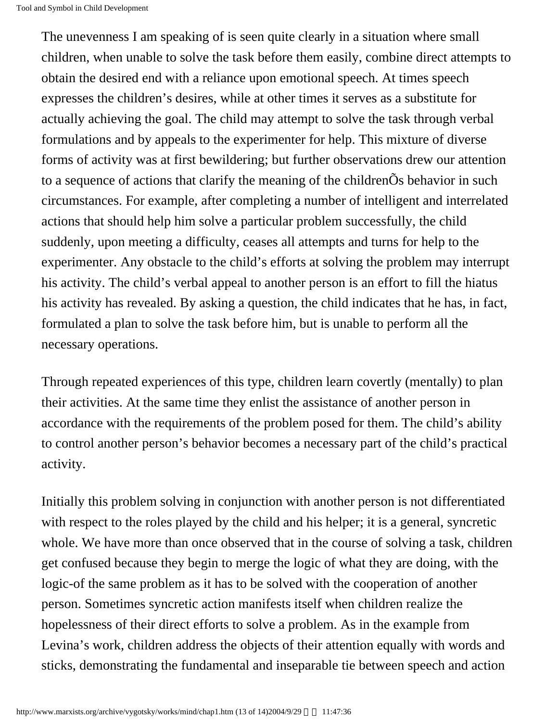The unevenness I am speaking of is seen quite clearly in a situation where small children, when unable to solve the task before them easily, combine direct attempts to obtain the desired end with a reliance upon emotional speech. At times speech expresses the children's desires, while at other times it serves as a substitute for actually achieving the goal. The child may attempt to solve the task through verbal formulations and by appeals to the experimenter for help. This mixture of diverse forms of activity was at first bewildering; but further observations drew our attention to a sequence of actions that clarify the meaning of the childrenÕs behavior in such circumstances. For example, after completing a number of intelligent and interrelated actions that should help him solve a particular problem successfully, the child suddenly, upon meeting a difficulty, ceases all attempts and turns for help to the experimenter. Any obstacle to the child's efforts at solving the problem may interrupt his activity. The child's verbal appeal to another person is an effort to fill the hiatus his activity has revealed. By asking a question, the child indicates that he has, in fact, formulated a plan to solve the task before him, but is unable to perform all the necessary operations.

Through repeated experiences of this type, children learn covertly (mentally) to plan their activities. At the same time they enlist the assistance of another person in accordance with the requirements of the problem posed for them. The child's ability to control another person's behavior becomes a necessary part of the child's practical activity.

Initially this problem solving in conjunction with another person is not differentiated with respect to the roles played by the child and his helper; it is a general, syncretic whole. We have more than once observed that in the course of solving a task, children get confused because they begin to merge the logic of what they are doing, with the logic-of the same problem as it has to be solved with the cooperation of another person. Sometimes syncretic action manifests itself when children realize the hopelessness of their direct efforts to solve a problem. As in the example from Levina's work, children address the objects of their attention equally with words and sticks, demonstrating the fundamental and inseparable tie between speech and action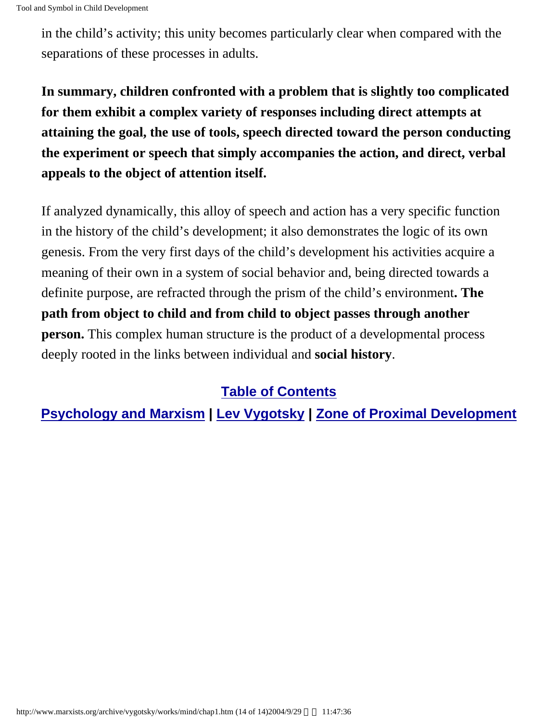in the child's activity; this unity becomes particularly clear when compared with the separations of these processes in adults.

**In summary, children confronted with a problem that is slightly too complicated for them exhibit a complex variety of responses including direct attempts at attaining the goal, the use of tools, speech directed toward the person conducting the experiment or speech that simply accompanies the action, and direct, verbal appeals to the object of attention itself.**

If analyzed dynamically, this alloy of speech and action has a very specific function in the history of the child's development; it also demonstrates the logic of its own genesis. From the very first days of the child's development his activities acquire a meaning of their own in a system of social behavior and, being directed towards a definite purpose, are refracted through the prism of the child's environment**. The path from object to child and from child to object passes through another person.** This complex human structure is the product of a developmental process deeply rooted in the links between individual and **social history**.

### **[Table of Contents](#page-0-0)**

**[Psychology and Marxism](http://www.marxists.org/subject/psychology/index.htm) | [Lev Vygotsky](http://www.marxists.org/archive/vygotsky/index.htm) | [Zone of Proximal Development](#page-70-0)**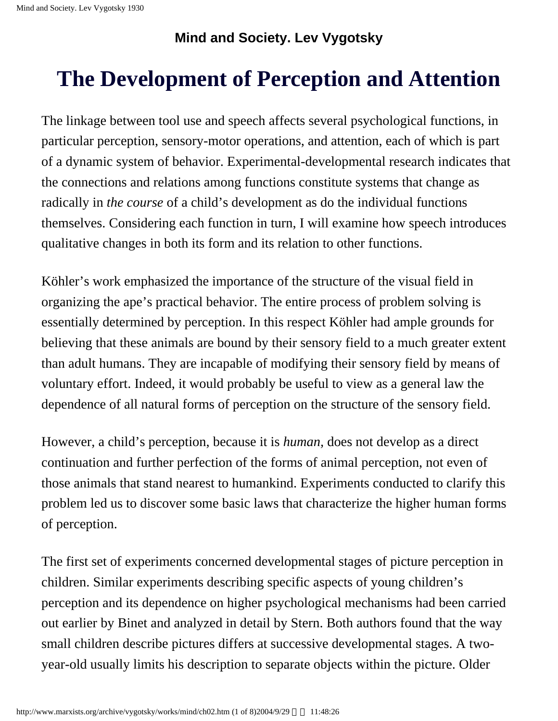#### **Mind and Society. Lev Vygotsky**

### <span id="page-16-0"></span>**The Development of Perception and Attention**

The linkage between tool use and speech affects several psychological functions, in particular perception, sensory-motor operations, and attention, each of which is part of a dynamic system of behavior. Experimental-developmental research indicates that the connections and relations among functions constitute systems that change as radically in *the course* of a child's development as do the individual functions themselves. Considering each function in turn, I will examine how speech introduces qualitative changes in both its form and its relation to other functions.

Köhler's work emphasized the importance of the structure of the visual field in organizing the ape's practical behavior. The entire process of problem solving is essentially determined by perception. In this respect Köhler had ample grounds for believing that these animals are bound by their sensory field to a much greater extent than adult humans. They are incapable of modifying their sensory field by means of voluntary effort. Indeed, it would probably be useful to view as a general law the dependence of all natural forms of perception on the structure of the sensory field.

However, a child's perception, because it is *human,* does not develop as a direct continuation and further perfection of the forms of animal perception, not even of those animals that stand nearest to humankind. Experiments conducted to clarify this problem led us to discover some basic laws that characterize the higher human forms of perception.

The first set of experiments concerned developmental stages of picture perception in children. Similar experiments describing specific aspects of young children's perception and its dependence on higher psychological mechanisms had been carried out earlier by Binet and analyzed in detail by Stern. Both authors found that the way small children describe pictures differs at successive developmental stages. A twoyear-old usually limits his description to separate objects within the picture. Older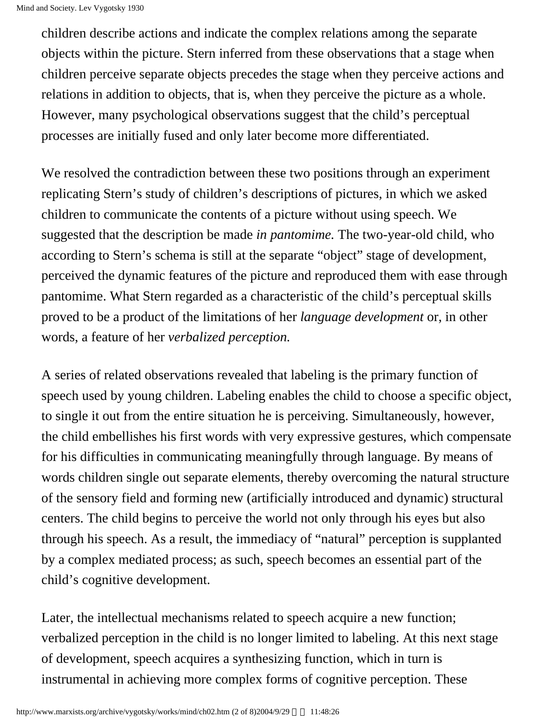children describe actions and indicate the complex relations among the separate objects within the picture. Stern inferred from these observations that a stage when children perceive separate objects precedes the stage when they perceive actions and relations in addition to objects, that is, when they perceive the picture as a whole. However, many psychological observations suggest that the child's perceptual processes are initially fused and only later become more differentiated.

We resolved the contradiction between these two positions through an experiment replicating Stern's study of children's descriptions of pictures, in which we asked children to communicate the contents of a picture without using speech. We suggested that the description be made *in pantomime.* The two-year-old child, who according to Stern's schema is still at the separate "object" stage of development, perceived the dynamic features of the picture and reproduced them with ease through pantomime. What Stern regarded as a characteristic of the child's perceptual skills proved to be a product of the limitations of her *language development* or, in other words, a feature of her *verbalized perception.*

A series of related observations revealed that labeling is the primary function of speech used by young children. Labeling enables the child to choose a specific object, to single it out from the entire situation he is perceiving. Simultaneously, however, the child embellishes his first words with very expressive gestures, which compensate for his difficulties in communicating meaningfully through language. By means of words children single out separate elements, thereby overcoming the natural structure of the sensory field and forming new (artificially introduced and dynamic) structural centers. The child begins to perceive the world not only through his eyes but also through his speech. As a result, the immediacy of "natural" perception is supplanted by a complex mediated process; as such, speech becomes an essential part of the child's cognitive development.

Later, the intellectual mechanisms related to speech acquire a new function; verbalized perception in the child is no longer limited to labeling. At this next stage of development, speech acquires a synthesizing function, which in turn is instrumental in achieving more complex forms of cognitive perception. These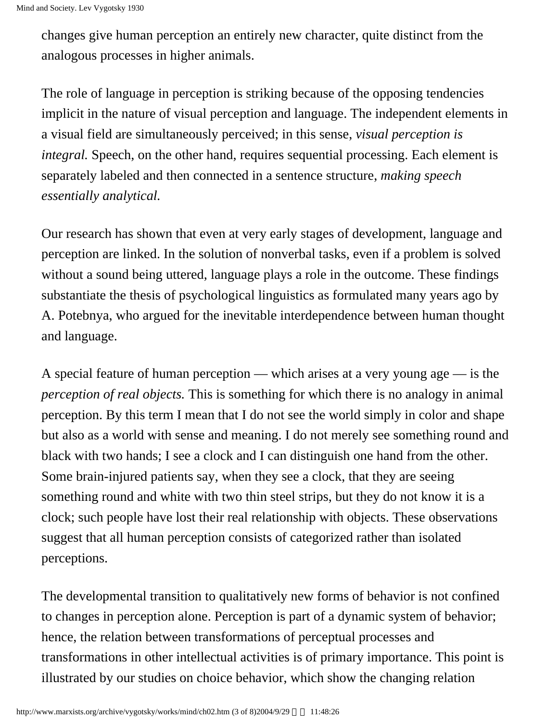changes give human perception an entirely new character, quite distinct from the analogous processes in higher animals.

The role of language in perception is striking because of the opposing tendencies implicit in the nature of visual perception and language. The independent elements in a visual field are simultaneously perceived; in this sense, *visual perception is integral.* Speech, on the other hand, requires sequential processing. Each element is separately labeled and then connected in a sentence structure, *making speech essentially analytical.*

Our research has shown that even at very early stages of development, language and perception are linked. In the solution of nonverbal tasks, even if a problem is solved without a sound being uttered, language plays a role in the outcome. These findings substantiate the thesis of psychological linguistics as formulated many years ago by A. Potebnya, who argued for the inevitable interdependence between human thought and language.

A special feature of human perception — which arises at a very young age — is the *perception of real objects.* This is something for which there is no analogy in animal perception. By this term I mean that I do not see the world simply in color and shape but also as a world with sense and meaning. I do not merely see something round and black with two hands; I see a clock and I can distinguish one hand from the other. Some brain-injured patients say, when they see a clock, that they are seeing something round and white with two thin steel strips, but they do not know it is a clock; such people have lost their real relationship with objects. These observations suggest that all human perception consists of categorized rather than isolated perceptions.

The developmental transition to qualitatively new forms of behavior is not confined to changes in perception alone. Perception is part of a dynamic system of behavior; hence, the relation between transformations of perceptual processes and transformations in other intellectual activities is of primary importance. This point is illustrated by our studies on choice behavior, which show the changing relation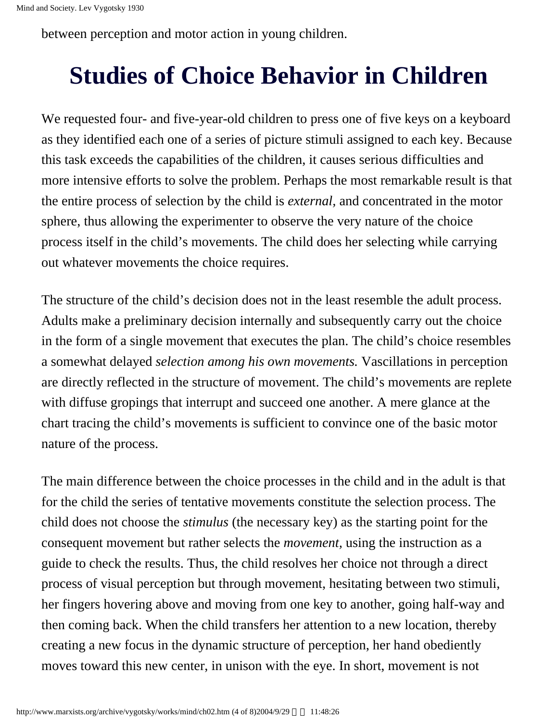between perception and motor action in young children.

## **Studies of Choice Behavior in Children**

We requested four- and five-year-old children to press one of five keys on a keyboard as they identified each one of a series of picture stimuli assigned to each key. Because this task exceeds the capabilities of the children, it causes serious difficulties and more intensive efforts to solve the problem. Perhaps the most remarkable result is that the entire process of selection by the child is *external,* and concentrated in the motor sphere, thus allowing the experimenter to observe the very nature of the choice process itself in the child's movements. The child does her selecting while carrying out whatever movements the choice requires.

The structure of the child's decision does not in the least resemble the adult process. Adults make a preliminary decision internally and subsequently carry out the choice in the form of a single movement that executes the plan. The child's choice resembles a somewhat delayed *selection among his own movements.* Vascillations in perception are directly reflected in the structure of movement. The child's movements are replete with diffuse gropings that interrupt and succeed one another. A mere glance at the chart tracing the child's movements is sufficient to convince one of the basic motor nature of the process.

The main difference between the choice processes in the child and in the adult is that for the child the series of tentative movements constitute the selection process. The child does not choose the *stimulus* (the necessary key) as the starting point for the consequent movement but rather selects the *movement,* using the instruction as a guide to check the results. Thus, the child resolves her choice not through a direct process of visual perception but through movement, hesitating between two stimuli, her fingers hovering above and moving from one key to another, going half-way and then coming back. When the child transfers her attention to a new location, thereby creating a new focus in the dynamic structure of perception, her hand obediently moves toward this new center, in unison with the eye. In short, movement is not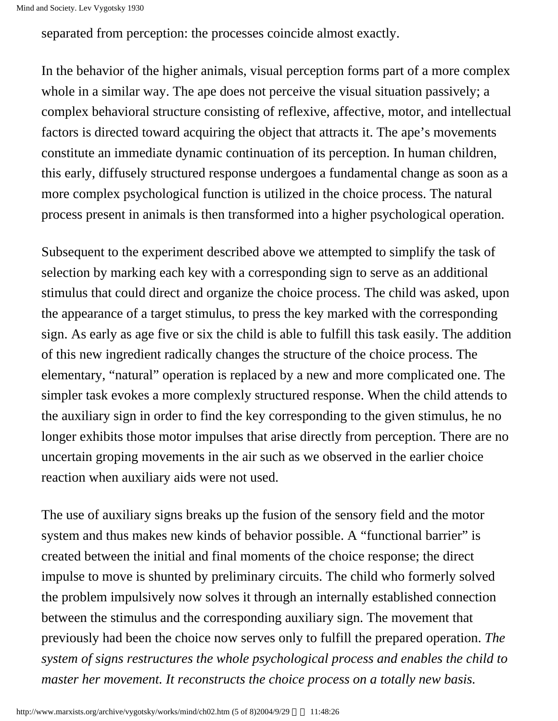```
Mind and Society. Lev Vygotsky 1930
```
separated from perception: the processes coincide almost exactly.

In the behavior of the higher animals, visual perception forms part of a more complex whole in a similar way. The ape does not perceive the visual situation passively; a complex behavioral structure consisting of reflexive, affective, motor, and intellectual factors is directed toward acquiring the object that attracts it. The ape's movements constitute an immediate dynamic continuation of its perception. In human children, this early, diffusely structured response undergoes a fundamental change as soon as a more complex psychological function is utilized in the choice process. The natural process present in animals is then transformed into a higher psychological operation.

Subsequent to the experiment described above we attempted to simplify the task of selection by marking each key with a corresponding sign to serve as an additional stimulus that could direct and organize the choice process. The child was asked, upon the appearance of a target stimulus, to press the key marked with the corresponding sign. As early as age five or six the child is able to fulfill this task easily. The addition of this new ingredient radically changes the structure of the choice process. The elementary, "natural" operation is replaced by a new and more complicated one. The simpler task evokes a more complexly structured response. When the child attends to the auxiliary sign in order to find the key corresponding to the given stimulus, he no longer exhibits those motor impulses that arise directly from perception. There are no uncertain groping movements in the air such as we observed in the earlier choice reaction when auxiliary aids were not used.

The use of auxiliary signs breaks up the fusion of the sensory field and the motor system and thus makes new kinds of behavior possible. A "functional barrier" is created between the initial and final moments of the choice response; the direct impulse to move is shunted by preliminary circuits. The child who formerly solved the problem impulsively now solves it through an internally established connection between the stimulus and the corresponding auxiliary sign. The movement that previously had been the choice now serves only to fulfill the prepared operation. *The system of signs restructures the whole psychological process and enables the child to master her movement. It reconstructs the choice process on a totally new basis.*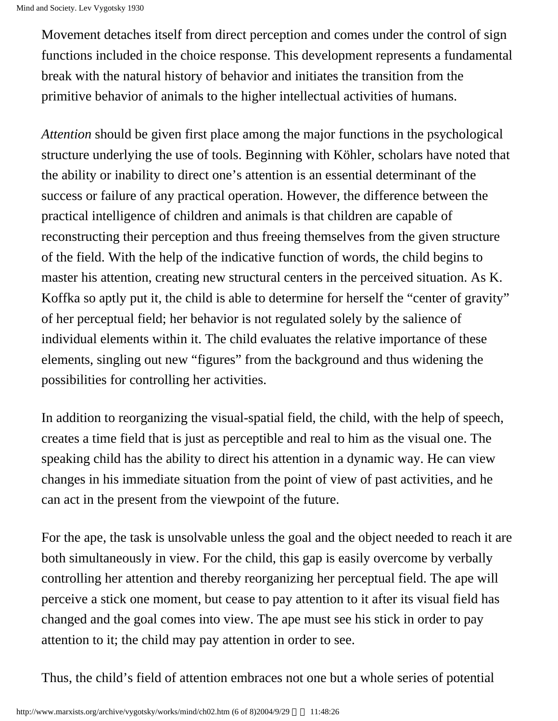Movement detaches itself from direct perception and comes under the control of sign functions included in the choice response. This development represents a fundamental break with the natural history of behavior and initiates the transition from the primitive behavior of animals to the higher intellectual activities of humans.

*Attention* should be given first place among the major functions in the psychological structure underlying the use of tools. Beginning with Köhler, scholars have noted that the ability or inability to direct one's attention is an essential determinant of the success or failure of any practical operation. However, the difference between the practical intelligence of children and animals is that children are capable of reconstructing their perception and thus freeing themselves from the given structure of the field. With the help of the indicative function of words, the child begins to master his attention, creating new structural centers in the perceived situation. As K. Koffka so aptly put it, the child is able to determine for herself the "center of gravity" of her perceptual field; her behavior is not regulated solely by the salience of individual elements within it. The child evaluates the relative importance of these elements, singling out new "figures" from the background and thus widening the possibilities for controlling her activities.

In addition to reorganizing the visual-spatial field, the child, with the help of speech, creates a time field that is just as perceptible and real to him as the visual one. The speaking child has the ability to direct his attention in a dynamic way. He can view changes in his immediate situation from the point of view of past activities, and he can act in the present from the viewpoint of the future.

For the ape, the task is unsolvable unless the goal and the object needed to reach it are both simultaneously in view. For the child, this gap is easily overcome by verbally controlling her attention and thereby reorganizing her perceptual field. The ape will perceive a stick one moment, but cease to pay attention to it after its visual field has changed and the goal comes into view. The ape must see his stick in order to pay attention to it; the child may pay attention in order to see.

Thus, the child's field of attention embraces not one but a whole series of potential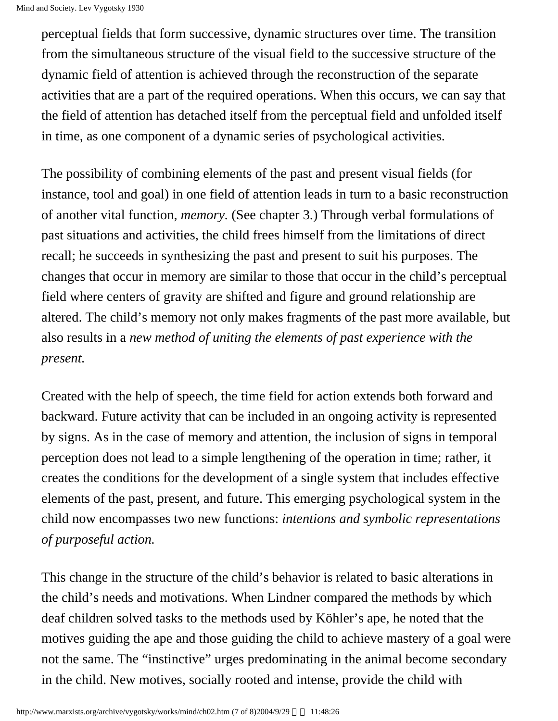perceptual fields that form successive, dynamic structures over time. The transition from the simultaneous structure of the visual field to the successive structure of the dynamic field of attention is achieved through the reconstruction of the separate activities that are a part of the required operations. When this occurs, we can say that the field of attention has detached itself from the perceptual field and unfolded itself in time, as one component of a dynamic series of psychological activities.

The possibility of combining elements of the past and present visual fields (for instance, tool and goal) in one field of attention leads in turn to a basic reconstruction of another vital function, *memory.* (See chapter 3.) Through verbal formulations of past situations and activities, the child frees himself from the limitations of direct recall; he succeeds in synthesizing the past and present to suit his purposes. The changes that occur in memory are similar to those that occur in the child's perceptual field where centers of gravity are shifted and figure and ground relationship are altered. The child's memory not only makes fragments of the past more available, but also results in a *new method of uniting the elements of past experience with the present.*

Created with the help of speech, the time field for action extends both forward and backward. Future activity that can be included in an ongoing activity is represented by signs. As in the case of memory and attention, the inclusion of signs in temporal perception does not lead to a simple lengthening of the operation in time; rather, it creates the conditions for the development of a single system that includes effective elements of the past, present, and future. This emerging psychological system in the child now encompasses two new functions: *intentions and symbolic representations of purposeful action.*

This change in the structure of the child's behavior is related to basic alterations in the child's needs and motivations. When Lindner compared the methods by which deaf children solved tasks to the methods used by Köhler's ape, he noted that the motives guiding the ape and those guiding the child to achieve mastery of a goal were not the same. The "instinctive" urges predominating in the animal become secondary in the child. New motives, socially rooted and intense, provide the child with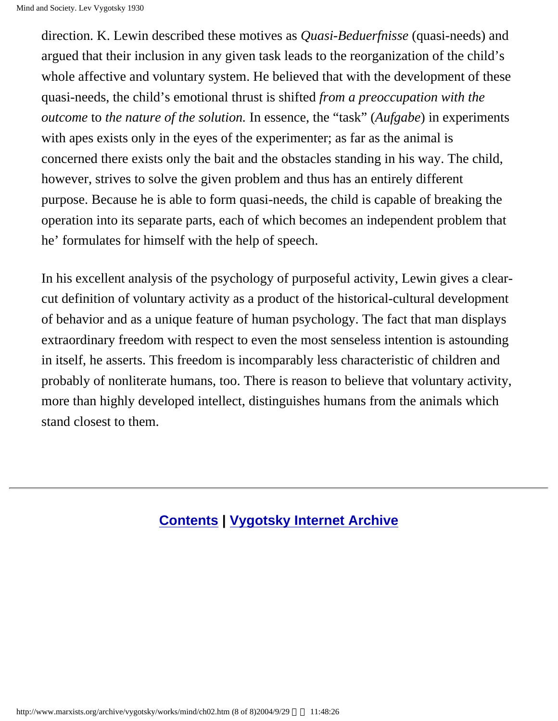direction. K. Lewin described these motives as *Quasi-Beduerfnisse* (quasi-needs) and argued that their inclusion in any given task leads to the reorganization of the child's whole affective and voluntary system. He believed that with the development of these quasi-needs, the child's emotional thrust is shifted *from a preoccupation with the outcome* to *the nature of the solution.* In essence, the "task" (*Aufgabe*) in experiments with apes exists only in the eyes of the experimenter; as far as the animal is concerned there exists only the bait and the obstacles standing in his way. The child, however, strives to solve the given problem and thus has an entirely different purpose. Because he is able to form quasi-needs, the child is capable of breaking the operation into its separate parts, each of which becomes an independent problem that he' formulates for himself with the help of speech.

In his excellent analysis of the psychology of purposeful activity, Lewin gives a clearcut definition of voluntary activity as a product of the historical-cultural development of behavior and as a unique feature of human psychology. The fact that man displays extraordinary freedom with respect to even the most senseless intention is astounding in itself, he asserts. This freedom is incomparably less characteristic of children and probably of nonliterate humans, too. There is reason to believe that voluntary activity, more than highly developed intellect, distinguishes humans from the animals which stand closest to them.

#### **[Contents](#page-0-0) | [Vygotsky Internet Archive](http://www.marxists.org/archive/vygotsky/index.htm)**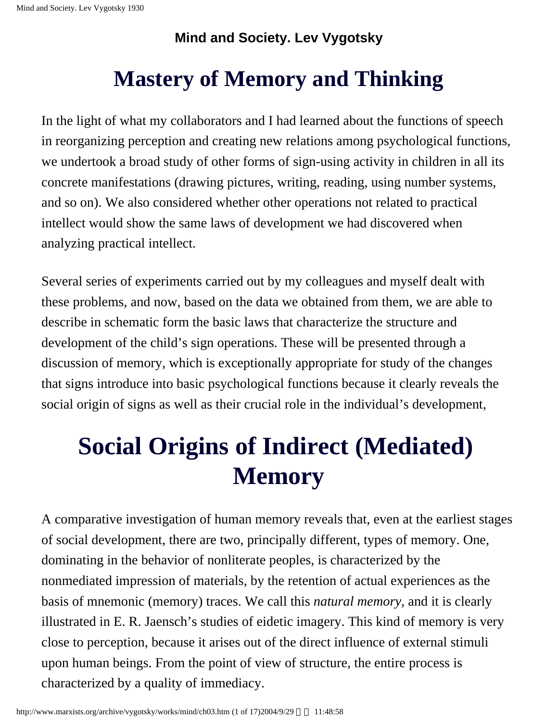#### **Mind and Society. Lev Vygotsky**

### **Mastery of Memory and Thinking**

<span id="page-24-0"></span>In the light of what my collaborators and I had learned about the functions of speech in reorganizing perception and creating new relations among psychological functions, we undertook a broad study of other forms of sign-using activity in children in all its concrete manifestations (drawing pictures, writing, reading, using number systems, and so on). We also considered whether other operations not related to practical intellect would show the same laws of development we had discovered when analyzing practical intellect.

Several series of experiments carried out by my colleagues and myself dealt with these problems, and now, based on the data we obtained from them, we are able to describe in schematic form the basic laws that characterize the structure and development of the child's sign operations. These will be presented through a discussion of memory, which is exceptionally appropriate for study of the changes that signs introduce into basic psychological functions because it clearly reveals the social origin of signs as well as their crucial role in the individual's development,

## **Social Origins of Indirect (Mediated) Memory**

A comparative investigation of human memory reveals that, even at the earliest stages of social development, there are two, principally different, types of memory. One, dominating in the behavior of nonliterate peoples, is characterized by the nonmediated impression of materials, by the retention of actual experiences as the basis of mnemonic (memory) traces. We call this *natural memory,* and it is clearly illustrated in E. R. Jaensch's studies of eidetic imagery. This kind of memory is very close to perception, because it arises out of the direct influence of external stimuli upon human beings. From the point of view of structure, the entire process is characterized by a quality of immediacy.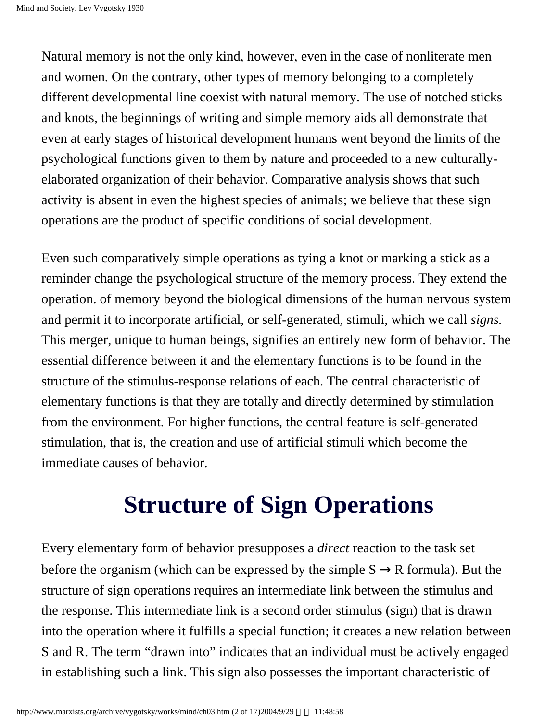Natural memory is not the only kind, however, even in the case of nonliterate men and women. On the contrary, other types of memory belonging to a completely different developmental line coexist with natural memory. The use of notched sticks and knots, the beginnings of writing and simple memory aids all demonstrate that even at early stages of historical development humans went beyond the limits of the psychological functions given to them by nature and proceeded to a new culturallyelaborated organization of their behavior. Comparative analysis shows that such activity is absent in even the highest species of animals; we believe that these sign operations are the product of specific conditions of social development.

Even such comparatively simple operations as tying a knot or marking a stick as a reminder change the psychological structure of the memory process. They extend the operation. of memory beyond the biological dimensions of the human nervous system and permit it to incorporate artificial, or self-generated, stimuli, which we call *signs.*  This merger, unique to human beings, signifies an entirely new form of behavior. The essential difference between it and the elementary functions is to be found in the structure of the stimulus-response relations of each. The central characteristic of elementary functions is that they are totally and directly determined by stimulation from the environment. For higher functions, the central feature is self-generated stimulation, that is, the creation and use of artificial stimuli which become the immediate causes of behavior.

## **Structure of Sign Operations**

Every elementary form of behavior presupposes a *direct* reaction to the task set before the organism (which can be expressed by the simple  $S \rightarrow R$  formula). But the structure of sign operations requires an intermediate link between the stimulus and the response. This intermediate link is a second order stimulus (sign) that is drawn into the operation where it fulfills a special function; it creates a new relation between S and R. The term "drawn into" indicates that an individual must be actively engaged in establishing such a link. This sign also possesses the important characteristic of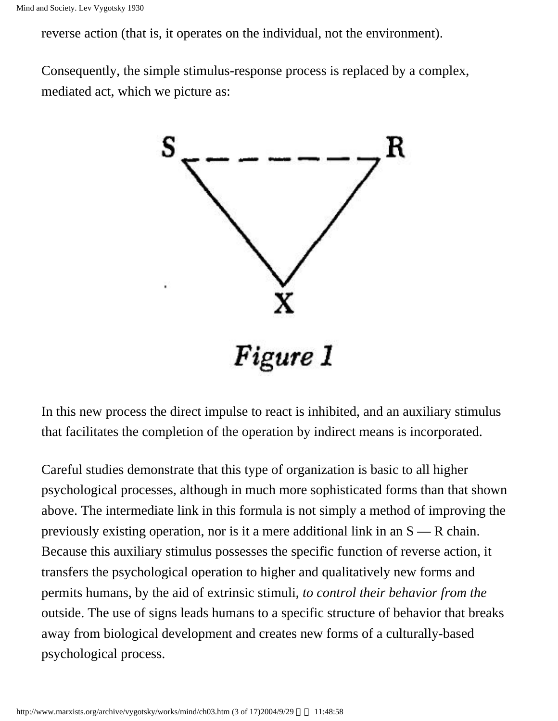reverse action (that is, it operates on the individual, not the environment).

Consequently, the simple stimulus-response process is replaced by a complex, mediated act, which we picture as:



In this new process the direct impulse to react is inhibited, and an auxiliary stimulus that facilitates the completion of the operation by indirect means is incorporated.

Careful studies demonstrate that this type of organization is basic to all higher psychological processes, although in much more sophisticated forms than that shown above. The intermediate link in this formula is not simply a method of improving the previously existing operation, nor is it a mere additional link in an S — R chain. Because this auxiliary stimulus possesses the specific function of reverse action, it transfers the psychological operation to higher and qualitatively new forms and permits humans, by the aid of extrinsic stimuli, *to control their behavior from the*  outside. The use of signs leads humans to a specific structure of behavior that breaks away from biological development and creates new forms of a culturally-based psychological process.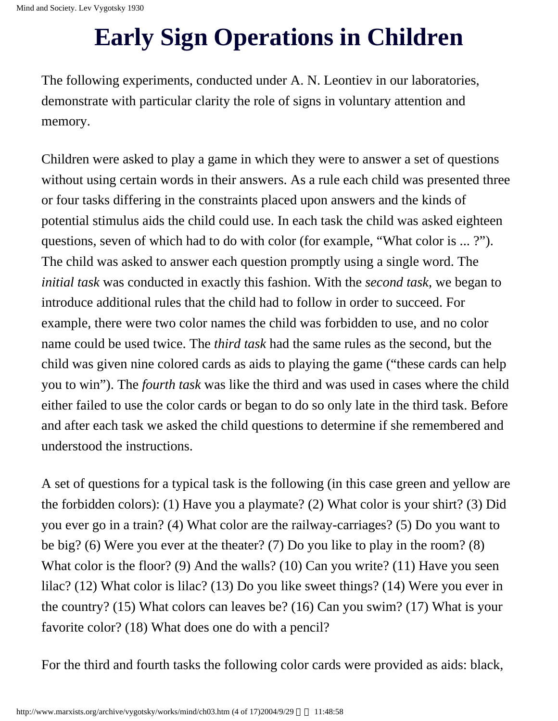Mind and Society. Lev Vygotsky 1930

# **Early Sign Operations in Children**

The following experiments, conducted under A. N. Leontiev in our laboratories, demonstrate with particular clarity the role of signs in voluntary attention and memory.

Children were asked to play a game in which they were to answer a set of questions without using certain words in their answers. As a rule each child was presented three or four tasks differing in the constraints placed upon answers and the kinds of potential stimulus aids the child could use. In each task the child was asked eighteen questions, seven of which had to do with color (for example, "What color is ... ?"). The child was asked to answer each question promptly using a single word. The *initial task* was conducted in exactly this fashion. With the *second task,* we began to introduce additional rules that the child had to follow in order to succeed. For example, there were two color names the child was forbidden to use, and no color name could be used twice. The *third task* had the same rules as the second, but the child was given nine colored cards as aids to playing the game ("these cards can help you to win"). The *fourth task* was like the third and was used in cases where the child either failed to use the color cards or began to do so only late in the third task. Before and after each task we asked the child questions to determine if she remembered and understood the instructions.

A set of questions for a typical task is the following (in this case green and yellow are the forbidden colors): (1) Have you a playmate? (2) What color is your shirt? (3) Did you ever go in a train? (4) What color are the railway-carriages? (5) Do you want to be big? (6) Were you ever at the theater? (7) Do you like to play in the room? (8) What color is the floor? (9) And the walls? (10) Can you write? (11) Have you seen lilac? (12) What color is lilac? (13) Do you like sweet things? (14) Were you ever in the country? (15) What colors can leaves be? (16) Can you swim? (17) What is your favorite color? (18) What does one do with a pencil?

For the third and fourth tasks the following color cards were provided as aids: black,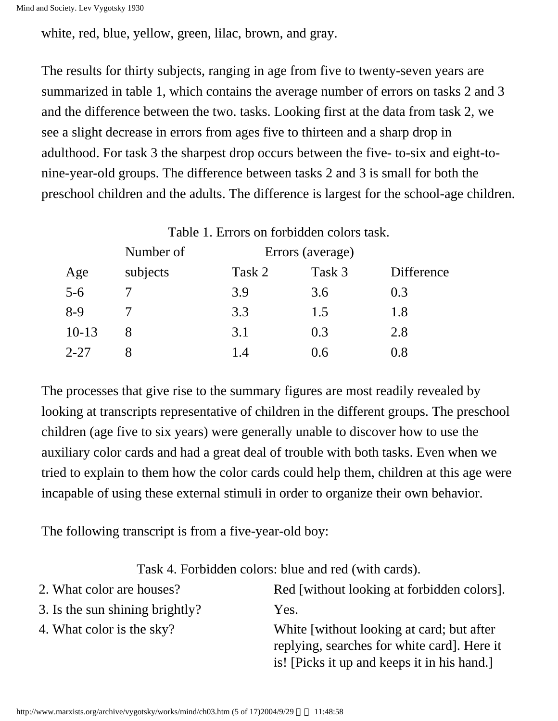white, red, blue, yellow, green, lilac, brown, and gray.

The results for thirty subjects, ranging in age from five to twenty-seven years are summarized in table 1, which contains the average number of errors on tasks 2 and 3 and the difference between the two. tasks. Looking first at the data from task 2, we see a slight decrease in errors from ages five to thirteen and a sharp drop in adulthood. For task 3 the sharpest drop occurs between the five- to-six and eight-tonine-year-old groups. The difference between tasks 2 and 3 is small for both the preschool children and the adults. The difference is largest for the school-age children.

|          | Table 1. Errors on forbidden colors task. |        |                  |            |  |
|----------|-------------------------------------------|--------|------------------|------------|--|
|          | Number of                                 |        | Errors (average) |            |  |
| Age      | subjects                                  | Task 2 | Task 3           | Difference |  |
| $5-6$    |                                           | 3.9    | 3.6              | 0.3        |  |
| $8-9$    |                                           | 3.3    | 1.5              | 1.8        |  |
| $10-13$  | 8                                         | 3.1    | 0.3              | 2.8        |  |
| $2 - 27$ |                                           | 1.4    | 0.6              | $0.8\,$    |  |

The processes that give rise to the summary figures are most readily revealed by looking at transcripts representative of children in the different groups. The preschool children (age five to six years) were generally unable to discover how to use the auxiliary color cards and had a great deal of trouble with both tasks. Even when we tried to explain to them how the color cards could help them, children at this age were incapable of using these external stimuli in order to organize their own behavior.

The following transcript is from a five-year-old boy:

Task 4. Forbidden colors: blue and red (with cards).

| 2. What color are houses?       | Red [without looking at forbidden colors].                                                                                            |
|---------------------------------|---------------------------------------------------------------------------------------------------------------------------------------|
| 3. Is the sun shining brightly? | Yes.                                                                                                                                  |
| 4. What color is the sky?       | White without looking at card; but after<br>replying, searches for white card. Here it<br>is! [Picks it up and keeps it in his hand.] |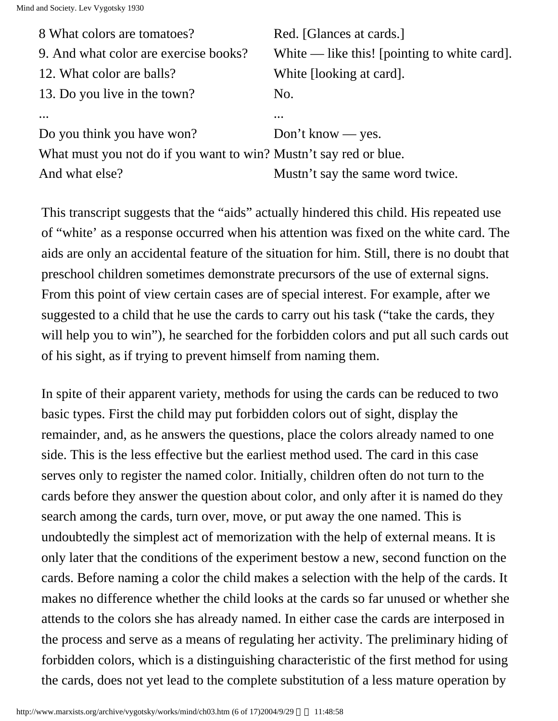| 8 What colors are tomatoes?                                       | Red. [Glances at cards.]                       |
|-------------------------------------------------------------------|------------------------------------------------|
| 9. And what color are exercise books?                             | White $-$ like this! [pointing to white card]. |
| 12. What color are balls?                                         | White [looking at card].                       |
| 13. Do you live in the town?                                      | No.                                            |
| $\ddots$                                                          | $\cdots$                                       |
| Do you think you have won?                                        | Don't know — yes.                              |
| What must you not do if you want to win? Mustn't say red or blue. |                                                |
| And what else?                                                    | Mustn't say the same word twice.               |

This transcript suggests that the "aids" actually hindered this child. His repeated use of "white' as a response occurred when his attention was fixed on the white card. The aids are only an accidental feature of the situation for him. Still, there is no doubt that preschool children sometimes demonstrate precursors of the use of external signs. From this point of view certain cases are of special interest. For example, after we suggested to a child that he use the cards to carry out his task ("take the cards, they will help you to win"), he searched for the forbidden colors and put all such cards out of his sight, as if trying to prevent himself from naming them.

In spite of their apparent variety, methods for using the cards can be reduced to two basic types. First the child may put forbidden colors out of sight, display the remainder, and, as he answers the questions, place the colors already named to one side. This is the less effective but the earliest method used. The card in this case serves only to register the named color. Initially, children often do not turn to the cards before they answer the question about color, and only after it is named do they search among the cards, turn over, move, or put away the one named. This is undoubtedly the simplest act of memorization with the help of external means. It is only later that the conditions of the experiment bestow a new, second function on the cards. Before naming a color the child makes a selection with the help of the cards. It makes no difference whether the child looks at the cards so far unused or whether she attends to the colors she has already named. In either case the cards are interposed in the process and serve as a means of regulating her activity. The preliminary hiding of forbidden colors, which is a distinguishing characteristic of the first method for using the cards, does not yet lead to the complete substitution of a less mature operation by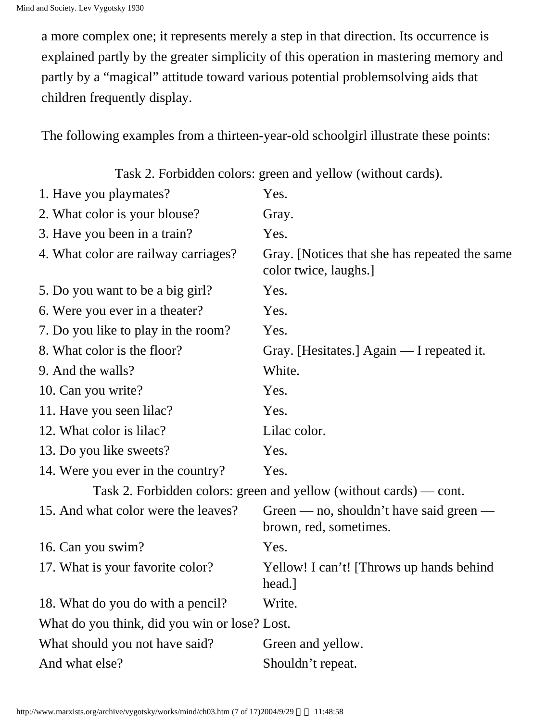a more complex one; it represents merely a step in that direction. Its occurrence is explained partly by the greater simplicity of this operation in mastering memory and partly by a "magical" attitude toward various potential problemsolving aids that children frequently display.

The following examples from a thirteen-year-old schoolgirl illustrate these points:

| 1. Have you playmates?                                             | Yes.                                                                   |  |  |  |
|--------------------------------------------------------------------|------------------------------------------------------------------------|--|--|--|
| 2. What color is your blouse?                                      | Gray.                                                                  |  |  |  |
| 3. Have you been in a train?                                       | Yes.                                                                   |  |  |  |
| 4. What color are railway carriages?                               | Gray. [Notices that she has repeated the same<br>color twice, laughs.] |  |  |  |
| 5. Do you want to be a big girl?                                   | Yes.                                                                   |  |  |  |
| 6. Were you ever in a theater?                                     | Yes.                                                                   |  |  |  |
| 7. Do you like to play in the room?                                | Yes.                                                                   |  |  |  |
| 8. What color is the floor?                                        | Gray. [Hesitates.] Again — I repeated it.                              |  |  |  |
| 9. And the walls?                                                  | White.                                                                 |  |  |  |
| 10. Can you write?                                                 | Yes.                                                                   |  |  |  |
| 11. Have you seen lilac?                                           | Yes.                                                                   |  |  |  |
| 12. What color is lilac?                                           | Lilac color.                                                           |  |  |  |
| 13. Do you like sweets?                                            | Yes.                                                                   |  |  |  |
| 14. Were you ever in the country?                                  | Yes.                                                                   |  |  |  |
| Task 2. Forbidden colors: green and yellow (without cards) — cont. |                                                                        |  |  |  |
| 15. And what color were the leaves?                                | Green — no, shouldn't have said green —<br>brown, red, sometimes.      |  |  |  |
| 16. Can you swim?                                                  | Yes.                                                                   |  |  |  |
| 17. What is your favorite color?                                   | Yellow! I can't! [Throws up hands behind]<br>head.]                    |  |  |  |
| 18. What do you do with a pencil?                                  | Write.                                                                 |  |  |  |
| What do you think, did you win or lose? Lost.                      |                                                                        |  |  |  |
| What should you not have said?                                     | Green and yellow.                                                      |  |  |  |
| And what else?                                                     | Shouldn't repeat.                                                      |  |  |  |

Task 2. Forbidden colors: green and yellow (without cards).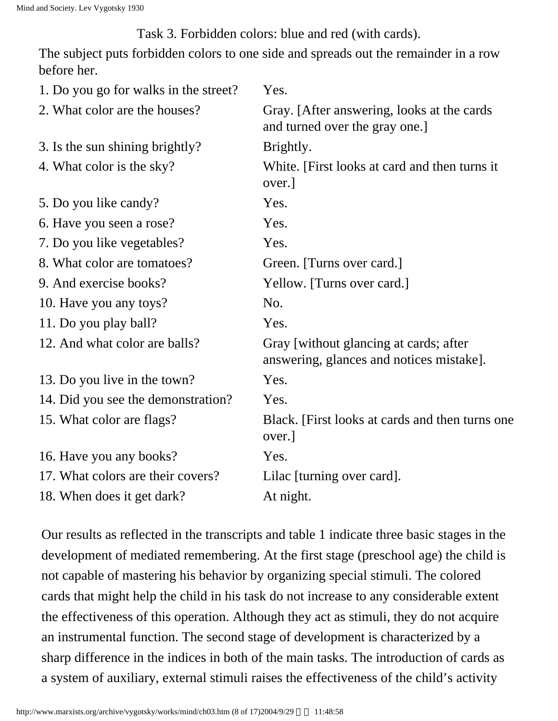Task 3. Forbidden colors: blue and red (with cards).

The subject puts forbidden colors to one side and spreads out the remainder in a row before her.

| 1. Do you go for walks in the street? | Yes.                                                                               |
|---------------------------------------|------------------------------------------------------------------------------------|
| 2. What color are the houses?         | Gray. [After answering, looks at the cards<br>and turned over the gray one.]       |
| 3. Is the sun shining brightly?       | Brightly.                                                                          |
| 4. What color is the sky?             | White. [First looks at card and then turns it<br>over.                             |
| 5. Do you like candy?                 | Yes.                                                                               |
| 6. Have you seen a rose?              | Yes.                                                                               |
| 7. Do you like vegetables?            | Yes.                                                                               |
| 8. What color are tomatoes?           | Green. [Turns over card.]                                                          |
| 9. And exercise books?                | Yellow. [Turns over card.]                                                         |
| 10. Have you any toys?                | No.                                                                                |
| 11. Do you play ball?                 | Yes.                                                                               |
| 12. And what color are balls?         | Gray [without glancing at cards; after<br>answering, glances and notices mistake]. |
| 13. Do you live in the town?          | Yes.                                                                               |
| 14. Did you see the demonstration?    | Yes.                                                                               |
| 15. What color are flags?             | Black. [First looks at cards and then turns one<br>over.                           |
| 16. Have you any books?               | Yes.                                                                               |
| 17. What colors are their covers?     | Lilac [turning over card].                                                         |
| 18. When does it get dark?            | At night.                                                                          |

Our results as reflected in the transcripts and table 1 indicate three basic stages in the development of mediated remembering. At the first stage (preschool age) the child is not capable of mastering his behavior by organizing special stimuli. The colored cards that might help the child in his task do not increase to any considerable extent the effectiveness of this operation. Although they act as stimuli, they do not acquire an instrumental function. The second stage of development is characterized by a sharp difference in the indices in both of the main tasks. The introduction of cards as a system of auxiliary, external stimuli raises the effectiveness of the child's activity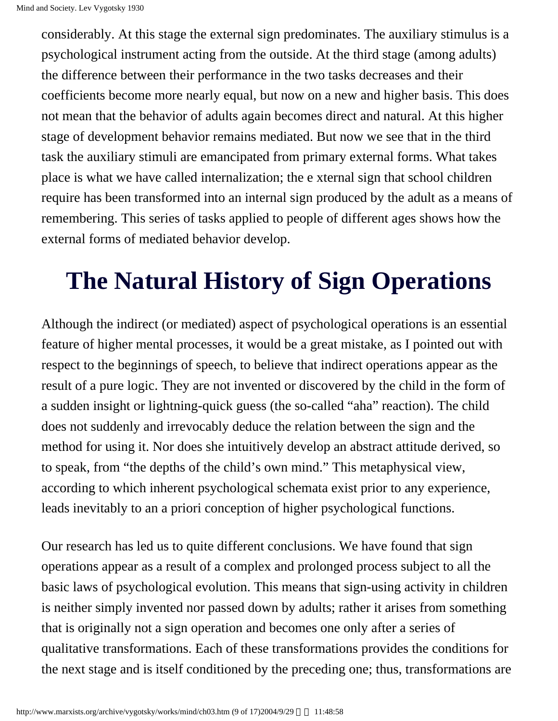considerably. At this stage the external sign predominates. The auxiliary stimulus is a psychological instrument acting from the outside. At the third stage (among adults) the difference between their performance in the two tasks decreases and their coefficients become more nearly equal, but now on a new and higher basis. This does not mean that the behavior of adults again becomes direct and natural. At this higher stage of development behavior remains mediated. But now we see that in the third task the auxiliary stimuli are emancipated from primary external forms. What takes place is what we have called internalization; the e xternal sign that school children require has been transformed into an internal sign produced by the adult as a means of remembering. This series of tasks applied to people of different ages shows how the external forms of mediated behavior develop.

# **The Natural History of Sign Operations**

Although the indirect (or mediated) aspect of psychological operations is an essential feature of higher mental processes, it would be a great mistake, as I pointed out with respect to the beginnings of speech, to believe that indirect operations appear as the result of a pure logic. They are not invented or discovered by the child in the form of a sudden insight or lightning-quick guess (the so-called "aha" reaction). The child does not suddenly and irrevocably deduce the relation between the sign and the method for using it. Nor does she intuitively develop an abstract attitude derived, so to speak, from "the depths of the child's own mind." This metaphysical view, according to which inherent psychological schemata exist prior to any experience, leads inevitably to an a priori conception of higher psychological functions.

Our research has led us to quite different conclusions. We have found that sign operations appear as a result of a complex and prolonged process subject to all the basic laws of psychological evolution. This means that sign-using activity in children is neither simply invented nor passed down by adults; rather it arises from something that is originally not a sign operation and becomes one only after a series of qualitative transformations. Each of these transformations provides the conditions for the next stage and is itself conditioned by the preceding one; thus, transformations are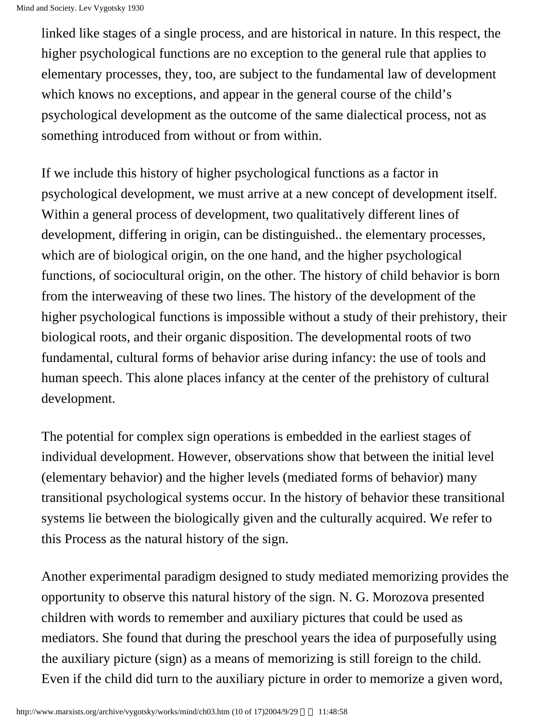linked like stages of a single process, and are historical in nature. In this respect, the higher psychological functions are no exception to the general rule that applies to elementary processes, they, too, are subject to the fundamental law of development which knows no exceptions, and appear in the general course of the child's psychological development as the outcome of the same dialectical process, not as something introduced from without or from within.

If we include this history of higher psychological functions as a factor in psychological development, we must arrive at a new concept of development itself. Within a general process of development, two qualitatively different lines of development, differing in origin, can be distinguished.. the elementary processes, which are of biological origin, on the one hand, and the higher psychological functions, of sociocultural origin, on the other. The history of child behavior is born from the interweaving of these two lines. The history of the development of the higher psychological functions is impossible without a study of their prehistory, their biological roots, and their organic disposition. The developmental roots of two fundamental, cultural forms of behavior arise during infancy: the use of tools and human speech. This alone places infancy at the center of the prehistory of cultural development.

The potential for complex sign operations is embedded in the earliest stages of individual development. However, observations show that between the initial level (elementary behavior) and the higher levels (mediated forms of behavior) many transitional psychological systems occur. In the history of behavior these transitional systems lie between the biologically given and the culturally acquired. We refer to this Process as the natural history of the sign.

Another experimental paradigm designed to study mediated memorizing provides the opportunity to observe this natural history of the sign. N. G. Morozova presented children with words to remember and auxiliary pictures that could be used as mediators. She found that during the preschool years the idea of purposefully using the auxiliary picture (sign) as a means of memorizing is still foreign to the child. Even if the child did turn to the auxiliary picture in order to memorize a given word,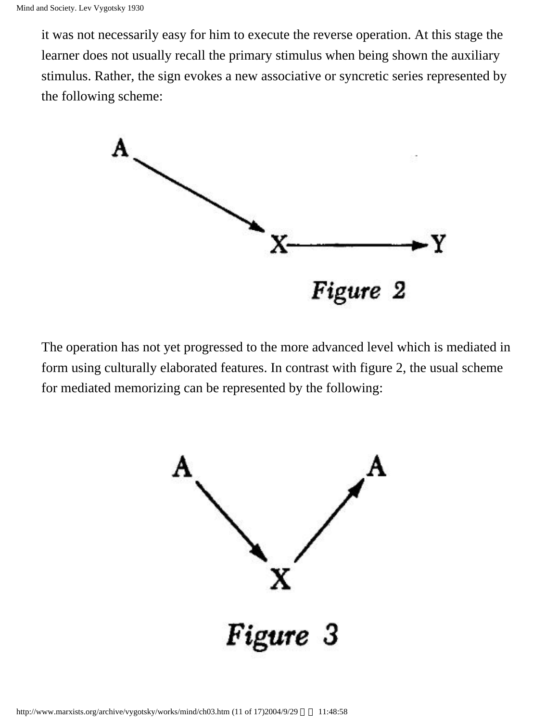it was not necessarily easy for him to execute the reverse operation. At this stage the learner does not usually recall the primary stimulus when being shown the auxiliary stimulus. Rather, the sign evokes a new associative or syncretic series represented by the following scheme:



The operation has not yet progressed to the more advanced level which is mediated in form using culturally elaborated features. In contrast with figure 2, the usual scheme for mediated memorizing can be represented by the following:

![](_page_34_Figure_4.jpeg)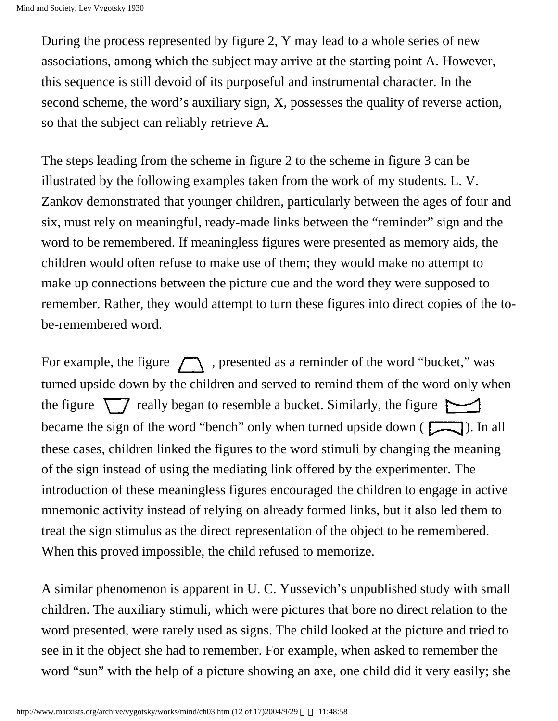During the process represented by figure 2, Y may lead to a whole series of new associations, among which the subject may arrive at the starting point A. However, this sequence is still devoid of its purposeful and instrumental character. In the second scheme, the word's auxiliary sign, X, possesses the quality of reverse action, so that the subject can reliably retrieve A.

The steps leading from the scheme in figure 2 to the scheme in figure 3 can be illustrated by the following examples taken from the work of my students. L. V. Zankov demonstrated that younger children, particularly between the ages of four and six, must rely on meaningful, ready-made links between the "reminder" sign and the word to be remembered. If meaningless figures were presented as memory aids, the children would often refuse to make use of them; they would make no attempt to make up connections between the picture cue and the word they were supposed to remember. Rather, they would attempt to turn these figures into direct copies of the tobe-remembered word.

For example, the figure  $\bigcap$ , presented as a reminder of the word "bucket," was turned upside down by the children and served to remind them of the word only when the figure  $\sum$  really began to resemble a bucket. Similarly, the figure  $\sum$ became the sign of the word "bench" only when turned upside down  $(\Box)$ . In all these cases, children linked the figures to the word stimuli by changing the meaning of the sign instead of using the mediating link offered by the experimenter. The introduction of these meaningless figures encouraged the children to engage in active mnemonic activity instead of relying on already formed links, but it also led them to treat the sign stimulus as the direct representation of the object to be remembered. When this proved impossible, the child refused to memorize.

A similar phenomenon is apparent in U. C. Yussevich's unpublished study with small children. The auxiliary stimuli, which were pictures that bore no direct relation to the word presented, were rarely used as signs. The child looked at the picture and tried to see in it the object she had to remember. For example, when asked to remember the word "sun" with the help of a picture showing an axe, one child did it very easily; she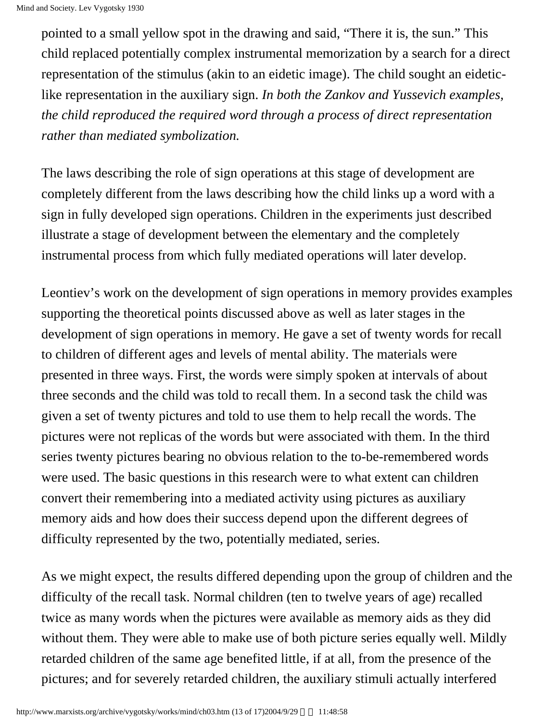pointed to a small yellow spot in the drawing and said, "There it is, the sun." This child replaced potentially complex instrumental memorization by a search for a direct representation of the stimulus (akin to an eidetic image). The child sought an eideticlike representation in the auxiliary sign. *In both the Zankov and Yussevich examples, the child reproduced the required word through a process of direct representation rather than mediated symbolization.*

The laws describing the role of sign operations at this stage of development are completely different from the laws describing how the child links up a word with a sign in fully developed sign operations. Children in the experiments just described illustrate a stage of development between the elementary and the completely instrumental process from which fully mediated operations will later develop.

Leontiev's work on the development of sign operations in memory provides examples supporting the theoretical points discussed above as well as later stages in the development of sign operations in memory. He gave a set of twenty words for recall to children of different ages and levels of mental ability. The materials were presented in three ways. First, the words were simply spoken at intervals of about three seconds and the child was told to recall them. In a second task the child was given a set of twenty pictures and told to use them to help recall the words. The pictures were not replicas of the words but were associated with them. In the third series twenty pictures bearing no obvious relation to the to-be-remembered words were used. The basic questions in this research were to what extent can children convert their remembering into a mediated activity using pictures as auxiliary memory aids and how does their success depend upon the different degrees of difficulty represented by the two, potentially mediated, series.

As we might expect, the results differed depending upon the group of children and the difficulty of the recall task. Normal children (ten to twelve years of age) recalled twice as many words when the pictures were available as memory aids as they did without them. They were able to make use of both picture series equally well. Mildly retarded children of the same age benefited little, if at all, from the presence of the pictures; and for severely retarded children, the auxiliary stimuli actually interfered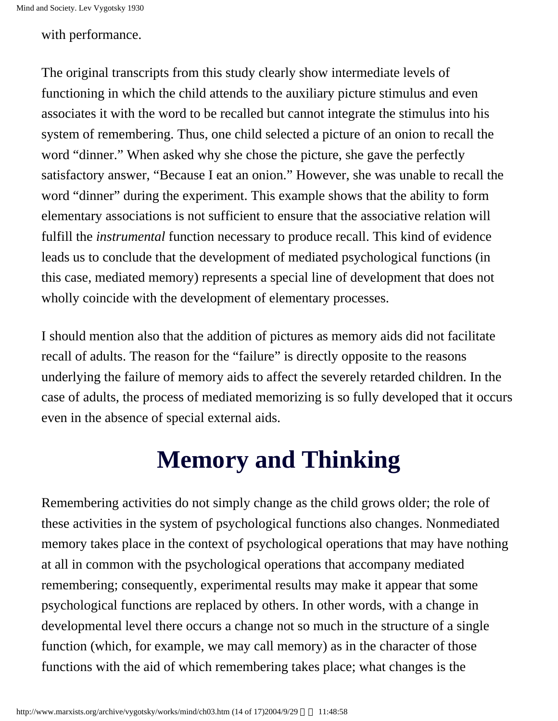#### with performance.

The original transcripts from this study clearly show intermediate levels of functioning in which the child attends to the auxiliary picture stimulus and even associates it with the word to be recalled but cannot integrate the stimulus into his system of remembering. Thus, one child selected a picture of an onion to recall the word "dinner." When asked why she chose the picture, she gave the perfectly satisfactory answer, "Because I eat an onion." However, she was unable to recall the word "dinner" during the experiment. This example shows that the ability to form elementary associations is not sufficient to ensure that the associative relation will fulfill the *instrumental* function necessary to produce recall. This kind of evidence leads us to conclude that the development of mediated psychological functions (in this case, mediated memory) represents a special line of development that does not wholly coincide with the development of elementary processes.

I should mention also that the addition of pictures as memory aids did not facilitate recall of adults. The reason for the "failure" is directly opposite to the reasons underlying the failure of memory aids to affect the severely retarded children. In the case of adults, the process of mediated memorizing is so fully developed that it occurs even in the absence of special external aids.

## **Memory and Thinking**

Remembering activities do not simply change as the child grows older; the role of these activities in the system of psychological functions also changes. Nonmediated memory takes place in the context of psychological operations that may have nothing at all in common with the psychological operations that accompany mediated remembering; consequently, experimental results may make it appear that some psychological functions are replaced by others. In other words, with a change in developmental level there occurs a change not so much in the structure of a single function (which, for example, we may call memory) as in the character of those functions with the aid of which remembering takes place; what changes is the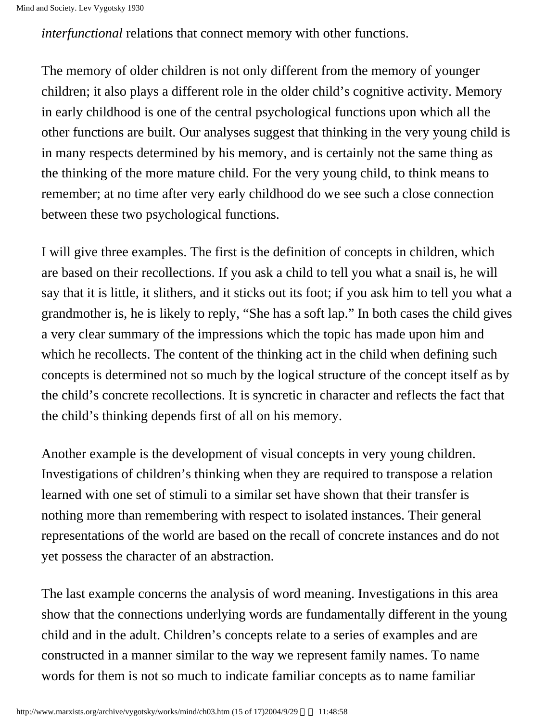*interfunctional* relations that connect memory with other functions.

The memory of older children is not only different from the memory of younger children; it also plays a different role in the older child's cognitive activity. Memory in early childhood is one of the central psychological functions upon which all the other functions are built. Our analyses suggest that thinking in the very young child is in many respects determined by his memory, and is certainly not the same thing as the thinking of the more mature child. For the very young child, to think means to remember; at no time after very early childhood do we see such a close connection between these two psychological functions.

I will give three examples. The first is the definition of concepts in children, which are based on their recollections. If you ask a child to tell you what a snail is, he will say that it is little, it slithers, and it sticks out its foot; if you ask him to tell you what a grandmother is, he is likely to reply, "She has a soft lap." In both cases the child gives a very clear summary of the impressions which the topic has made upon him and which he recollects. The content of the thinking act in the child when defining such concepts is determined not so much by the logical structure of the concept itself as by the child's concrete recollections. It is syncretic in character and reflects the fact that the child's thinking depends first of all on his memory.

Another example is the development of visual concepts in very young children. Investigations of children's thinking when they are required to transpose a relation learned with one set of stimuli to a similar set have shown that their transfer is nothing more than remembering with respect to isolated instances. Their general representations of the world are based on the recall of concrete instances and do not yet possess the character of an abstraction.

The last example concerns the analysis of word meaning. Investigations in this area show that the connections underlying words are fundamentally different in the young child and in the adult. Children's concepts relate to a series of examples and are constructed in a manner similar to the way we represent family names. To name words for them is not so much to indicate familiar concepts as to name familiar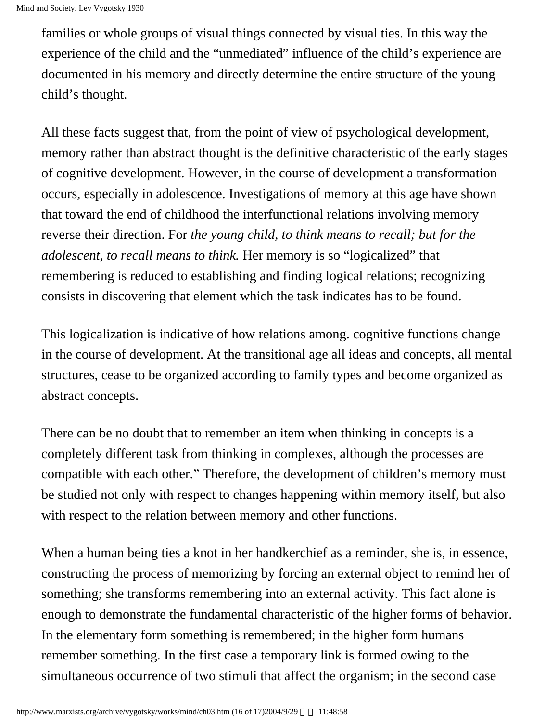families or whole groups of visual things connected by visual ties. In this way the experience of the child and the "unmediated" influence of the child's experience are documented in his memory and directly determine the entire structure of the young child's thought.

All these facts suggest that, from the point of view of psychological development, memory rather than abstract thought is the definitive characteristic of the early stages of cognitive development. However, in the course of development a transformation occurs, especially in adolescence. Investigations of memory at this age have shown that toward the end of childhood the interfunctional relations involving memory reverse their direction. For *the young child, to think means to recall; but for the adolescent, to recall means to think.* Her memory is so "logicalized" that remembering is reduced to establishing and finding logical relations; recognizing consists in discovering that element which the task indicates has to be found.

This logicalization is indicative of how relations among. cognitive functions change in the course of development. At the transitional age all ideas and concepts, all mental structures, cease to be organized according to family types and become organized as abstract concepts.

There can be no doubt that to remember an item when thinking in concepts is a completely different task from thinking in complexes, although the processes are compatible with each other." Therefore, the development of children's memory must be studied not only with respect to changes happening within memory itself, but also with respect to the relation between memory and other functions.

When a human being ties a knot in her handkerchief as a reminder, she is, in essence, constructing the process of memorizing by forcing an external object to remind her of something; she transforms remembering into an external activity. This fact alone is enough to demonstrate the fundamental characteristic of the higher forms of behavior. In the elementary form something is remembered; in the higher form humans remember something. In the first case a temporary link is formed owing to the simultaneous occurrence of two stimuli that affect the organism; in the second case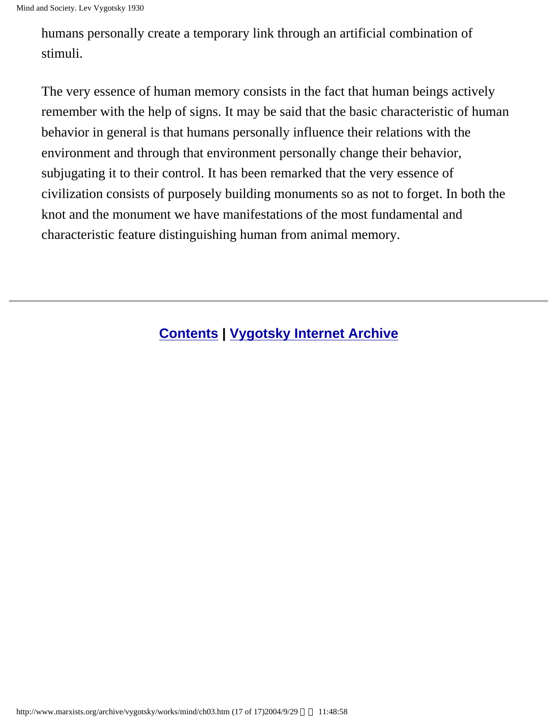humans personally create a temporary link through an artificial combination of stimuli.

The very essence of human memory consists in the fact that human beings actively remember with the help of signs. It may be said that the basic characteristic of human behavior in general is that humans personally influence their relations with the environment and through that environment personally change their behavior, subjugating it to their control. It has been remarked that the very essence of civilization consists of purposely building monuments so as not to forget. In both the knot and the monument we have manifestations of the most fundamental and characteristic feature distinguishing human from animal memory.

#### **[Contents](#page-0-0) | [Vygotsky Internet Archive](http://www.marxists.org/archive/vygotsky/index.htm)**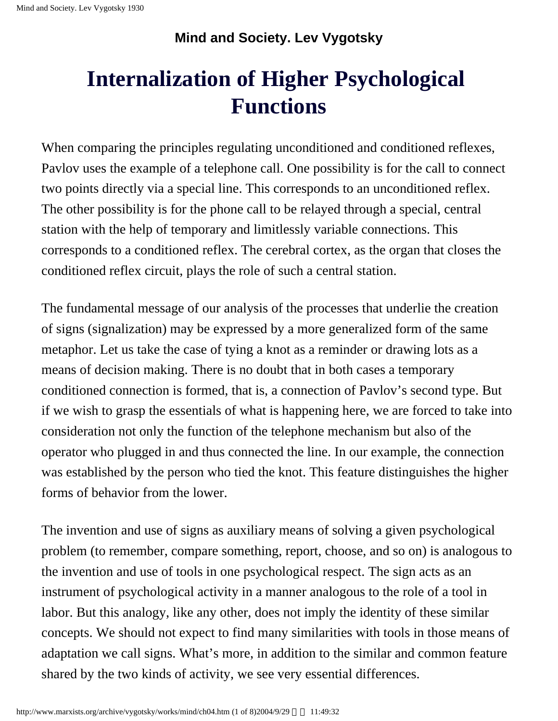#### **Mind and Society. Lev Vygotsky**

## **Internalization of Higher Psychological Functions**

When comparing the principles regulating unconditioned and conditioned reflexes, Pavlov uses the example of a telephone call. One possibility is for the call to connect two points directly via a special line. This corresponds to an unconditioned reflex. The other possibility is for the phone call to be relayed through a special, central station with the help of temporary and limitlessly variable connections. This corresponds to a conditioned reflex. The cerebral cortex, as the organ that closes the conditioned reflex circuit, plays the role of such a central station.

The fundamental message of our analysis of the processes that underlie the creation of signs (signalization) may be expressed by a more generalized form of the same metaphor. Let us take the case of tying a knot as a reminder or drawing lots as a means of decision making. There is no doubt that in both cases a temporary conditioned connection is formed, that is, a connection of Pavlov's second type. But if we wish to grasp the essentials of what is happening here, we are forced to take into consideration not only the function of the telephone mechanism but also of the operator who plugged in and thus connected the line. In our example, the connection was established by the person who tied the knot. This feature distinguishes the higher forms of behavior from the lower.

The invention and use of signs as auxiliary means of solving a given psychological problem (to remember, compare something, report, choose, and so on) is analogous to the invention and use of tools in one psychological respect. The sign acts as an instrument of psychological activity in a manner analogous to the role of a tool in labor. But this analogy, like any other, does not imply the identity of these similar concepts. We should not expect to find many similarities with tools in those means of adaptation we call signs. What's more, in addition to the similar and common feature shared by the two kinds of activity, we see very essential differences.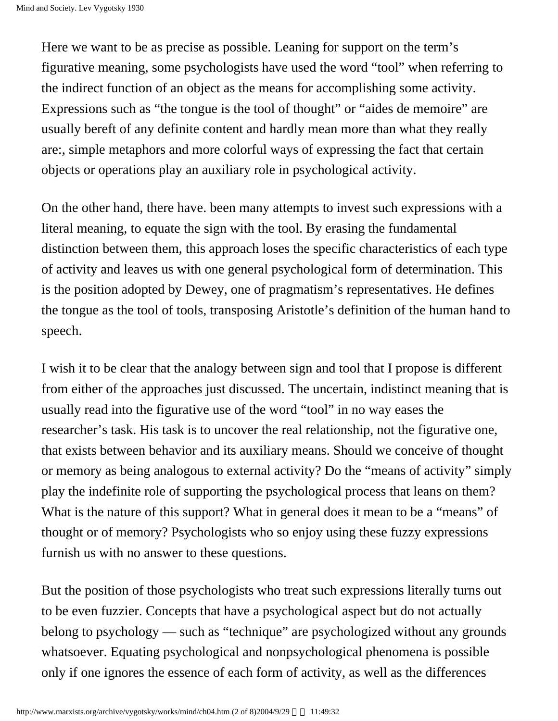Here we want to be as precise as possible. Leaning for support on the term's figurative meaning, some psychologists have used the word "tool" when referring to the indirect function of an object as the means for accomplishing some activity. Expressions such as "the tongue is the tool of thought" or "aides de memoire" are usually bereft of any definite content and hardly mean more than what they really are:, simple metaphors and more colorful ways of expressing the fact that certain objects or operations play an auxiliary role in psychological activity.

On the other hand, there have. been many attempts to invest such expressions with a literal meaning, to equate the sign with the tool. By erasing the fundamental distinction between them, this approach loses the specific characteristics of each type of activity and leaves us with one general psychological form of determination. This is the position adopted by Dewey, one of pragmatism's representatives. He defines the tongue as the tool of tools, transposing Aristotle's definition of the human hand to speech.

I wish it to be clear that the analogy between sign and tool that I propose is different from either of the approaches just discussed. The uncertain, indistinct meaning that is usually read into the figurative use of the word "tool" in no way eases the researcher's task. His task is to uncover the real relationship, not the figurative one, that exists between behavior and its auxiliary means. Should we conceive of thought or memory as being analogous to external activity? Do the "means of activity" simply play the indefinite role of supporting the psychological process that leans on them? What is the nature of this support? What in general does it mean to be a "means" of thought or of memory? Psychologists who so enjoy using these fuzzy expressions furnish us with no answer to these questions.

But the position of those psychologists who treat such expressions literally turns out to be even fuzzier. Concepts that have a psychological aspect but do not actually belong to psychology — such as "technique" are psychologized without any grounds whatsoever. Equating psychological and nonpsychological phenomena is possible only if one ignores the essence of each form of activity, as well as the differences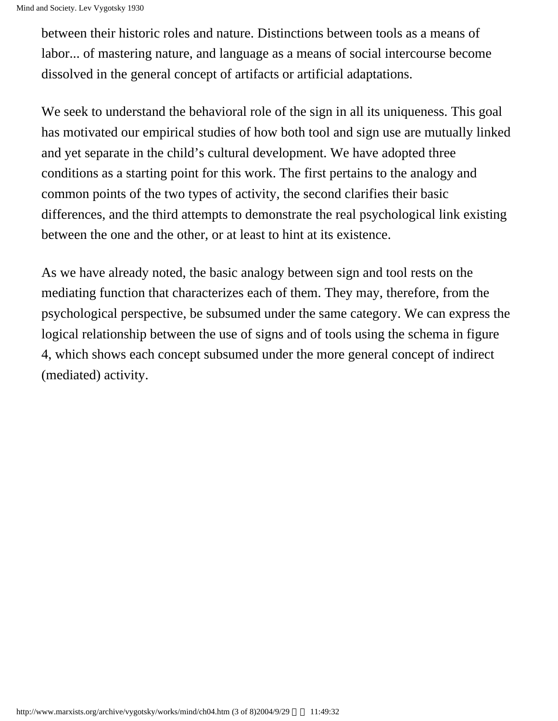between their historic roles and nature. Distinctions between tools as a means of labor... of mastering nature, and language as a means of social intercourse become dissolved in the general concept of artifacts or artificial adaptations.

We seek to understand the behavioral role of the sign in all its uniqueness. This goal has motivated our empirical studies of how both tool and sign use are mutually linked and yet separate in the child's cultural development. We have adopted three conditions as a starting point for this work. The first pertains to the analogy and common points of the two types of activity, the second clarifies their basic differences, and the third attempts to demonstrate the real psychological link existing between the one and the other, or at least to hint at its existence.

As we have already noted, the basic analogy between sign and tool rests on the mediating function that characterizes each of them. They may, therefore, from the psychological perspective, be subsumed under the same category. We can express the logical relationship between the use of signs and of tools using the schema in figure 4, which shows each concept subsumed under the more general concept of indirect (mediated) activity.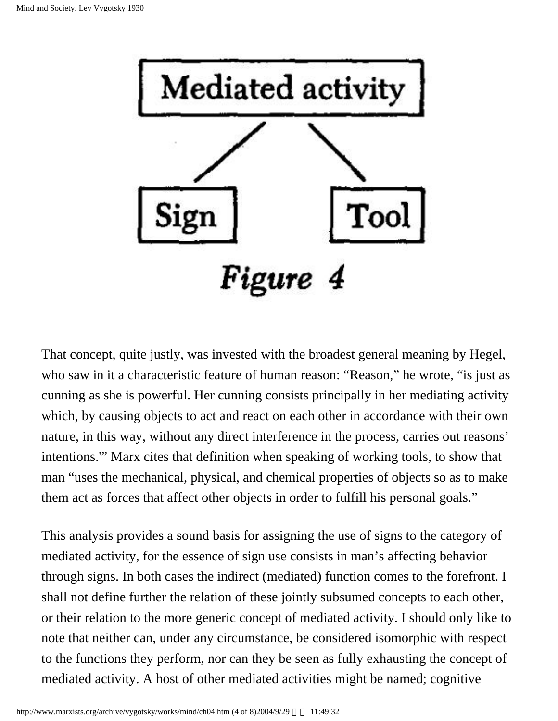

That concept, quite justly, was invested with the broadest general meaning by Hegel, who saw in it a characteristic feature of human reason: "Reason," he wrote, "is just as cunning as she is powerful. Her cunning consists principally in her mediating activity which, by causing objects to act and react on each other in accordance with their own nature, in this way, without any direct interference in the process, carries out reasons' intentions.'" Marx cites that definition when speaking of working tools, to show that man "uses the mechanical, physical, and chemical properties of objects so as to make them act as forces that affect other objects in order to fulfill his personal goals."

This analysis provides a sound basis for assigning the use of signs to the category of mediated activity, for the essence of sign use consists in man's affecting behavior through signs. In both cases the indirect (mediated) function comes to the forefront. I shall not define further the relation of these jointly subsumed concepts to each other, or their relation to the more generic concept of mediated activity. I should only like to note that neither can, under any circumstance, be considered isomorphic with respect to the functions they perform, nor can they be seen as fully exhausting the concept of mediated activity. A host of other mediated activities might be named; cognitive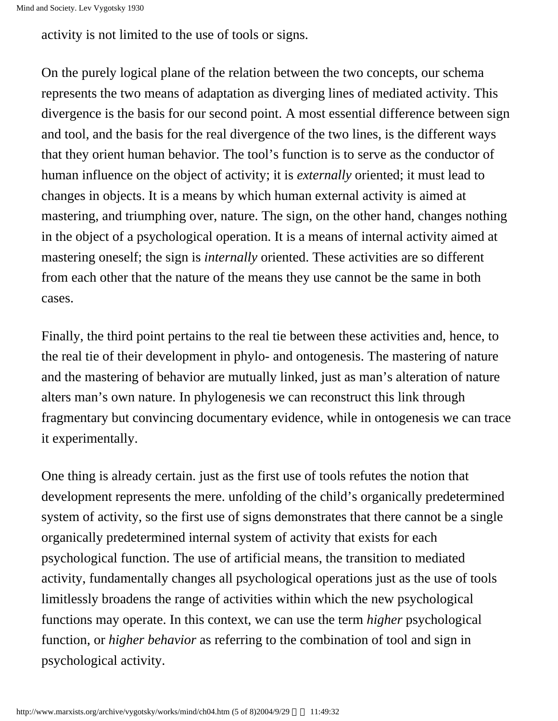activity is not limited to the use of tools or signs.

On the purely logical plane of the relation between the two concepts, our schema represents the two means of adaptation as diverging lines of mediated activity. This divergence is the basis for our second point. A most essential difference between sign and tool, and the basis for the real divergence of the two lines, is the different ways that they orient human behavior. The tool's function is to serve as the conductor of human influence on the object of activity; it is *externally* oriented; it must lead to changes in objects. It is a means by which human external activity is aimed at mastering, and triumphing over, nature. The sign, on the other hand, changes nothing in the object of a psychological operation. It is a means of internal activity aimed at mastering oneself; the sign is *internally* oriented. These activities are so different from each other that the nature of the means they use cannot be the same in both cases.

Finally, the third point pertains to the real tie between these activities and, hence, to the real tie of their development in phylo- and ontogenesis. The mastering of nature and the mastering of behavior are mutually linked, just as man's alteration of nature alters man's own nature. In phylogenesis we can reconstruct this link through fragmentary but convincing documentary evidence, while in ontogenesis we can trace it experimentally.

One thing is already certain. just as the first use of tools refutes the notion that development represents the mere. unfolding of the child's organically predetermined system of activity, so the first use of signs demonstrates that there cannot be a single organically predetermined internal system of activity that exists for each psychological function. The use of artificial means, the transition to mediated activity, fundamentally changes all psychological operations just as the use of tools limitlessly broadens the range of activities within which the new psychological functions may operate. In this context, we can use the term *higher* psychological function, or *higher behavior* as referring to the combination of tool and sign in psychological activity.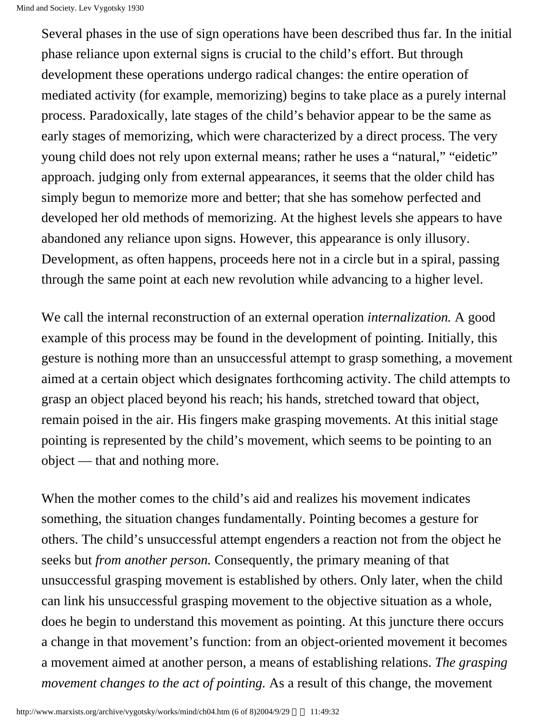Several phases in the use of sign operations have been described thus far. In the initial phase reliance upon external signs is crucial to the child's effort. But through development these operations undergo radical changes: the entire operation of mediated activity (for example, memorizing) begins to take place as a purely internal process. Paradoxically, late stages of the child's behavior appear to be the same as early stages of memorizing, which were characterized by a direct process. The very young child does not rely upon external means; rather he uses a "natural," "eidetic" approach. judging only from external appearances, it seems that the older child has simply begun to memorize more and better; that she has somehow perfected and developed her old methods of memorizing. At the highest levels she appears to have abandoned any reliance upon signs. However, this appearance is only illusory. Development, as often happens, proceeds here not in a circle but in a spiral, passing through the same point at each new revolution while advancing to a higher level.

We call the internal reconstruction of an external operation *internalization.* A good example of this process may be found in the development of pointing. Initially, this gesture is nothing more than an unsuccessful attempt to grasp something, a movement aimed at a certain object which designates forthcoming activity. The child attempts to grasp an object placed beyond his reach; his hands, stretched toward that object, remain poised in the air. His fingers make grasping movements. At this initial stage pointing is represented by the child's movement, which seems to be pointing to an object — that and nothing more.

When the mother comes to the child's aid and realizes his movement indicates something, the situation changes fundamentally. Pointing becomes a gesture for others. The child's unsuccessful attempt engenders a reaction not from the object he seeks but *from another person.* Consequently, the primary meaning of that unsuccessful grasping movement is established by others. Only later, when the child can link his unsuccessful grasping movement to the objective situation as a whole, does he begin to understand this movement as pointing. At this juncture there occurs a change in that movement's function: from an object-oriented movement it becomes a movement aimed at another person, a means of establishing relations. *The grasping movement changes to the act of pointing.* As a result of this change, the movement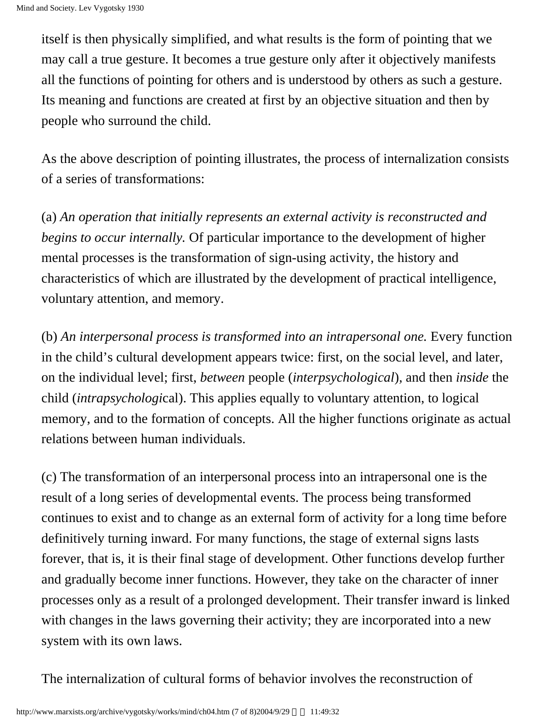itself is then physically simplified, and what results is the form of pointing that we may call a true gesture. It becomes a true gesture only after it objectively manifests all the functions of pointing for others and is understood by others as such a gesture. Its meaning and functions are created at first by an objective situation and then by people who surround the child.

As the above description of pointing illustrates, the process of internalization consists of a series of transformations:

(a) *An operation that initially represents an external activity is reconstructed and begins to occur internally.* Of particular importance to the development of higher mental processes is the transformation of sign-using activity, the history and characteristics of which are illustrated by the development of practical intelligence, voluntary attention, and memory.

(b) *An interpersonal process is transformed into an intrapersonal one.* Every function in the child's cultural development appears twice: first, on the social level, and later, on the individual level; first, *between* people (*interpsychological*)*,* and then *inside* the child (*intrapsychologi*cal). This applies equally to voluntary attention, to logical memory, and to the formation of concepts. All the higher functions originate as actual relations between human individuals.

(c) The transformation of an interpersonal process into an intrapersonal one is the result of a long series of developmental events. The process being transformed continues to exist and to change as an external form of activity for a long time before definitively turning inward. For many functions, the stage of external signs lasts forever, that is, it is their final stage of development. Other functions develop further and gradually become inner functions. However, they take on the character of inner processes only as a result of a prolonged development. Their transfer inward is linked with changes in the laws governing their activity; they are incorporated into a new system with its own laws.

The internalization of cultural forms of behavior involves the reconstruction of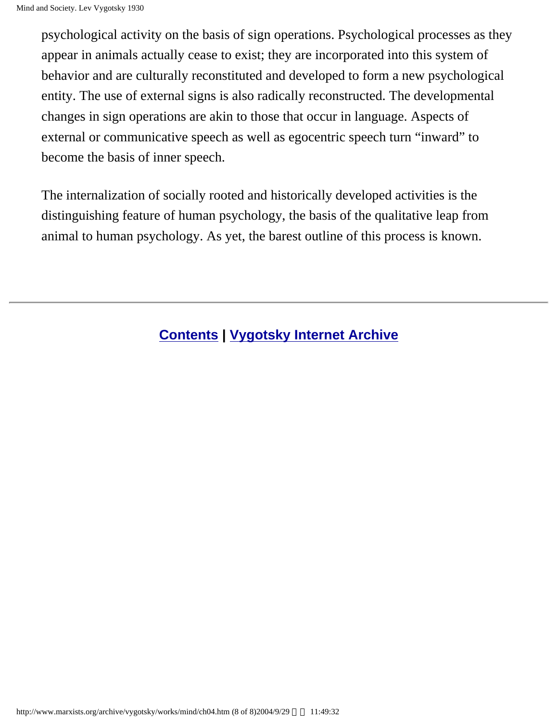psychological activity on the basis of sign operations. Psychological processes as they appear in animals actually cease to exist; they are incorporated into this system of behavior and are culturally reconstituted and developed to form a new psychological entity. The use of external signs is also radically reconstructed. The developmental changes in sign operations are akin to those that occur in language. Aspects of external or communicative speech as well as egocentric speech turn "inward" to become the basis of inner speech.

The internalization of socially rooted and historically developed activities is the distinguishing feature of human psychology, the basis of the qualitative leap from animal to human psychology. As yet, the barest outline of this process is known.

### **[Contents](#page-0-0) | [Vygotsky Internet Archive](http://www.marxists.org/archive/vygotsky/index.htm)**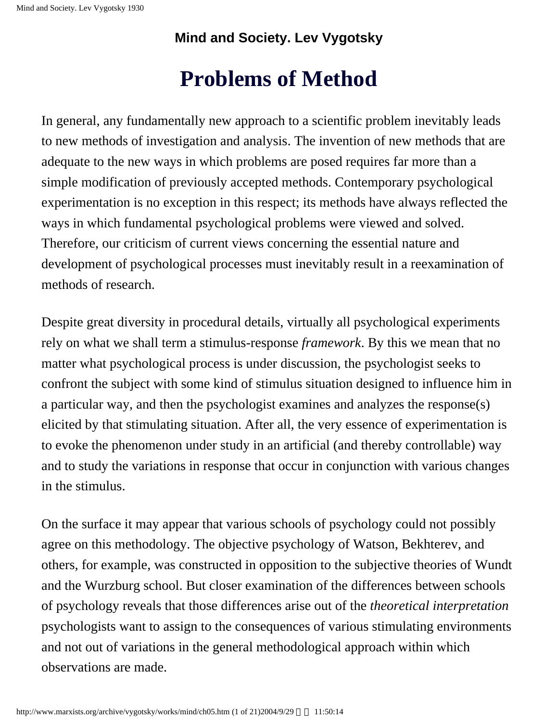### **Mind and Society. Lev Vygotsky**

### **Problems of Method**

In general, any fundamentally new approach to a scientific problem inevitably leads to new methods of investigation and analysis. The invention of new methods that are adequate to the new ways in which problems are posed requires far more than a simple modification of previously accepted methods. Contemporary psychological experimentation is no exception in this respect; its methods have always reflected the ways in which fundamental psychological problems were viewed and solved. Therefore, our criticism of current views concerning the essential nature and development of psychological processes must inevitably result in a reexamination of methods of research.

Despite great diversity in procedural details, virtually all psychological experiments rely on what we shall term a stimulus-response *framework*. By this we mean that no matter what psychological process is under discussion, the psychologist seeks to confront the subject with some kind of stimulus situation designed to influence him in a particular way, and then the psychologist examines and analyzes the response(s) elicited by that stimulating situation. After all, the very essence of experimentation is to evoke the phenomenon under study in an artificial (and thereby controllable) way and to study the variations in response that occur in conjunction with various changes in the stimulus.

On the surface it may appear that various schools of psychology could not possibly agree on this methodology. The objective psychology of Watson, Bekhterev, and others, for example, was constructed in opposition to the subjective theories of Wundt and the Wurzburg school. But closer examination of the differences between schools of psychology reveals that those differences arise out of the *theoretical interpretation*  psychologists want to assign to the consequences of various stimulating environments and not out of variations in the general methodological approach within which observations are made.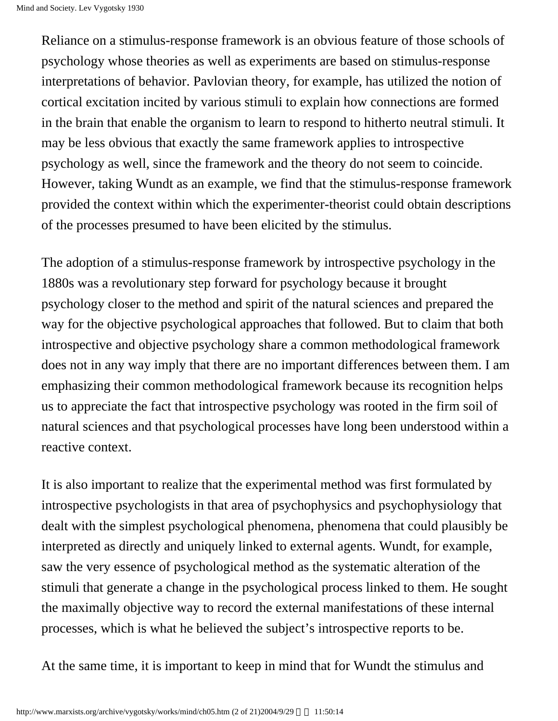Reliance on a stimulus-response framework is an obvious feature of those schools of psychology whose theories as well as experiments are based on stimulus-response interpretations of behavior. Pavlovian theory, for example, has utilized the notion of cortical excitation incited by various stimuli to explain how connections are formed in the brain that enable the organism to learn to respond to hitherto neutral stimuli. It may be less obvious that exactly the same framework applies to introspective psychology as well, since the framework and the theory do not seem to coincide. However, taking Wundt as an example, we find that the stimulus-response framework provided the context within which the experimenter-theorist could obtain descriptions of the processes presumed to have been elicited by the stimulus.

The adoption of a stimulus-response framework by introspective psychology in the 1880s was a revolutionary step forward for psychology because it brought psychology closer to the method and spirit of the natural sciences and prepared the way for the objective psychological approaches that followed. But to claim that both introspective and objective psychology share a common methodological framework does not in any way imply that there are no important differences between them. I am emphasizing their common methodological framework because its recognition helps us to appreciate the fact that introspective psychology was rooted in the firm soil of natural sciences and that psychological processes have long been understood within a reactive context.

It is also important to realize that the experimental method was first formulated by introspective psychologists in that area of psychophysics and psychophysiology that dealt with the simplest psychological phenomena, phenomena that could plausibly be interpreted as directly and uniquely linked to external agents. Wundt, for example, saw the very essence of psychological method as the systematic alteration of the stimuli that generate a change in the psychological process linked to them. He sought the maximally objective way to record the external manifestations of these internal processes, which is what he believed the subject's introspective reports to be.

At the same time, it is important to keep in mind that for Wundt the stimulus and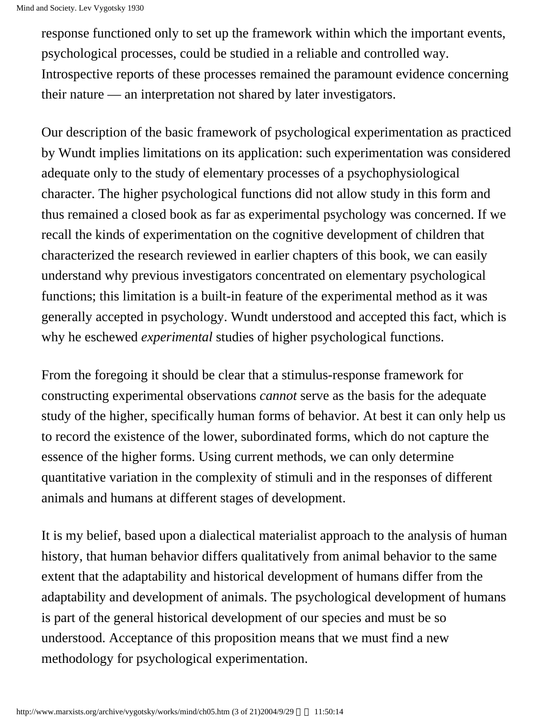response functioned only to set up the framework within which the important events, psychological processes, could be studied in a reliable and controlled way. Introspective reports of these processes remained the paramount evidence concerning their nature — an interpretation not shared by later investigators.

Our description of the basic framework of psychological experimentation as practiced by Wundt implies limitations on its application: such experimentation was considered adequate only to the study of elementary processes of a psychophysiological character. The higher psychological functions did not allow study in this form and thus remained a closed book as far as experimental psychology was concerned. If we recall the kinds of experimentation on the cognitive development of children that characterized the research reviewed in earlier chapters of this book, we can easily understand why previous investigators concentrated on elementary psychological functions; this limitation is a built-in feature of the experimental method as it was generally accepted in psychology. Wundt understood and accepted this fact, which is why he eschewed *experimental* studies of higher psychological functions.

From the foregoing it should be clear that a stimulus-response framework for constructing experimental observations *cannot* serve as the basis for the adequate study of the higher, specifically human forms of behavior. At best it can only help us to record the existence of the lower, subordinated forms, which do not capture the essence of the higher forms. Using current methods, we can only determine quantitative variation in the complexity of stimuli and in the responses of different animals and humans at different stages of development.

It is my belief, based upon a dialectical materialist approach to the analysis of human history, that human behavior differs qualitatively from animal behavior to the same extent that the adaptability and historical development of humans differ from the adaptability and development of animals. The psychological development of humans is part of the general historical development of our species and must be so understood. Acceptance of this proposition means that we must find a new methodology for psychological experimentation.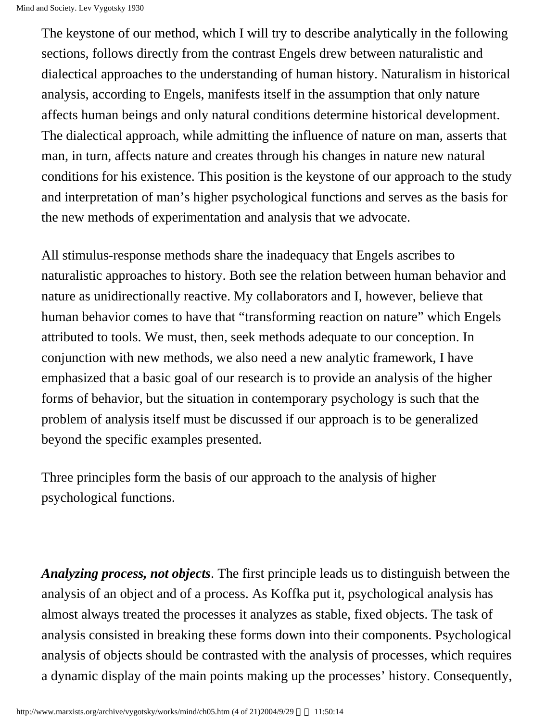The keystone of our method, which I will try to describe analytically in the following sections, follows directly from the contrast Engels drew between naturalistic and dialectical approaches to the understanding of human history. Naturalism in historical analysis, according to Engels, manifests itself in the assumption that only nature affects human beings and only natural conditions determine historical development. The dialectical approach, while admitting the influence of nature on man, asserts that man, in turn, affects nature and creates through his changes in nature new natural conditions for his existence. This position is the keystone of our approach to the study and interpretation of man's higher psychological functions and serves as the basis for the new methods of experimentation and analysis that we advocate.

All stimulus-response methods share the inadequacy that Engels ascribes to naturalistic approaches to history. Both see the relation between human behavior and nature as unidirectionally reactive. My collaborators and I, however, believe that human behavior comes to have that "transforming reaction on nature" which Engels attributed to tools. We must, then, seek methods adequate to our conception. In conjunction with new methods, we also need a new analytic framework, I have emphasized that a basic goal of our research is to provide an analysis of the higher forms of behavior, but the situation in contemporary psychology is such that the problem of analysis itself must be discussed if our approach is to be generalized beyond the specific examples presented.

Three principles form the basis of our approach to the analysis of higher psychological functions.

*Analyzing process, not objects*. The first principle leads us to distinguish between the analysis of an object and of a process. As Koffka put it, psychological analysis has almost always treated the processes it analyzes as stable, fixed objects. The task of analysis consisted in breaking these forms down into their components. Psychological analysis of objects should be contrasted with the analysis of processes, which requires a dynamic display of the main points making up the processes' history. Consequently,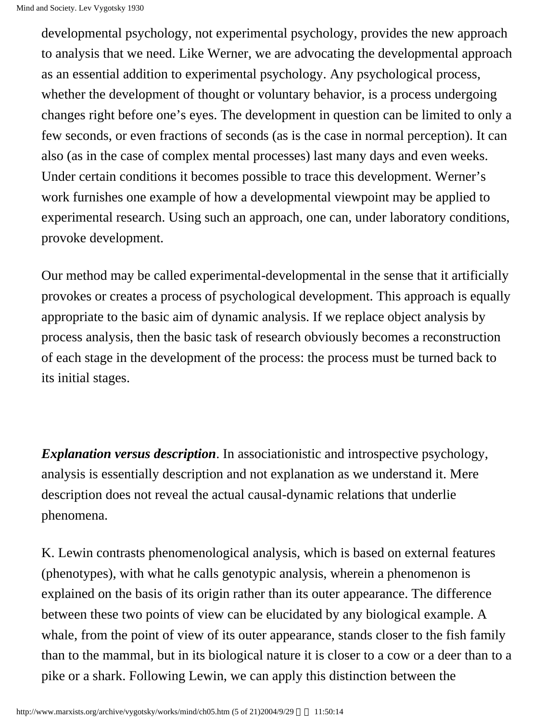developmental psychology, not experimental psychology, provides the new approach to analysis that we need. Like Werner, we are advocating the developmental approach as an essential addition to experimental psychology. Any psychological process, whether the development of thought or voluntary behavior, is a process undergoing changes right before one's eyes. The development in question can be limited to only a few seconds, or even fractions of seconds (as is the case in normal perception). It can also (as in the case of complex mental processes) last many days and even weeks. Under certain conditions it becomes possible to trace this development. Werner's work furnishes one example of how a developmental viewpoint may be applied to experimental research. Using such an approach, one can, under laboratory conditions, provoke development.

Our method may be called experimental-developmental in the sense that it artificially provokes or creates a process of psychological development. This approach is equally appropriate to the basic aim of dynamic analysis. If we replace object analysis by process analysis, then the basic task of research obviously becomes a reconstruction of each stage in the development of the process: the process must be turned back to its initial stages.

*Explanation versus description*. In associationistic and introspective psychology, analysis is essentially description and not explanation as we understand it. Mere description does not reveal the actual causal-dynamic relations that underlie phenomena.

K. Lewin contrasts phenomenological analysis, which is based on external features (phenotypes), with what he calls genotypic analysis, wherein a phenomenon is explained on the basis of its origin rather than its outer appearance. The difference between these two points of view can be elucidated by any biological example. A whale, from the point of view of its outer appearance, stands closer to the fish family than to the mammal, but in its biological nature it is closer to a cow or a deer than to a pike or a shark. Following Lewin, we can apply this distinction between the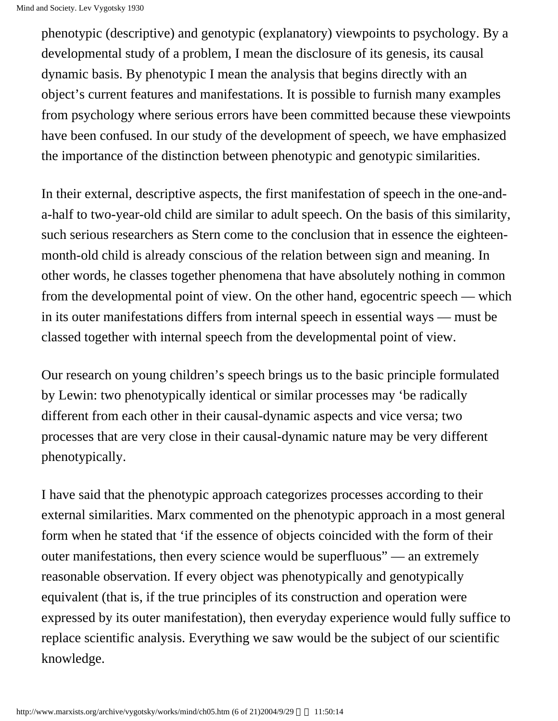phenotypic (descriptive) and genotypic (explanatory) viewpoints to psychology. By a developmental study of a problem, I mean the disclosure of its genesis, its causal dynamic basis. By phenotypic I mean the analysis that begins directly with an object's current features and manifestations. It is possible to furnish many examples from psychology where serious errors have been committed because these viewpoints have been confused. In our study of the development of speech, we have emphasized the importance of the distinction between phenotypic and genotypic similarities.

In their external, descriptive aspects, the first manifestation of speech in the one-anda-half to two-year-old child are similar to adult speech. On the basis of this similarity, such serious researchers as Stern come to the conclusion that in essence the eighteenmonth-old child is already conscious of the relation between sign and meaning. In other words, he classes together phenomena that have absolutely nothing in common from the developmental point of view. On the other hand, egocentric speech — which in its outer manifestations differs from internal speech in essential ways — must be classed together with internal speech from the developmental point of view.

Our research on young children's speech brings us to the basic principle formulated by Lewin: two phenotypically identical or similar processes may 'be radically different from each other in their causal-dynamic aspects and vice versa; two processes that are very close in their causal-dynamic nature may be very different phenotypically.

I have said that the phenotypic approach categorizes processes according to their external similarities. Marx commented on the phenotypic approach in a most general form when he stated that 'if the essence of objects coincided with the form of their outer manifestations, then every science would be superfluous" — an extremely reasonable observation. If every object was phenotypically and genotypically equivalent (that is, if the true principles of its construction and operation were expressed by its outer manifestation), then everyday experience would fully suffice to replace scientific analysis. Everything we saw would be the subject of our scientific knowledge.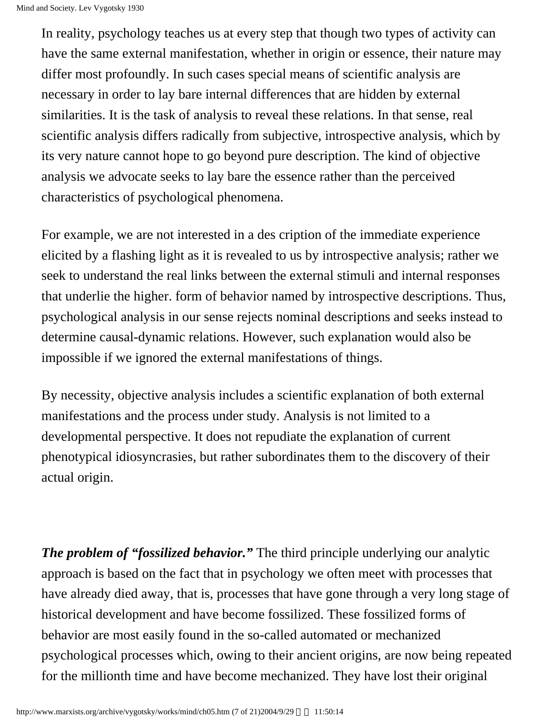In reality, psychology teaches us at every step that though two types of activity can have the same external manifestation, whether in origin or essence, their nature may differ most profoundly. In such cases special means of scientific analysis are necessary in order to lay bare internal differences that are hidden by external similarities. It is the task of analysis to reveal these relations. In that sense, real scientific analysis differs radically from subjective, introspective analysis, which by its very nature cannot hope to go beyond pure description. The kind of objective analysis we advocate seeks to lay bare the essence rather than the perceived characteristics of psychological phenomena.

For example, we are not interested in a des cription of the immediate experience elicited by a flashing light as it is revealed to us by introspective analysis; rather we seek to understand the real links between the external stimuli and internal responses that underlie the higher. form of behavior named by introspective descriptions. Thus, psychological analysis in our sense rejects nominal descriptions and seeks instead to determine causal-dynamic relations. However, such explanation would also be impossible if we ignored the external manifestations of things.

By necessity, objective analysis includes a scientific explanation of both external manifestations and the process under study. Analysis is not limited to a developmental perspective. It does not repudiate the explanation of current phenotypical idiosyncrasies, but rather subordinates them to the discovery of their actual origin.

*The problem of "fossilized behavior."* The third principle underlying our analytic approach is based on the fact that in psychology we often meet with processes that have already died away, that is, processes that have gone through a very long stage of historical development and have become fossilized. These fossilized forms of behavior are most easily found in the so-called automated or mechanized psychological processes which, owing to their ancient origins, are now being repeated for the millionth time and have become mechanized. They have lost their original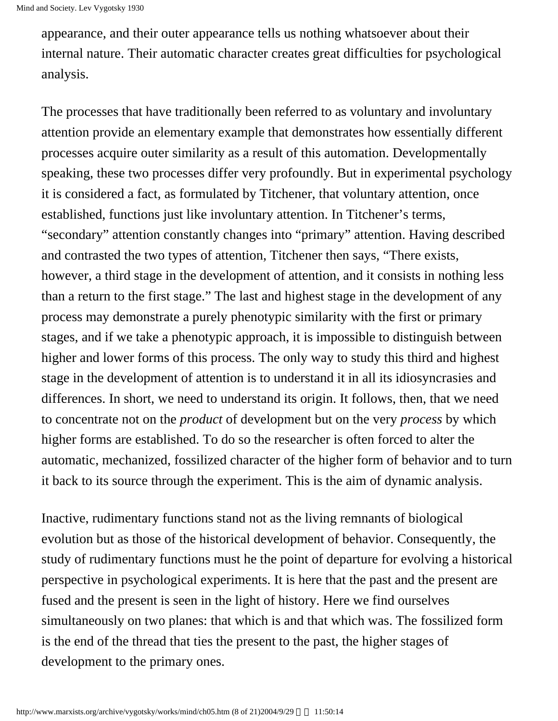appearance, and their outer appearance tells us nothing whatsoever about their internal nature. Their automatic character creates great difficulties for psychological analysis.

The processes that have traditionally been referred to as voluntary and involuntary attention provide an elementary example that demonstrates how essentially different processes acquire outer similarity as a result of this automation. Developmentally speaking, these two processes differ very profoundly. But in experimental psychology it is considered a fact, as formulated by Titchener, that voluntary attention, once established, functions just like involuntary attention. In Titchener's terms, "secondary" attention constantly changes into "primary" attention. Having described and contrasted the two types of attention, Titchener then says, "There exists, however, a third stage in the development of attention, and it consists in nothing less than a return to the first stage." The last and highest stage in the development of any process may demonstrate a purely phenotypic similarity with the first or primary stages, and if we take a phenotypic approach, it is impossible to distinguish between higher and lower forms of this process. The only way to study this third and highest stage in the development of attention is to understand it in all its idiosyncrasies and differences. In short, we need to understand its origin. It follows, then, that we need to concentrate not on the *product* of development but on the very *process* by which higher forms are established. To do so the researcher is often forced to alter the automatic, mechanized, fossilized character of the higher form of behavior and to turn it back to its source through the experiment. This is the aim of dynamic analysis.

Inactive, rudimentary functions stand not as the living remnants of biological evolution but as those of the historical development of behavior. Consequently, the study of rudimentary functions must he the point of departure for evolving a historical perspective in psychological experiments. It is here that the past and the present are fused and the present is seen in the light of history. Here we find ourselves simultaneously on two planes: that which is and that which was. The fossilized form is the end of the thread that ties the present to the past, the higher stages of development to the primary ones.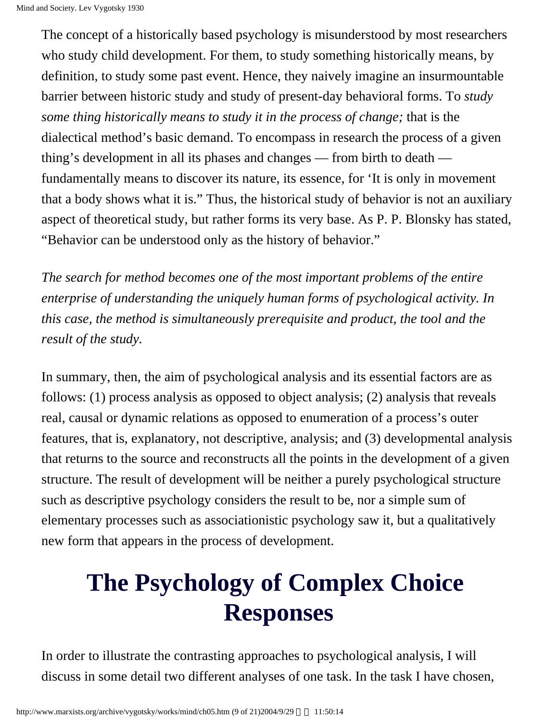The concept of a historically based psychology is misunderstood by most researchers who study child development. For them, to study something historically means, by definition, to study some past event. Hence, they naively imagine an insurmountable barrier between historic study and study of present-day behavioral forms. To *study some thing historically means to study it in the process of change;* that is the dialectical method's basic demand. To encompass in research the process of a given thing's development in all its phases and changes — from birth to death fundamentally means to discover its nature, its essence, for 'It is only in movement that a body shows what it is." Thus, the historical study of behavior is not an auxiliary aspect of theoretical study, but rather forms its very base. As P. P. Blonsky has stated, "Behavior can be understood only as the history of behavior."

*The search for method becomes one of the most important problems of the entire enterprise of understanding the uniquely human forms of psychological activity. In this case, the method is simultaneously prerequisite and product, the tool and the result of the study.*

In summary, then, the aim of psychological analysis and its essential factors are as follows: (1) process analysis as opposed to object analysis; (2) analysis that reveals real, causal or dynamic relations as opposed to enumeration of a process's outer features, that is, explanatory, not descriptive, analysis; and (3) developmental analysis that returns to the source and reconstructs all the points in the development of a given structure. The result of development will be neither a purely psychological structure such as descriptive psychology considers the result to be, nor a simple sum of elementary processes such as associationistic psychology saw it, but a qualitatively new form that appears in the process of development.

# **The Psychology of Complex Choice Responses**

In order to illustrate the contrasting approaches to psychological analysis, I will discuss in some detail two different analyses of one task. In the task I have chosen,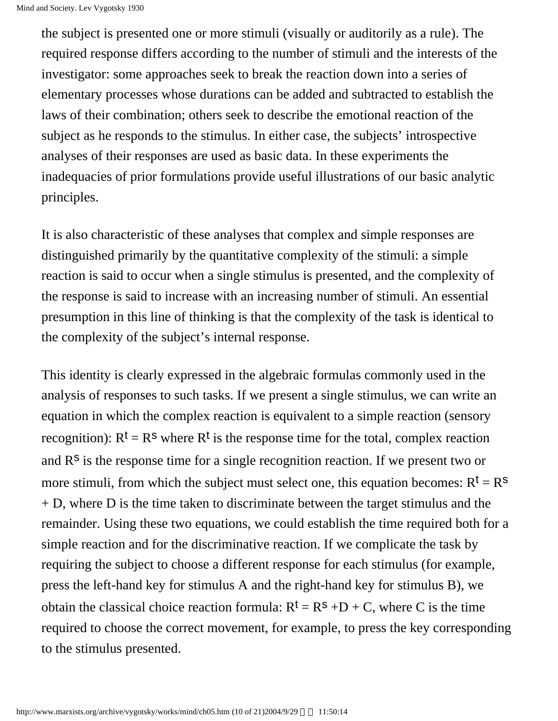the subject is presented one or more stimuli (visually or auditorily as a rule). The required response differs according to the number of stimuli and the interests of the investigator: some approaches seek to break the reaction down into a series of elementary processes whose durations can be added and subtracted to establish the laws of their combination; others seek to describe the emotional reaction of the subject as he responds to the stimulus. In either case, the subjects' introspective analyses of their responses are used as basic data. In these experiments the inadequacies of prior formulations provide useful illustrations of our basic analytic principles.

It is also characteristic of these analyses that complex and simple responses are distinguished primarily by the quantitative complexity of the stimuli: a simple reaction is said to occur when a single stimulus is presented, and the complexity of the response is said to increase with an increasing number of stimuli. An essential presumption in this line of thinking is that the complexity of the task is identical to the complexity of the subject's internal response.

This identity is clearly expressed in the algebraic formulas commonly used in the analysis of responses to such tasks. If we present a single stimulus, we can write an equation in which the complex reaction is equivalent to a simple reaction (sensory recognition):  $R^t = R^s$  where  $R^t$  is the response time for the total, complex reaction and  $R<sup>S</sup>$  is the response time for a single recognition reaction. If we present two or more stimuli, from which the subject must select one, this equation becomes:  $R^t = R^s$ + D, where D is the time taken to discriminate between the target stimulus and the remainder. Using these two equations, we could establish the time required both for a simple reaction and for the discriminative reaction. If we complicate the task by requiring the subject to choose a different response for each stimulus (for example, press the left-hand key for stimulus A and the right-hand key for stimulus B), we obtain the classical choice reaction formula:  $R^t = R^s + D + C$ , where C is the time required to choose the correct movement, for example, to press the key corresponding to the stimulus presented.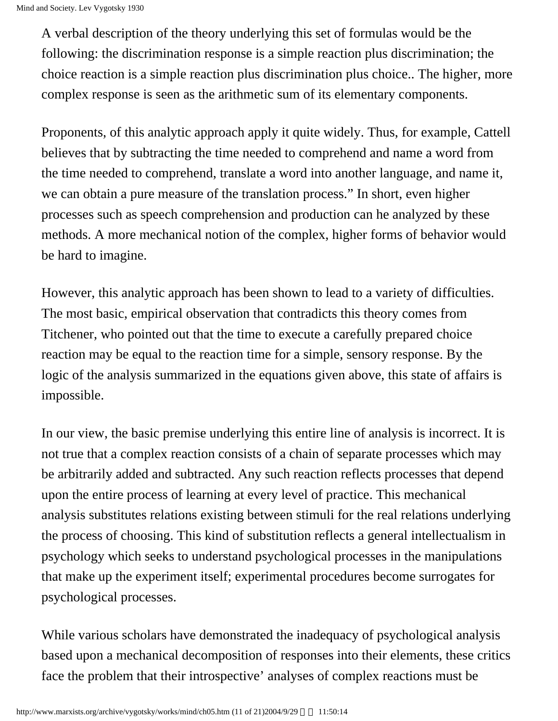A verbal description of the theory underlying this set of formulas would be the following: the discrimination response is a simple reaction plus discrimination; the choice reaction is a simple reaction plus discrimination plus choice.. The higher, more complex response is seen as the arithmetic sum of its elementary components.

Proponents, of this analytic approach apply it quite widely. Thus, for example, Cattell believes that by subtracting the time needed to comprehend and name a word from the time needed to comprehend, translate a word into another language, and name it, we can obtain a pure measure of the translation process." In short, even higher processes such as speech comprehension and production can he analyzed by these methods. A more mechanical notion of the complex, higher forms of behavior would be hard to imagine.

However, this analytic approach has been shown to lead to a variety of difficulties. The most basic, empirical observation that contradicts this theory comes from Titchener, who pointed out that the time to execute a carefully prepared choice reaction may be equal to the reaction time for a simple, sensory response. By the logic of the analysis summarized in the equations given above, this state of affairs is impossible.

In our view, the basic premise underlying this entire line of analysis is incorrect. It is not true that a complex reaction consists of a chain of separate processes which may be arbitrarily added and subtracted. Any such reaction reflects processes that depend upon the entire process of learning at every level of practice. This mechanical analysis substitutes relations existing between stimuli for the real relations underlying the process of choosing. This kind of substitution reflects a general intellectualism in psychology which seeks to understand psychological processes in the manipulations that make up the experiment itself; experimental procedures become surrogates for psychological processes.

While various scholars have demonstrated the inadequacy of psychological analysis based upon a mechanical decomposition of responses into their elements, these critics face the problem that their introspective' analyses of complex reactions must be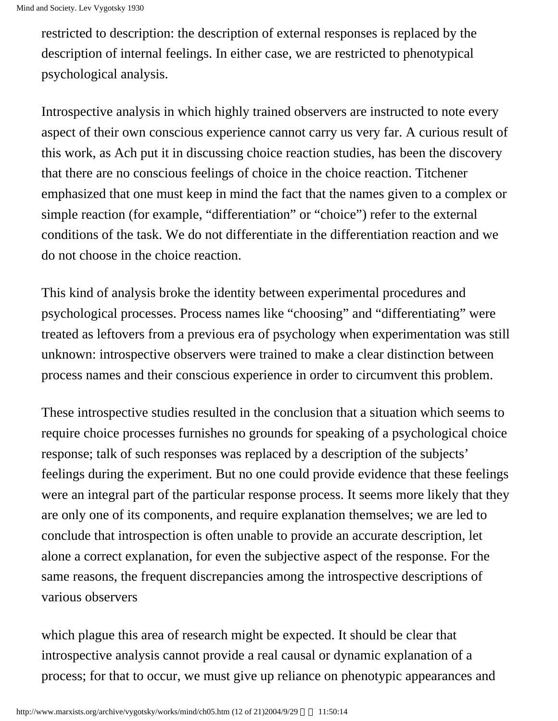restricted to description: the description of external responses is replaced by the description of internal feelings. In either case, we are restricted to phenotypical psychological analysis.

Introspective analysis in which highly trained observers are instructed to note every aspect of their own conscious experience cannot carry us very far. A curious result of this work, as Ach put it in discussing choice reaction studies, has been the discovery that there are no conscious feelings of choice in the choice reaction. Titchener emphasized that one must keep in mind the fact that the names given to a complex or simple reaction (for example, "differentiation" or "choice") refer to the external conditions of the task. We do not differentiate in the differentiation reaction and we do not choose in the choice reaction.

This kind of analysis broke the identity between experimental procedures and psychological processes. Process names like "choosing" and "differentiating" were treated as leftovers from a previous era of psychology when experimentation was still unknown: introspective observers were trained to make a clear distinction between process names and their conscious experience in order to circumvent this problem.

These introspective studies resulted in the conclusion that a situation which seems to require choice processes furnishes no grounds for speaking of a psychological choice response; talk of such responses was replaced by a description of the subjects' feelings during the experiment. But no one could provide evidence that these feelings were an integral part of the particular response process. It seems more likely that they are only one of its components, and require explanation themselves; we are led to conclude that introspection is often unable to provide an accurate description, let alone a correct explanation, for even the subjective aspect of the response. For the same reasons, the frequent discrepancies among the introspective descriptions of various observers

which plague this area of research might be expected. It should be clear that introspective analysis cannot provide a real causal or dynamic explanation of a process; for that to occur, we must give up reliance on phenotypic appearances and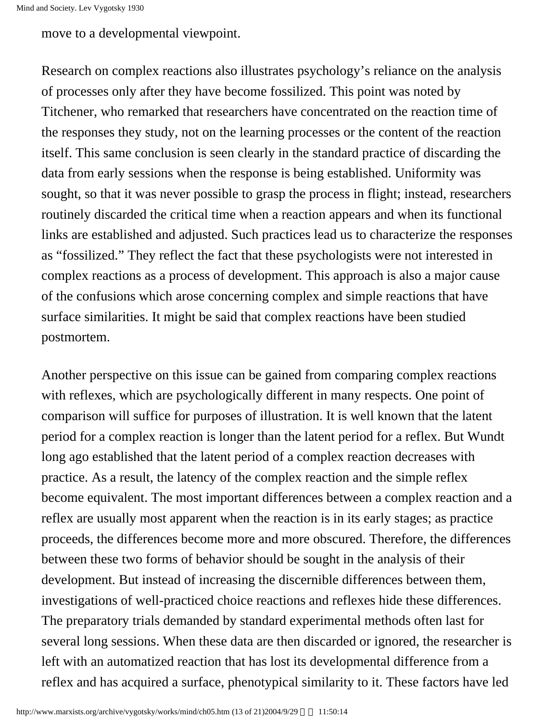move to a developmental viewpoint.

Research on complex reactions also illustrates psychology's reliance on the analysis of processes only after they have become fossilized. This point was noted by Titchener, who remarked that researchers have concentrated on the reaction time of the responses they study, not on the learning processes or the content of the reaction itself. This same conclusion is seen clearly in the standard practice of discarding the data from early sessions when the response is being established. Uniformity was sought, so that it was never possible to grasp the process in flight; instead, researchers routinely discarded the critical time when a reaction appears and when its functional links are established and adjusted. Such practices lead us to characterize the responses as "fossilized." They reflect the fact that these psychologists were not interested in complex reactions as a process of development. This approach is also a major cause of the confusions which arose concerning complex and simple reactions that have surface similarities. It might be said that complex reactions have been studied postmortem.

Another perspective on this issue can be gained from comparing complex reactions with reflexes, which are psychologically different in many respects. One point of comparison will suffice for purposes of illustration. It is well known that the latent period for a complex reaction is longer than the latent period for a reflex. But Wundt long ago established that the latent period of a complex reaction decreases with practice. As a result, the latency of the complex reaction and the simple reflex become equivalent. The most important differences between a complex reaction and a reflex are usually most apparent when the reaction is in its early stages; as practice proceeds, the differences become more and more obscured. Therefore, the differences between these two forms of behavior should be sought in the analysis of their development. But instead of increasing the discernible differences between them, investigations of well-practiced choice reactions and reflexes hide these differences. The preparatory trials demanded by standard experimental methods often last for several long sessions. When these data are then discarded or ignored, the researcher is left with an automatized reaction that has lost its developmental difference from a reflex and has acquired a surface, phenotypical similarity to it. These factors have led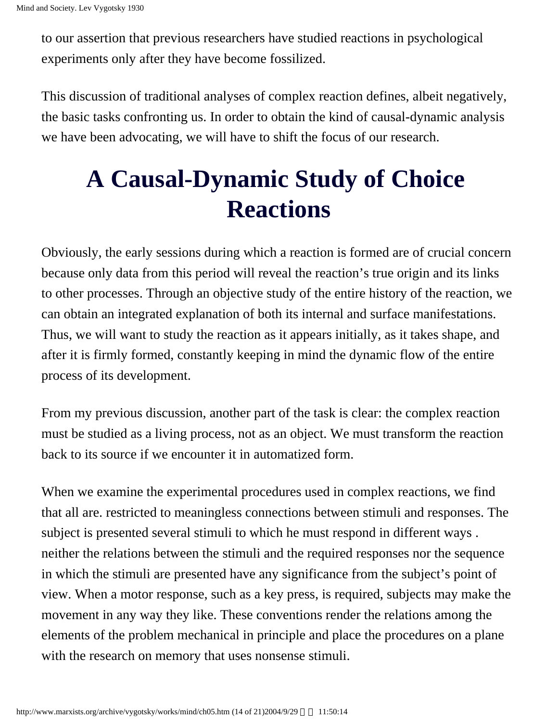to our assertion that previous researchers have studied reactions in psychological experiments only after they have become fossilized.

This discussion of traditional analyses of complex reaction defines, albeit negatively, the basic tasks confronting us. In order to obtain the kind of causal-dynamic analysis we have been advocating, we will have to shift the focus of our research.

# **A Causal-Dynamic Study of Choice Reactions**

Obviously, the early sessions during which a reaction is formed are of crucial concern because only data from this period will reveal the reaction's true origin and its links to other processes. Through an objective study of the entire history of the reaction, we can obtain an integrated explanation of both its internal and surface manifestations. Thus, we will want to study the reaction as it appears initially, as it takes shape, and after it is firmly formed, constantly keeping in mind the dynamic flow of the entire process of its development.

From my previous discussion, another part of the task is clear: the complex reaction must be studied as a living process, not as an object. We must transform the reaction back to its source if we encounter it in automatized form.

When we examine the experimental procedures used in complex reactions, we find that all are. restricted to meaningless connections between stimuli and responses. The subject is presented several stimuli to which he must respond in different ways . neither the relations between the stimuli and the required responses nor the sequence in which the stimuli are presented have any significance from the subject's point of view. When a motor response, such as a key press, is required, subjects may make the movement in any way they like. These conventions render the relations among the elements of the problem mechanical in principle and place the procedures on a plane with the research on memory that uses nonsense stimuli.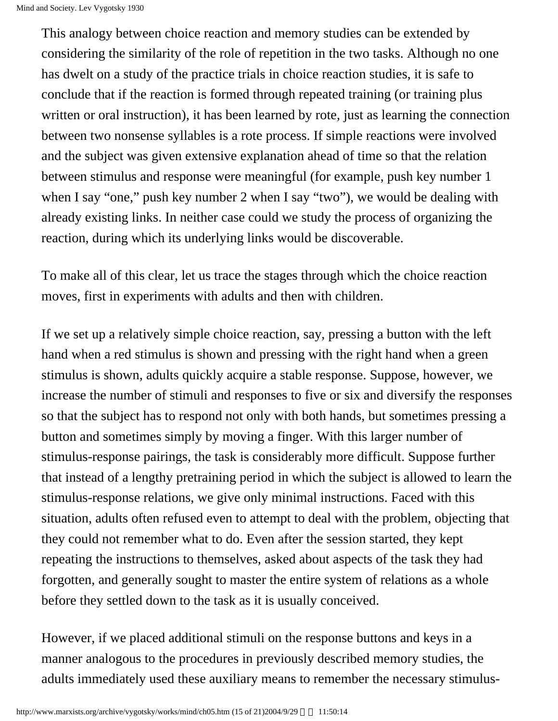This analogy between choice reaction and memory studies can be extended by considering the similarity of the role of repetition in the two tasks. Although no one has dwelt on a study of the practice trials in choice reaction studies, it is safe to conclude that if the reaction is formed through repeated training (or training plus written or oral instruction), it has been learned by rote, just as learning the connection between two nonsense syllables is a rote process. If simple reactions were involved and the subject was given extensive explanation ahead of time so that the relation between stimulus and response were meaningful (for example, push key number 1 when I say "one," push key number 2 when I say "two"), we would be dealing with already existing links. In neither case could we study the process of organizing the reaction, during which its underlying links would be discoverable.

To make all of this clear, let us trace the stages through which the choice reaction moves, first in experiments with adults and then with children.

If we set up a relatively simple choice reaction, say, pressing a button with the left hand when a red stimulus is shown and pressing with the right hand when a green stimulus is shown, adults quickly acquire a stable response. Suppose, however, we increase the number of stimuli and responses to five or six and diversify the responses so that the subject has to respond not only with both hands, but sometimes pressing a button and sometimes simply by moving a finger. With this larger number of stimulus-response pairings, the task is considerably more difficult. Suppose further that instead of a lengthy pretraining period in which the subject is allowed to learn the stimulus-response relations, we give only minimal instructions. Faced with this situation, adults often refused even to attempt to deal with the problem, objecting that they could not remember what to do. Even after the session started, they kept repeating the instructions to themselves, asked about aspects of the task they had forgotten, and generally sought to master the entire system of relations as a whole before they settled down to the task as it is usually conceived.

However, if we placed additional stimuli on the response buttons and keys in a manner analogous to the procedures in previously described memory studies, the adults immediately used these auxiliary means to remember the necessary stimulus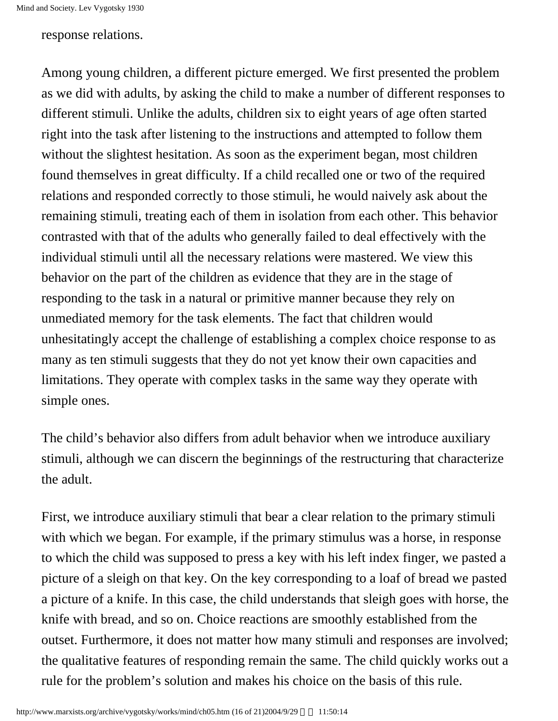response relations.

Among young children, a different picture emerged. We first presented the problem as we did with adults, by asking the child to make a number of different responses to different stimuli. Unlike the adults, children six to eight years of age often started right into the task after listening to the instructions and attempted to follow them without the slightest hesitation. As soon as the experiment began, most children found themselves in great difficulty. If a child recalled one or two of the required relations and responded correctly to those stimuli, he would naively ask about the remaining stimuli, treating each of them in isolation from each other. This behavior contrasted with that of the adults who generally failed to deal effectively with the individual stimuli until all the necessary relations were mastered. We view this behavior on the part of the children as evidence that they are in the stage of responding to the task in a natural or primitive manner because they rely on unmediated memory for the task elements. The fact that children would unhesitatingly accept the challenge of establishing a complex choice response to as many as ten stimuli suggests that they do not yet know their own capacities and limitations. They operate with complex tasks in the same way they operate with simple ones.

The child's behavior also differs from adult behavior when we introduce auxiliary stimuli, although we can discern the beginnings of the restructuring that characterize the adult.

First, we introduce auxiliary stimuli that bear a clear relation to the primary stimuli with which we began. For example, if the primary stimulus was a horse, in response to which the child was supposed to press a key with his left index finger, we pasted a picture of a sleigh on that key. On the key corresponding to a loaf of bread we pasted a picture of a knife. In this case, the child understands that sleigh goes with horse, the knife with bread, and so on. Choice reactions are smoothly established from the outset. Furthermore, it does not matter how many stimuli and responses are involved; the qualitative features of responding remain the same. The child quickly works out a rule for the problem's solution and makes his choice on the basis of this rule.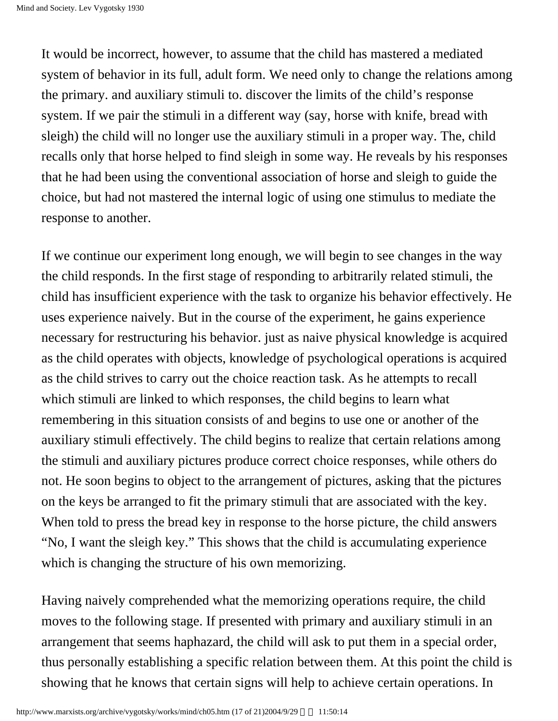It would be incorrect, however, to assume that the child has mastered a mediated system of behavior in its full, adult form. We need only to change the relations among the primary. and auxiliary stimuli to. discover the limits of the child's response system. If we pair the stimuli in a different way (say, horse with knife, bread with sleigh) the child will no longer use the auxiliary stimuli in a proper way. The, child recalls only that horse helped to find sleigh in some way. He reveals by his responses that he had been using the conventional association of horse and sleigh to guide the choice, but had not mastered the internal logic of using one stimulus to mediate the response to another.

If we continue our experiment long enough, we will begin to see changes in the way the child responds. In the first stage of responding to arbitrarily related stimuli, the child has insufficient experience with the task to organize his behavior effectively. He uses experience naively. But in the course of the experiment, he gains experience necessary for restructuring his behavior. just as naive physical knowledge is acquired as the child operates with objects, knowledge of psychological operations is acquired as the child strives to carry out the choice reaction task. As he attempts to recall which stimuli are linked to which responses, the child begins to learn what remembering in this situation consists of and begins to use one or another of the auxiliary stimuli effectively. The child begins to realize that certain relations among the stimuli and auxiliary pictures produce correct choice responses, while others do not. He soon begins to object to the arrangement of pictures, asking that the pictures on the keys be arranged to fit the primary stimuli that are associated with the key. When told to press the bread key in response to the horse picture, the child answers "No, I want the sleigh key." This shows that the child is accumulating experience which is changing the structure of his own memorizing.

Having naively comprehended what the memorizing operations require, the child moves to the following stage. If presented with primary and auxiliary stimuli in an arrangement that seems haphazard, the child will ask to put them in a special order, thus personally establishing a specific relation between them. At this point the child is showing that he knows that certain signs will help to achieve certain operations. In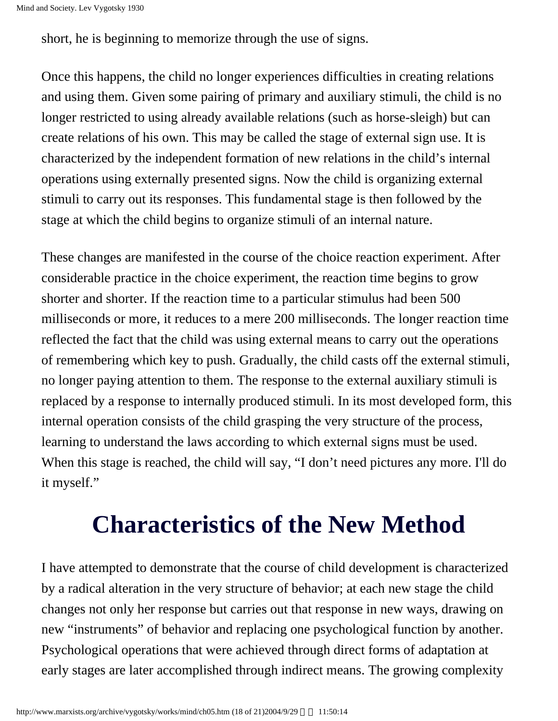short, he is beginning to memorize through the use of signs.

Once this happens, the child no longer experiences difficulties in creating relations and using them. Given some pairing of primary and auxiliary stimuli, the child is no longer restricted to using already available relations (such as horse-sleigh) but can create relations of his own. This may be called the stage of external sign use. It is characterized by the independent formation of new relations in the child's internal operations using externally presented signs. Now the child is organizing external stimuli to carry out its responses. This fundamental stage is then followed by the stage at which the child begins to organize stimuli of an internal nature.

These changes are manifested in the course of the choice reaction experiment. After considerable practice in the choice experiment, the reaction time begins to grow shorter and shorter. If the reaction time to a particular stimulus had been 500 milliseconds or more, it reduces to a mere 200 milliseconds. The longer reaction time reflected the fact that the child was using external means to carry out the operations of remembering which key to push. Gradually, the child casts off the external stimuli, no longer paying attention to them. The response to the external auxiliary stimuli is replaced by a response to internally produced stimuli. In its most developed form, this internal operation consists of the child grasping the very structure of the process, learning to understand the laws according to which external signs must be used. When this stage is reached, the child will say, "I don't need pictures any more. I'll do it myself."

## **Characteristics of the New Method**

I have attempted to demonstrate that the course of child development is characterized by a radical alteration in the very structure of behavior; at each new stage the child changes not only her response but carries out that response in new ways, drawing on new "instruments" of behavior and replacing one psychological function by another. Psychological operations that were achieved through direct forms of adaptation at early stages are later accomplished through indirect means. The growing complexity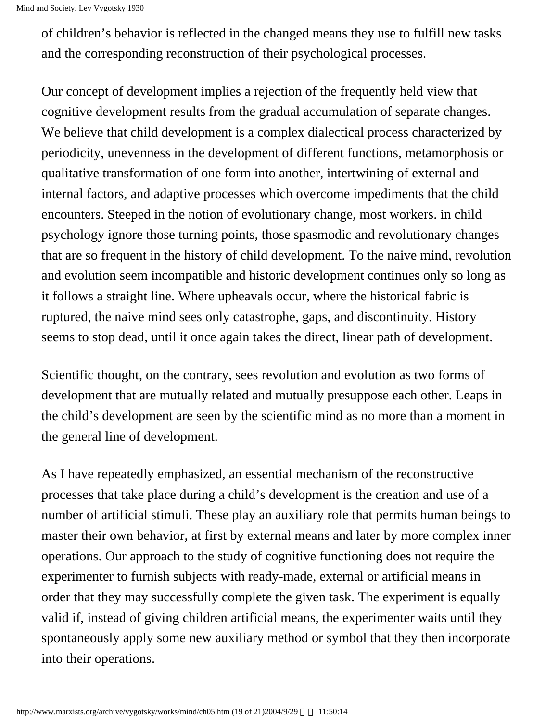Mind and Society. Lev Vygotsky 1930

of children's behavior is reflected in the changed means they use to fulfill new tasks and the corresponding reconstruction of their psychological processes.

Our concept of development implies a rejection of the frequently held view that cognitive development results from the gradual accumulation of separate changes. We believe that child development is a complex dialectical process characterized by periodicity, unevenness in the development of different functions, metamorphosis or qualitative transformation of one form into another, intertwining of external and internal factors, and adaptive processes which overcome impediments that the child encounters. Steeped in the notion of evolutionary change, most workers. in child psychology ignore those turning points, those spasmodic and revolutionary changes that are so frequent in the history of child development. To the naive mind, revolution and evolution seem incompatible and historic development continues only so long as it follows a straight line. Where upheavals occur, where the historical fabric is ruptured, the naive mind sees only catastrophe, gaps, and discontinuity. History seems to stop dead, until it once again takes the direct, linear path of development.

Scientific thought, on the contrary, sees revolution and evolution as two forms of development that are mutually related and mutually presuppose each other. Leaps in the child's development are seen by the scientific mind as no more than a moment in the general line of development.

As I have repeatedly emphasized, an essential mechanism of the reconstructive processes that take place during a child's development is the creation and use of a number of artificial stimuli. These play an auxiliary role that permits human beings to master their own behavior, at first by external means and later by more complex inner operations. Our approach to the study of cognitive functioning does not require the experimenter to furnish subjects with ready-made, external or artificial means in order that they may successfully complete the given task. The experiment is equally valid if, instead of giving children artificial means, the experimenter waits until they spontaneously apply some new auxiliary method or symbol that they then incorporate into their operations.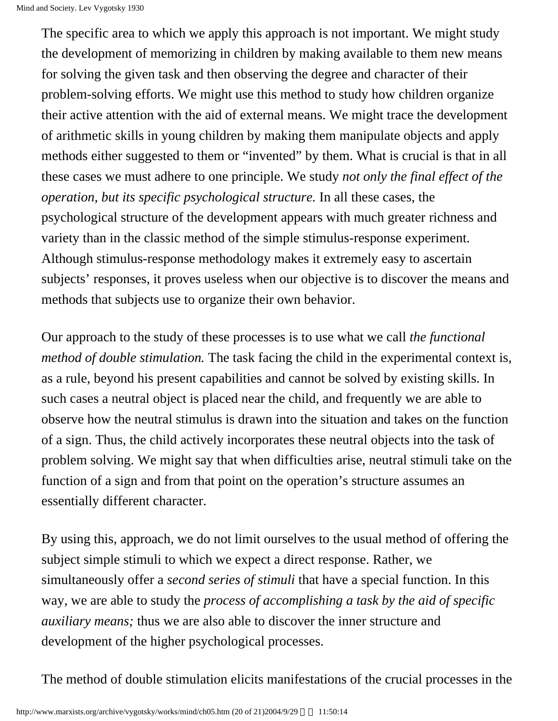The specific area to which we apply this approach is not important. We might study the development of memorizing in children by making available to them new means for solving the given task and then observing the degree and character of their problem-solving efforts. We might use this method to study how children organize their active attention with the aid of external means. We might trace the development of arithmetic skills in young children by making them manipulate objects and apply methods either suggested to them or "invented" by them. What is crucial is that in all these cases we must adhere to one principle. We study *not only the final effect of the operation, but its specific psychological structure.* In all these cases, the psychological structure of the development appears with much greater richness and variety than in the classic method of the simple stimulus-response experiment. Although stimulus-response methodology makes it extremely easy to ascertain subjects' responses, it proves useless when our objective is to discover the means and methods that subjects use to organize their own behavior.

Our approach to the study of these processes is to use what we call *the functional method of double stimulation.* The task facing the child in the experimental context is, as a rule, beyond his present capabilities and cannot be solved by existing skills. In such cases a neutral object is placed near the child, and frequently we are able to observe how the neutral stimulus is drawn into the situation and takes on the function of a sign. Thus, the child actively incorporates these neutral objects into the task of problem solving. We might say that when difficulties arise, neutral stimuli take on the function of a sign and from that point on the operation's structure assumes an essentially different character.

By using this, approach, we do not limit ourselves to the usual method of offering the subject simple stimuli to which we expect a direct response. Rather, we simultaneously offer a *second series of stimuli* that have a special function. In this way, we are able to study the *process of accomplishing a task by the aid of specific auxiliary means;* thus we are also able to discover the inner structure and development of the higher psychological processes.

The method of double stimulation elicits manifestations of the crucial processes in the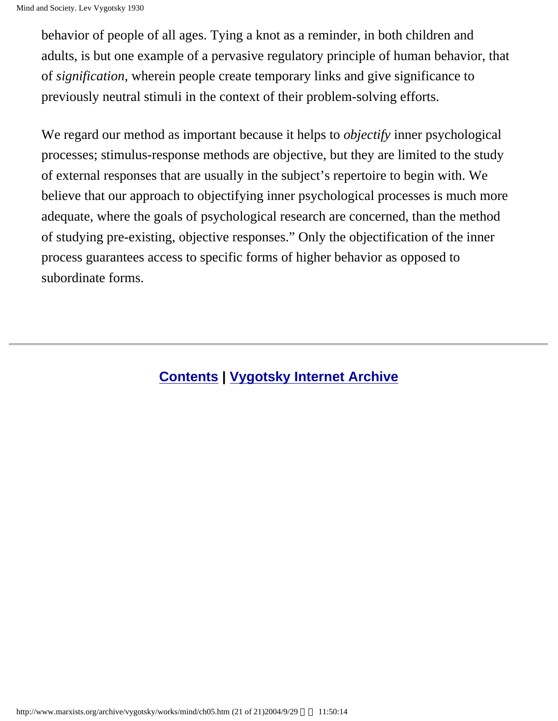behavior of people of all ages. Tying a knot as a reminder, in both children and adults, is but one example of a pervasive regulatory principle of human behavior, that of *signification,* wherein people create temporary links and give significance to previously neutral stimuli in the context of their problem-solving efforts.

We regard our method as important because it helps to *objectify* inner psychological processes; stimulus-response methods are objective, but they are limited to the study of external responses that are usually in the subject's repertoire to begin with. We believe that our approach to objectifying inner psychological processes is much more adequate, where the goals of psychological research are concerned, than the method of studying pre-existing, objective responses." Only the objectification of the inner process guarantees access to specific forms of higher behavior as opposed to subordinate forms.

### **[Contents](#page-0-0) | [Vygotsky Internet Archive](http://www.marxists.org/archive/vygotsky/index.htm)**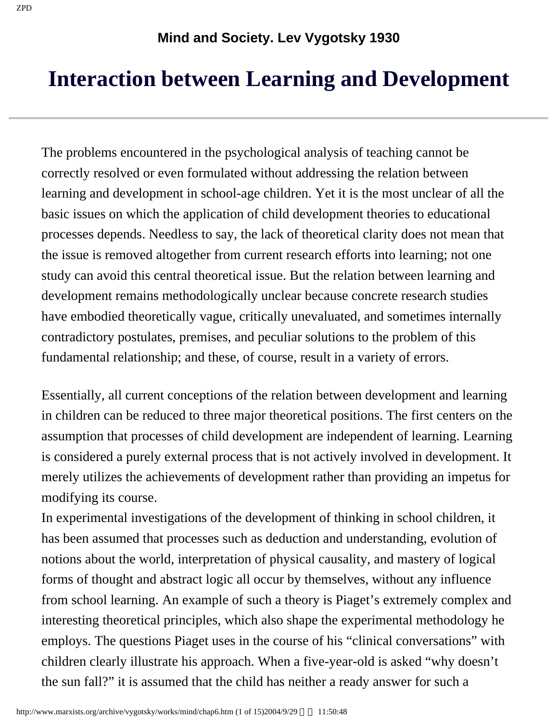### **Interaction between Learning and Development**

The problems encountered in the psychological analysis of teaching cannot be correctly resolved or even formulated without addressing the relation between learning and development in school-age children. Yet it is the most unclear of all the basic issues on which the application of child development theories to educational processes depends. Needless to say, the lack of theoretical clarity does not mean that the issue is removed altogether from current research efforts into learning; not one study can avoid this central theoretical issue. But the relation between learning and development remains methodologically unclear because concrete research studies have embodied theoretically vague, critically unevaluated, and sometimes internally contradictory postulates, premises, and peculiar solutions to the problem of this fundamental relationship; and these, of course, result in a variety of errors.

Essentially, all current conceptions of the relation between development and learning in children can be reduced to three major theoretical positions. The first centers on the assumption that processes of child development are independent of learning. Learning is considered a purely external process that is not actively involved in development. It merely utilizes the achievements of development rather than providing an impetus for modifying its course.

In experimental investigations of the development of thinking in school children, it has been assumed that processes such as deduction and understanding, evolution of notions about the world, interpretation of physical causality, and mastery of logical forms of thought and abstract logic all occur by themselves, without any influence from school learning. An example of such a theory is Piaget's extremely complex and interesting theoretical principles, which also shape the experimental methodology he employs. The questions Piaget uses in the course of his "clinical conversations" with children clearly illustrate his approach. When a five-year-old is asked "why doesn't the sun fall?" it is assumed that the child has neither a ready answer for such a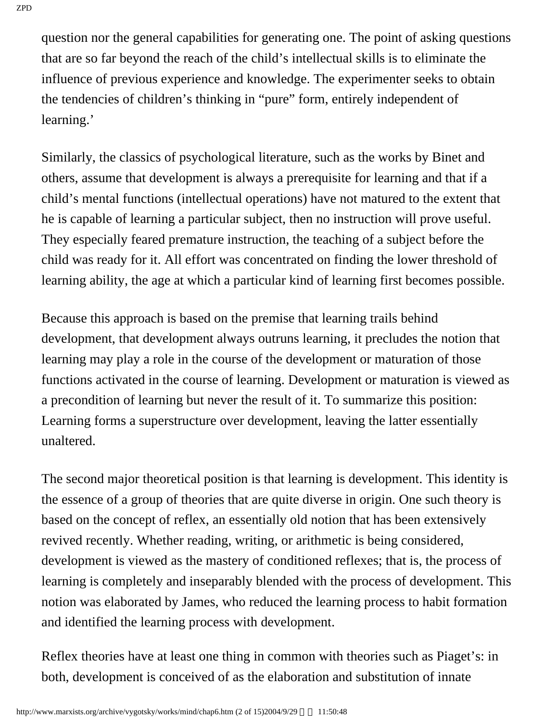question nor the general capabilities for generating one. The point of asking questions that are so far beyond the reach of the child's intellectual skills is to eliminate the influence of previous experience and knowledge. The experimenter seeks to obtain the tendencies of children's thinking in "pure" form, entirely independent of learning.'

Similarly, the classics of psychological literature, such as the works by Binet and others, assume that development is always a prerequisite for learning and that if a child's mental functions (intellectual operations) have not matured to the extent that he is capable of learning a particular subject, then no instruction will prove useful. They especially feared premature instruction, the teaching of a subject before the child was ready for it. All effort was concentrated on finding the lower threshold of learning ability, the age at which a particular kind of learning first becomes possible.

Because this approach is based on the premise that learning trails behind development, that development always outruns learning, it precludes the notion that learning may play a role in the course of the development or maturation of those functions activated in the course of learning. Development or maturation is viewed as a precondition of learning but never the result of it. To summarize this position: Learning forms a superstructure over development, leaving the latter essentially unaltered.

The second major theoretical position is that learning is development. This identity is the essence of a group of theories that are quite diverse in origin. One such theory is based on the concept of reflex, an essentially old notion that has been extensively revived recently. Whether reading, writing, or arithmetic is being considered, development is viewed as the mastery of conditioned reflexes; that is, the process of learning is completely and inseparably blended with the process of development. This notion was elaborated by James, who reduced the learning process to habit formation and identified the learning process with development.

Reflex theories have at least one thing in common with theories such as Piaget's: in both, development is conceived of as the elaboration and substitution of innate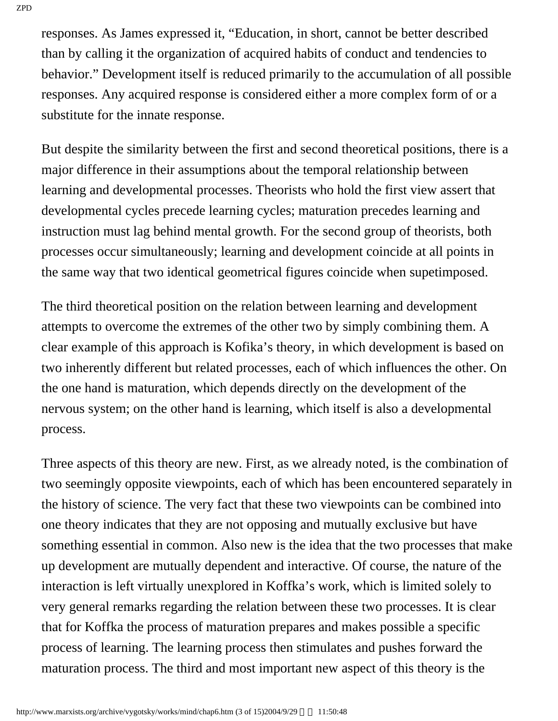responses. As James expressed it, "Education, in short, cannot be better described than by calling it the organization of acquired habits of conduct and tendencies to behavior." Development itself is reduced primarily to the accumulation of all possible responses. Any acquired response is considered either a more complex form of or a substitute for the innate response.

But despite the similarity between the first and second theoretical positions, there is a major difference in their assumptions about the temporal relationship between learning and developmental processes. Theorists who hold the first view assert that developmental cycles precede learning cycles; maturation precedes learning and instruction must lag behind mental growth. For the second group of theorists, both processes occur simultaneously; learning and development coincide at all points in the same way that two identical geometrical figures coincide when supetimposed.

The third theoretical position on the relation between learning and development attempts to overcome the extremes of the other two by simply combining them. A clear example of this approach is Kofika's theory, in which development is based on two inherently different but related processes, each of which influences the other. On the one hand is maturation, which depends directly on the development of the nervous system; on the other hand is learning, which itself is also a developmental process.

Three aspects of this theory are new. First, as we already noted, is the combination of two seemingly opposite viewpoints, each of which has been encountered separately in the history of science. The very fact that these two viewpoints can be combined into one theory indicates that they are not opposing and mutually exclusive but have something essential in common. Also new is the idea that the two processes that make up development are mutually dependent and interactive. Of course, the nature of the interaction is left virtually unexplored in Koffka's work, which is limited solely to very general remarks regarding the relation between these two processes. It is clear that for Koffka the process of maturation prepares and makes possible a specific process of learning. The learning process then stimulates and pushes forward the maturation process. The third and most important new aspect of this theory is the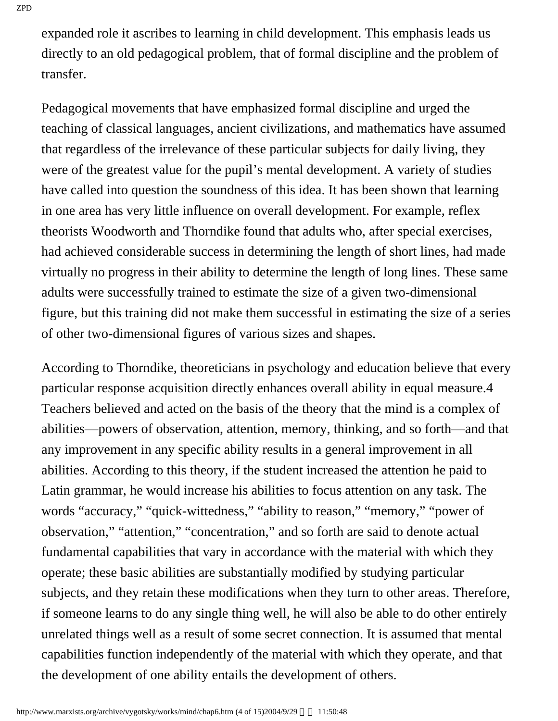expanded role it ascribes to learning in child development. This emphasis leads us directly to an old pedagogical problem, that of formal discipline and the problem of transfer.

Pedagogical movements that have emphasized formal discipline and urged the teaching of classical languages, ancient civilizations, and mathematics have assumed that regardless of the irrelevance of these particular subjects for daily living, they were of the greatest value for the pupil's mental development. A variety of studies have called into question the soundness of this idea. It has been shown that learning in one area has very little influence on overall development. For example, reflex theorists Woodworth and Thorndike found that adults who, after special exercises, had achieved considerable success in determining the length of short lines, had made virtually no progress in their ability to determine the length of long lines. These same adults were successfully trained to estimate the size of a given two-dimensional figure, but this training did not make them successful in estimating the size of a series of other two-dimensional figures of various sizes and shapes.

According to Thorndike, theoreticians in psychology and education believe that every particular response acquisition directly enhances overall ability in equal measure.4 Teachers believed and acted on the basis of the theory that the mind is a complex of abilities—powers of observation, attention, memory, thinking, and so forth—and that any improvement in any specific ability results in a general improvement in all abilities. According to this theory, if the student increased the attention he paid to Latin grammar, he would increase his abilities to focus attention on any task. The words "accuracy," "quick-wittedness," "ability to reason," "memory," "power of observation," "attention," "concentration," and so forth are said to denote actual fundamental capabilities that vary in accordance with the material with which they operate; these basic abilities are substantially modified by studying particular subjects, and they retain these modifications when they turn to other areas. Therefore, if someone learns to do any single thing well, he will also be able to do other entirely unrelated things well as a result of some secret connection. It is assumed that mental capabilities function independently of the material with which they operate, and that the development of one ability entails the development of others.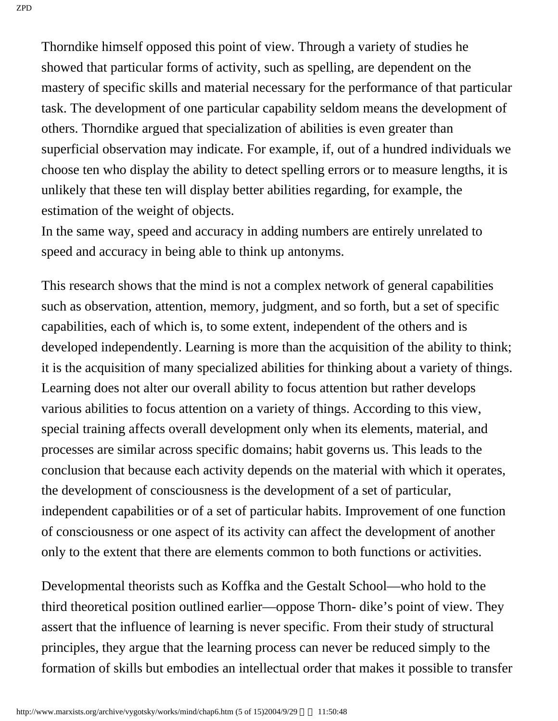Thorndike himself opposed this point of view. Through a variety of studies he showed that particular forms of activity, such as spelling, are dependent on the mastery of specific skills and material necessary for the performance of that particular task. The development of one particular capability seldom means the development of others. Thorndike argued that specialization of abilities is even greater than superficial observation may indicate. For example, if, out of a hundred individuals we choose ten who display the ability to detect spelling errors or to measure lengths, it is unlikely that these ten will display better abilities regarding, for example, the estimation of the weight of objects.

In the same way, speed and accuracy in adding numbers are entirely unrelated to speed and accuracy in being able to think up antonyms.

This research shows that the mind is not a complex network of general capabilities such as observation, attention, memory, judgment, and so forth, but a set of specific capabilities, each of which is, to some extent, independent of the others and is developed independently. Learning is more than the acquisition of the ability to think; it is the acquisition of many specialized abilities for thinking about a variety of things. Learning does not alter our overall ability to focus attention but rather develops various abilities to focus attention on a variety of things. According to this view, special training affects overall development only when its elements, material, and processes are similar across specific domains; habit governs us. This leads to the conclusion that because each activity depends on the material with which it operates, the development of consciousness is the development of a set of particular, independent capabilities or of a set of particular habits. Improvement of one function of consciousness or one aspect of its activity can affect the development of another only to the extent that there are elements common to both functions or activities.

Developmental theorists such as Koffka and the Gestalt School—who hold to the third theoretical position outlined earlier—oppose Thorn- dike's point of view. They assert that the influence of learning is never specific. From their study of structural principles, they argue that the learning process can never be reduced simply to the formation of skills but embodies an intellectual order that makes it possible to transfer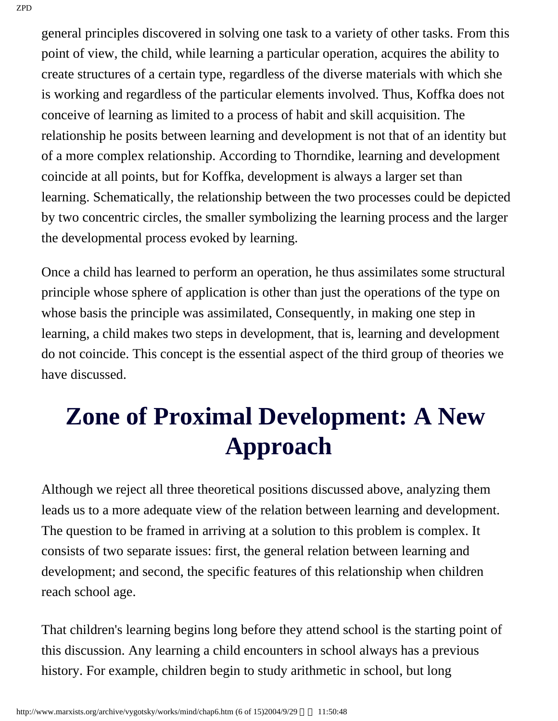general principles discovered in solving one task to a variety of other tasks. From this point of view, the child, while learning a particular operation, acquires the ability to create structures of a certain type, regardless of the diverse materials with which she is working and regardless of the particular elements involved. Thus, Koffka does not conceive of learning as limited to a process of habit and skill acquisition. The relationship he posits between learning and development is not that of an identity but of a more complex relationship. According to Thorndike, learning and development coincide at all points, but for Koffka, development is always a larger set than learning. Schematically, the relationship between the two processes could be depicted by two concentric circles, the smaller symbolizing the learning process and the larger the developmental process evoked by learning.

Once a child has learned to perform an operation, he thus assimilates some structural principle whose sphere of application is other than just the operations of the type on whose basis the principle was assimilated, Consequently, in making one step in learning, a child makes two steps in development, that is, learning and development do not coincide. This concept is the essential aspect of the third group of theories we have discussed.

## **Zone of Proximal Development: A New Approach**

Although we reject all three theoretical positions discussed above, analyzing them leads us to a more adequate view of the relation between learning and development. The question to be framed in arriving at a solution to this problem is complex. It consists of two separate issues: first, the general relation between learning and development; and second, the specific features of this relationship when children reach school age.

That children's learning begins long before they attend school is the starting point of this discussion. Any learning a child encounters in school always has a previous history. For example, children begin to study arithmetic in school, but long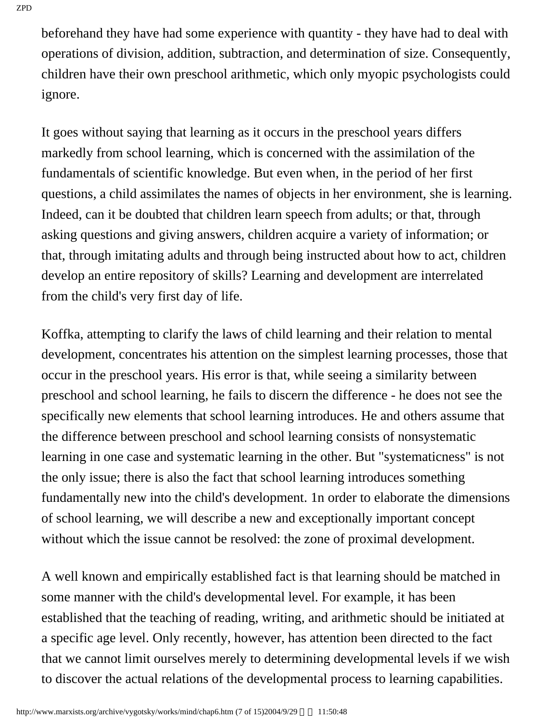beforehand they have had some experience with quantity - they have had to deal with operations of division, addition, subtraction, and determination of size. Consequently, children have their own preschool arithmetic, which only myopic psychologists could ignore.

It goes without saying that learning as it occurs in the preschool years differs markedly from school learning, which is concerned with the assimilation of the fundamentals of scientific knowledge. But even when, in the period of her first questions, a child assimilates the names of objects in her environment, she is learning. Indeed, can it be doubted that children learn speech from adults; or that, through asking questions and giving answers, children acquire a variety of information; or that, through imitating adults and through being instructed about how to act, children develop an entire repository of skills? Learning and development are interrelated from the child's very first day of life.

Koffka, attempting to clarify the laws of child learning and their relation to mental development, concentrates his attention on the simplest learning processes, those that occur in the preschool years. His error is that, while seeing a similarity between preschool and school learning, he fails to discern the difference - he does not see the specifically new elements that school learning introduces. He and others assume that the difference between preschool and school learning consists of nonsystematic learning in one case and systematic learning in the other. But "systematicness" is not the only issue; there is also the fact that school learning introduces something fundamentally new into the child's development. 1n order to elaborate the dimensions of school learning, we will describe a new and exceptionally important concept without which the issue cannot be resolved: the zone of proximal development.

A well known and empirically established fact is that learning should be matched in some manner with the child's developmental level. For example, it has been established that the teaching of reading, writing, and arithmetic should be initiated at a specific age level. Only recently, however, has attention been directed to the fact that we cannot limit ourselves merely to determining developmental levels if we wish to discover the actual relations of the developmental process to learning capabilities.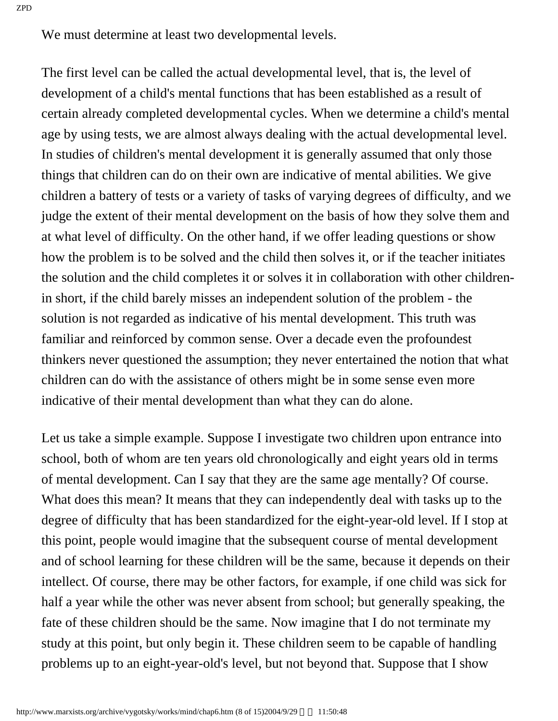We must determine at least two developmental levels.

The first level can be called the actual developmental level, that is, the level of development of a child's mental functions that has been established as a result of certain already completed developmental cycles. When we determine a child's mental age by using tests, we are almost always dealing with the actual developmental level. In studies of children's mental development it is generally assumed that only those things that children can do on their own are indicative of mental abilities. We give children a battery of tests or a variety of tasks of varying degrees of difficulty, and we judge the extent of their mental development on the basis of how they solve them and at what level of difficulty. On the other hand, if we offer leading questions or show how the problem is to be solved and the child then solves it, or if the teacher initiates the solution and the child completes it or solves it in collaboration with other childrenin short, if the child barely misses an independent solution of the problem - the solution is not regarded as indicative of his mental development. This truth was familiar and reinforced by common sense. Over a decade even the profoundest thinkers never questioned the assumption; they never entertained the notion that what children can do with the assistance of others might be in some sense even more indicative of their mental development than what they can do alone.

Let us take a simple example. Suppose I investigate two children upon entrance into school, both of whom are ten years old chronologically and eight years old in terms of mental development. Can I say that they are the same age mentally? Of course. What does this mean? It means that they can independently deal with tasks up to the degree of difficulty that has been standardized for the eight-year-old level. If I stop at this point, people would imagine that the subsequent course of mental development and of school learning for these children will be the same, because it depends on their intellect. Of course, there may be other factors, for example, if one child was sick for half a year while the other was never absent from school; but generally speaking, the fate of these children should be the same. Now imagine that I do not terminate my study at this point, but only begin it. These children seem to be capable of handling problems up to an eight-year-old's level, but not beyond that. Suppose that I show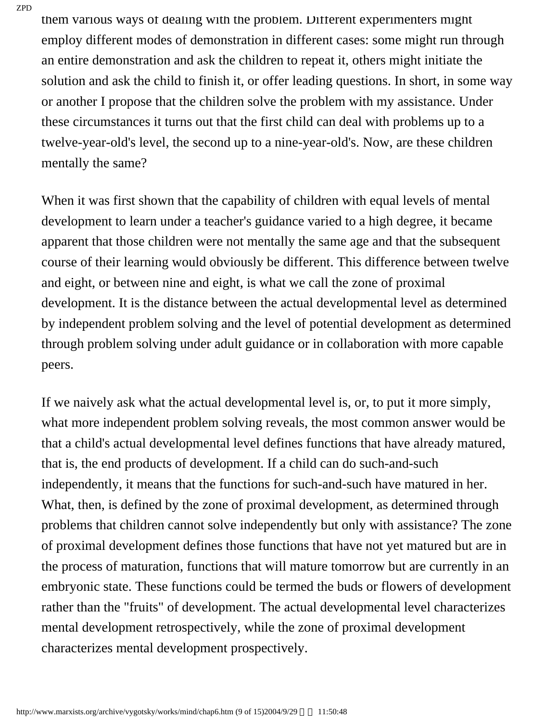them various ways of dealing with the problem. Different experimenters might employ different modes of demonstration in different cases: some might run through an entire demonstration and ask the children to repeat it, others might initiate the solution and ask the child to finish it, or offer leading questions. In short, in some way or another I propose that the children solve the problem with my assistance. Under these circumstances it turns out that the first child can deal with problems up to a twelve-year-old's level, the second up to a nine-year-old's. Now, are these children mentally the same?

When it was first shown that the capability of children with equal levels of mental development to learn under a teacher's guidance varied to a high degree, it became apparent that those children were not mentally the same age and that the subsequent course of their learning would obviously be different. This difference between twelve and eight, or between nine and eight, is what we call the zone of proximal development. It is the distance between the actual developmental level as determined by independent problem solving and the level of potential development as determined through problem solving under adult guidance or in collaboration with more capable peers.

If we naively ask what the actual developmental level is, or, to put it more simply, what more independent problem solving reveals, the most common answer would be that a child's actual developmental level defines functions that have already matured, that is, the end products of development. If a child can do such-and-such independently, it means that the functions for such-and-such have matured in her. What, then, is defined by the zone of proximal development, as determined through problems that children cannot solve independently but only with assistance? The zone of proximal development defines those functions that have not yet matured but are in the process of maturation, functions that will mature tomorrow but are currently in an embryonic state. These functions could be termed the buds or flowers of development rather than the "fruits" of development. The actual developmental level characterizes mental development retrospectively, while the zone of proximal development characterizes mental development prospectively.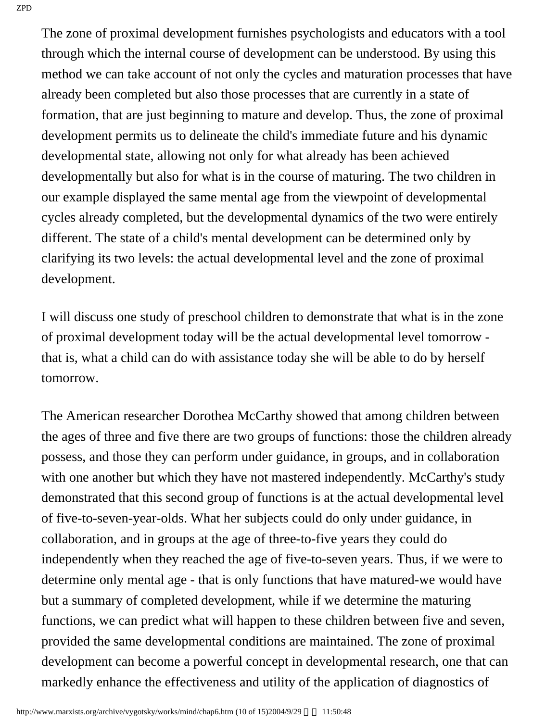The zone of proximal development furnishes psychologists and educators with a tool through which the internal course of development can be understood. By using this method we can take account of not only the cycles and maturation processes that have already been completed but also those processes that are currently in a state of formation, that are just beginning to mature and develop. Thus, the zone of proximal development permits us to delineate the child's immediate future and his dynamic developmental state, allowing not only for what already has been achieved developmentally but also for what is in the course of maturing. The two children in our example displayed the same mental age from the viewpoint of developmental cycles already completed, but the developmental dynamics of the two were entirely different. The state of a child's mental development can be determined only by clarifying its two levels: the actual developmental level and the zone of proximal development.

I will discuss one study of preschool children to demonstrate that what is in the zone of proximal development today will be the actual developmental level tomorrow that is, what a child can do with assistance today she will be able to do by herself tomorrow.

The American researcher Dorothea McCarthy showed that among children between the ages of three and five there are two groups of functions: those the children already possess, and those they can perform under guidance, in groups, and in collaboration with one another but which they have not mastered independently. McCarthy's study demonstrated that this second group of functions is at the actual developmental level of five-to-seven-year-olds. What her subjects could do only under guidance, in collaboration, and in groups at the age of three-to-five years they could do independently when they reached the age of five-to-seven years. Thus, if we were to determine only mental age - that is only functions that have matured-we would have but a summary of completed development, while if we determine the maturing functions, we can predict what will happen to these children between five and seven, provided the same developmental conditions are maintained. The zone of proximal development can become a powerful concept in developmental research, one that can markedly enhance the effectiveness and utility of the application of diagnostics of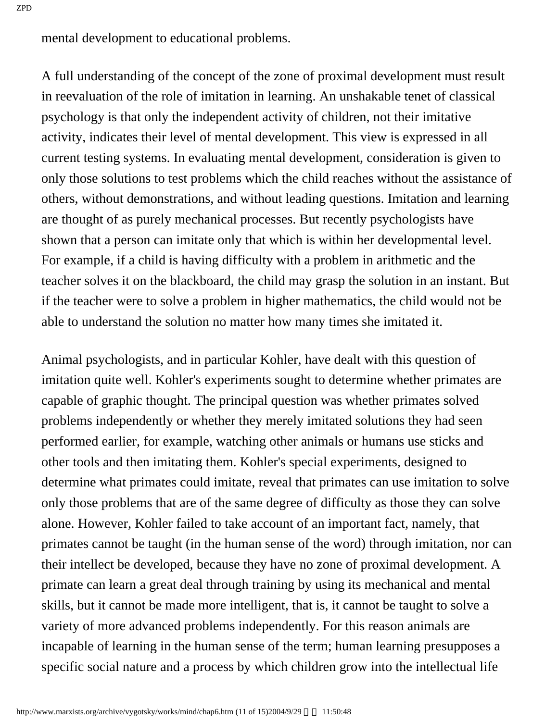mental development to educational problems.

A full understanding of the concept of the zone of proximal development must result in reevaluation of the role of imitation in learning. An unshakable tenet of classical psychology is that only the independent activity of children, not their imitative activity, indicates their level of mental development. This view is expressed in all current testing systems. In evaluating mental development, consideration is given to only those solutions to test problems which the child reaches without the assistance of others, without demonstrations, and without leading questions. Imitation and learning are thought of as purely mechanical processes. But recently psychologists have shown that a person can imitate only that which is within her developmental level. For example, if a child is having difficulty with a problem in arithmetic and the teacher solves it on the blackboard, the child may grasp the solution in an instant. But if the teacher were to solve a problem in higher mathematics, the child would not be able to understand the solution no matter how many times she imitated it.

Animal psychologists, and in particular Kohler, have dealt with this question of imitation quite well. Kohler's experiments sought to determine whether primates are capable of graphic thought. The principal question was whether primates solved problems independently or whether they merely imitated solutions they had seen performed earlier, for example, watching other animals or humans use sticks and other tools and then imitating them. Kohler's special experiments, designed to determine what primates could imitate, reveal that primates can use imitation to solve only those problems that are of the same degree of difficulty as those they can solve alone. However, Kohler failed to take account of an important fact, namely, that primates cannot be taught (in the human sense of the word) through imitation, nor can their intellect be developed, because they have no zone of proximal development. A primate can learn a great deal through training by using its mechanical and mental skills, but it cannot be made more intelligent, that is, it cannot be taught to solve a variety of more advanced problems independently. For this reason animals are incapable of learning in the human sense of the term; human learning presupposes a specific social nature and a process by which children grow into the intellectual life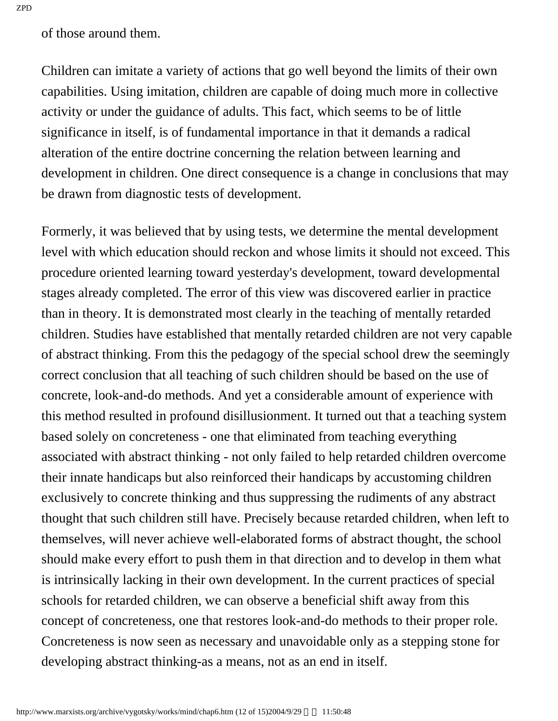of those around them.

Children can imitate a variety of actions that go well beyond the limits of their own capabilities. Using imitation, children are capable of doing much more in collective activity or under the guidance of adults. This fact, which seems to be of little significance in itself, is of fundamental importance in that it demands a radical alteration of the entire doctrine concerning the relation between learning and development in children. One direct consequence is a change in conclusions that may be drawn from diagnostic tests of development.

Formerly, it was believed that by using tests, we determine the mental development level with which education should reckon and whose limits it should not exceed. This procedure oriented learning toward yesterday's development, toward developmental stages already completed. The error of this view was discovered earlier in practice than in theory. It is demonstrated most clearly in the teaching of mentally retarded children. Studies have established that mentally retarded children are not very capable of abstract thinking. From this the pedagogy of the special school drew the seemingly correct conclusion that all teaching of such children should be based on the use of concrete, look-and-do methods. And yet a considerable amount of experience with this method resulted in profound disillusionment. It turned out that a teaching system based solely on concreteness - one that eliminated from teaching everything associated with abstract thinking - not only failed to help retarded children overcome their innate handicaps but also reinforced their handicaps by accustoming children exclusively to concrete thinking and thus suppressing the rudiments of any abstract thought that such children still have. Precisely because retarded children, when left to themselves, will never achieve well-elaborated forms of abstract thought, the school should make every effort to push them in that direction and to develop in them what is intrinsically lacking in their own development. In the current practices of special schools for retarded children, we can observe a beneficial shift away from this concept of concreteness, one that restores look-and-do methods to their proper role. Concreteness is now seen as necessary and unavoidable only as a stepping stone for developing abstract thinking-as a means, not as an end in itself.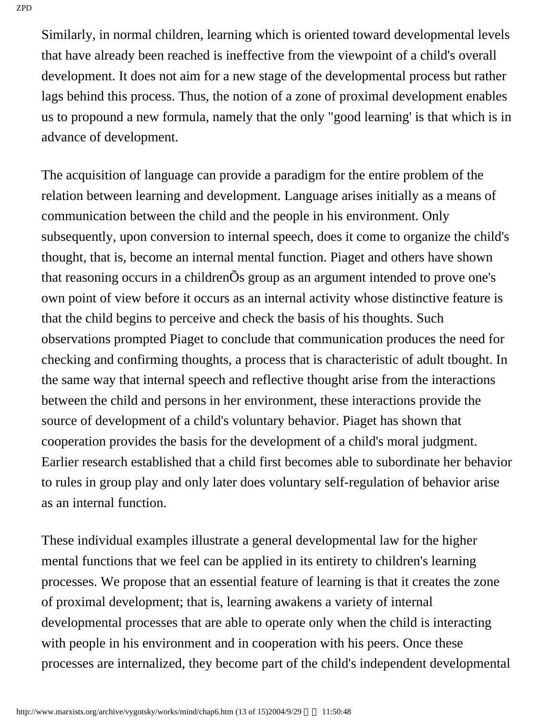Similarly, in normal children, learning which is oriented toward developmental levels that have already been reached is ineffective from the viewpoint of a child's overall development. It does not aim for a new stage of the developmental process but rather lags behind this process. Thus, the notion of a zone of proximal development enables us to propound a new formula, namely that the only "good learning' is that which is in advance of development.

The acquisition of language can provide a paradigm for the entire problem of the relation between learning and development. Language arises initially as a means of communication between the child and the people in his environment. Only subsequently, upon conversion to internal speech, does it come to organize the child's thought, that is, become an internal mental function. Piaget and others have shown that reasoning occurs in a childrenÕs group as an argument intended to prove one's own point of view before it occurs as an internal activity whose distinctive feature is that the child begins to perceive and check the basis of his thoughts. Such observations prompted Piaget to conclude that communication produces the need for checking and confirming thoughts, a process that is characteristic of adult tbought. In the same way that internal speech and reflective thought arise from the interactions between the child and persons in her environment, these interactions provide the source of development of a child's voluntary behavior. Piaget has shown that cooperation provides the basis for the development of a child's moral judgment. Earlier research established that a child first becomes able to subordinate her behavior to rules in group play and only later does voluntary self-regulation of behavior arise as an internal function.

These individual examples illustrate a general developmental law for the higher mental functions that we feel can be applied in its entirety to children's learning processes. We propose that an essential feature of learning is that it creates the zone of proximal development; that is, learning awakens a variety of internal developmental processes that are able to operate only when the child is interacting with people in his environment and in cooperation with his peers. Once these processes are internalized, they become part of the child's independent developmental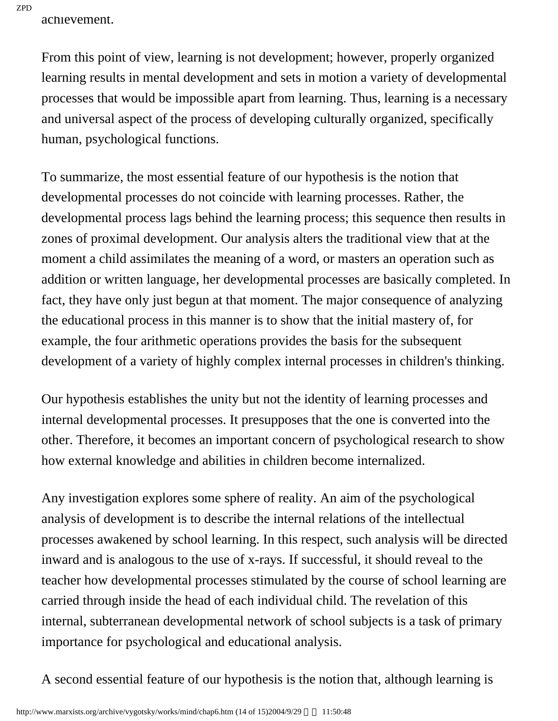ZPD

achievement.

From this point of view, learning is not development; however, properly organized learning results in mental development and sets in motion a variety of developmental processes that would be impossible apart from learning. Thus, learning is a necessary and universal aspect of the process of developing culturally organized, specifically human, psychological functions.

To summarize, the most essential feature of our hypothesis is the notion that developmental processes do not coincide with learning processes. Rather, the developmental process lags behind the learning process; this sequence then results in zones of proximal development. Our analysis alters the traditional view that at the moment a child assimilates the meaning of a word, or masters an operation such as addition or written language, her developmental processes are basically completed. In fact, they have only just begun at that moment. The major consequence of analyzing the educational process in this manner is to show that the initial mastery of, for example, the four arithmetic operations provides the basis for the subsequent development of a variety of highly complex internal processes in children's thinking.

Our hypothesis establishes the unity but not the identity of learning processes and internal developmental processes. It presupposes that the one is converted into the other. Therefore, it becomes an important concern of psychological research to show how external knowledge and abilities in children become internalized.

Any investigation explores some sphere of reality. An aim of the psychological analysis of development is to describe the internal relations of the intellectual processes awakened by school learning. In this respect, such analysis will be directed inward and is analogous to the use of x-rays. If successful, it should reveal to the teacher how developmental processes stimulated by the course of school learning are carried through inside the head of each individual child. The revelation of this internal, subterranean developmental network of school subjects is a task of primary importance for psychological and educational analysis.

A second essential feature of our hypothesis is the notion that, although learning is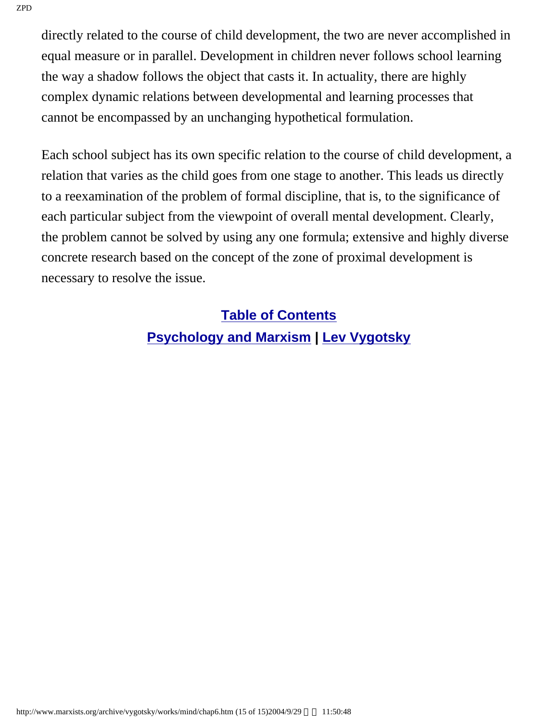directly related to the course of child development, the two are never accomplished in equal measure or in parallel. Development in children never follows school learning the way a shadow follows the object that casts it. In actuality, there are highly complex dynamic relations between developmental and learning processes that cannot be encompassed by an unchanging hypothetical formulation.

Each school subject has its own specific relation to the course of child development, a relation that varies as the child goes from one stage to another. This leads us directly to a reexamination of the problem of formal discipline, that is, to the significance of each particular subject from the viewpoint of overall mental development. Clearly, the problem cannot be solved by using any one formula; extensive and highly diverse concrete research based on the concept of the zone of proximal development is necessary to resolve the issue.

#### **[Table of Contents](#page-0-0)**

#### **[Psychology and Marxism](http://www.marxists.org/subject/psychology/index.htm) | [Lev Vygotsky](http://www.marxists.org/archive/vygotsky/index.htm)**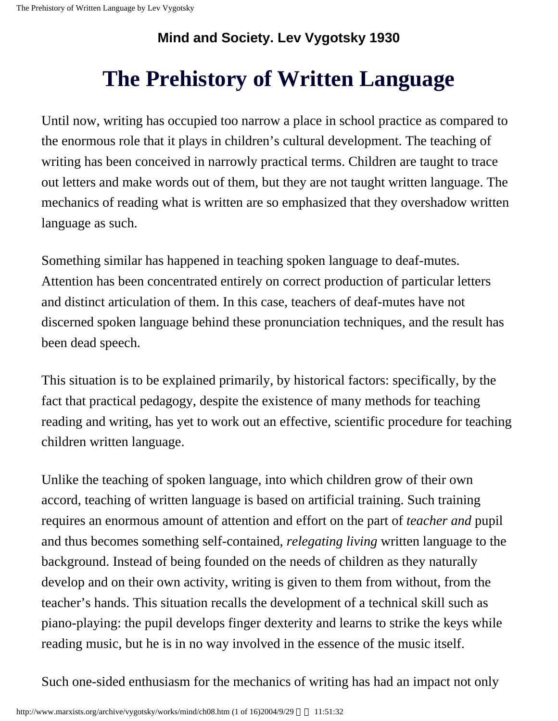#### **Mind and Society. Lev Vygotsky 1930**

### **The Prehistory of Written Language**

Until now, writing has occupied too narrow a place in school practice as compared to the enormous role that it plays in children's cultural development. The teaching of writing has been conceived in narrowly practical terms. Children are taught to trace out letters and make words out of them, but they are not taught written language. The mechanics of reading what is written are so emphasized that they overshadow written language as such.

Something similar has happened in teaching spoken language to deaf-mutes. Attention has been concentrated entirely on correct production of particular letters and distinct articulation of them. In this case, teachers of deaf-mutes have not discerned spoken language behind these pronunciation techniques, and the result has been dead speech.

This situation is to be explained primarily, by historical factors: specifically, by the fact that practical pedagogy, despite the existence of many methods for teaching reading and writing, has yet to work out an effective, scientific procedure for teaching children written language.

Unlike the teaching of spoken language, into which children grow of their own accord, teaching of written language is based on artificial training. Such training requires an enormous amount of attention and effort on the part of *teacher and* pupil and thus becomes something self-contained, *relegating living* written language to the background. Instead of being founded on the needs of children as they naturally develop and on their own activity, writing is given to them from without, from the teacher's hands. This situation recalls the development of a technical skill such as piano-playing: the pupil develops finger dexterity and learns to strike the keys while reading music, but he is in no way involved in the essence of the music itself.

Such one-sided enthusiasm for the mechanics of writing has had an impact not only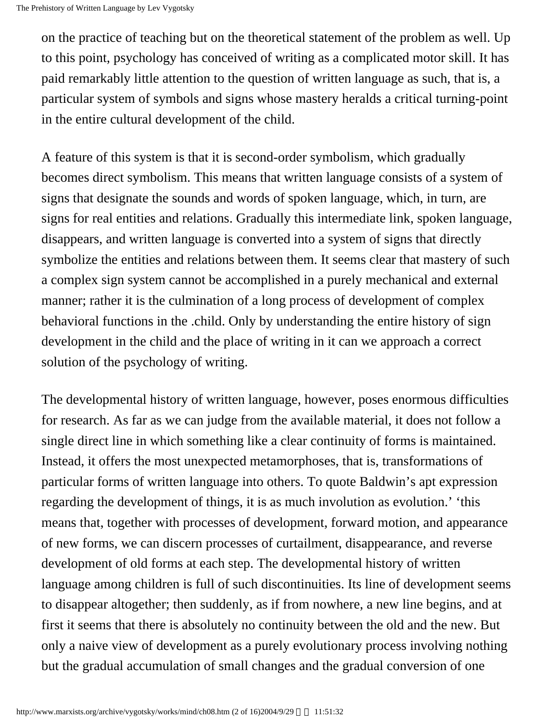on the practice of teaching but on the theoretical statement of the problem as well. Up to this point, psychology has conceived of writing as a complicated motor skill. It has paid remarkably little attention to the question of written language as such, that is, a particular system of symbols and signs whose mastery heralds a critical turning-point in the entire cultural development of the child.

A feature of this system is that it is second-order symbolism, which gradually becomes direct symbolism. This means that written language consists of a system of signs that designate the sounds and words of spoken language, which, in turn, are signs for real entities and relations. Gradually this intermediate link, spoken language, disappears, and written language is converted into a system of signs that directly symbolize the entities and relations between them. It seems clear that mastery of such a complex sign system cannot be accomplished in a purely mechanical and external manner; rather it is the culmination of a long process of development of complex behavioral functions in the .child. Only by understanding the entire history of sign development in the child and the place of writing in it can we approach a correct solution of the psychology of writing.

The developmental history of written language, however, poses enormous difficulties for research. As far as we can judge from the available material, it does not follow a single direct line in which something like a clear continuity of forms is maintained. Instead, it offers the most unexpected metamorphoses, that is, transformations of particular forms of written language into others. To quote Baldwin's apt expression regarding the development of things, it is as much involution as evolution.' 'this means that, together with processes of development, forward motion, and appearance of new forms, we can discern processes of curtailment, disappearance, and reverse development of old forms at each step. The developmental history of written language among children is full of such discontinuities. Its line of development seems to disappear altogether; then suddenly, as if from nowhere, a new line begins, and at first it seems that there is absolutely no continuity between the old and the new. But only a naive view of development as a purely evolutionary process involving nothing but the gradual accumulation of small changes and the gradual conversion of one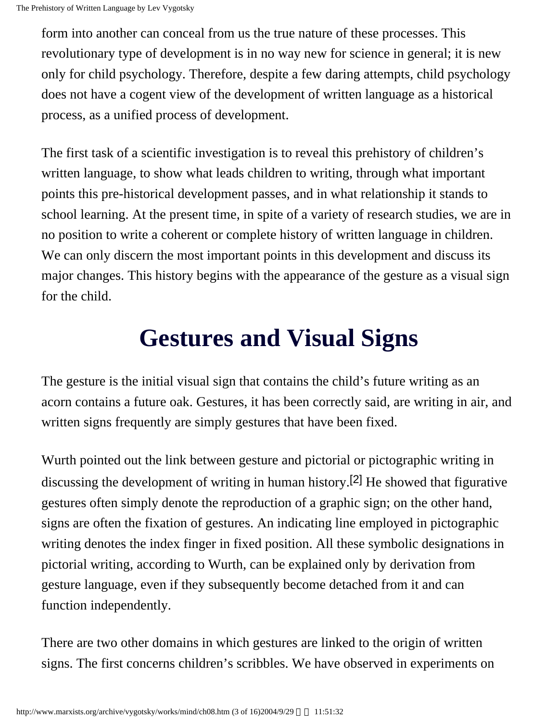form into another can conceal from us the true nature of these processes. This revolutionary type of development is in no way new for science in general; it is new only for child psychology. Therefore, despite a few daring attempts, child psychology does not have a cogent view of the development of written language as a historical process, as a unified process of development.

The first task of a scientific investigation is to reveal this prehistory of children's written language, to show what leads children to writing, through what important points this pre-historical development passes, and in what relationship it stands to school learning. At the present time, in spite of a variety of research studies, we are in no position to write a coherent or complete history of written language in children. We can only discern the most important points in this development and discuss its major changes. This history begins with the appearance of the gesture as a visual sign for the child.

### **Gestures and Visual Signs**

The gesture is the initial visual sign that contains the child's future writing as an acorn contains a future oak. Gestures, it has been correctly said, are writing in air, and written signs frequently are simply gestures that have been fixed.

Wurth pointed out the link between gesture and pictorial or pictographic writing in discussing the development of writing in human history.[2] He showed that figurative gestures often simply denote the reproduction of a graphic sign; on the other hand, signs are often the fixation of gestures. An indicating line employed in pictographic writing denotes the index finger in fixed position. All these symbolic designations in pictorial writing, according to Wurth, can be explained only by derivation from gesture language, even if they subsequently become detached from it and can function independently.

There are two other domains in which gestures are linked to the origin of written signs. The first concerns children's scribbles. We have observed in experiments on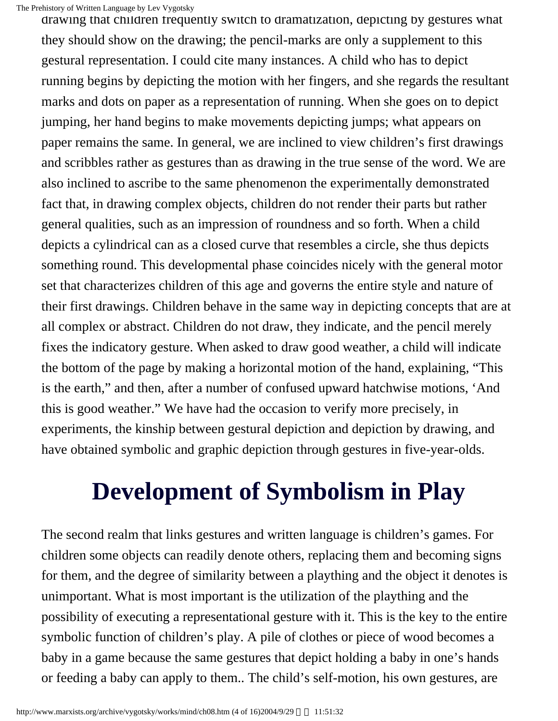The Prehistory of Written Language by Lev Vygotsky

drawing that children frequently switch to dramatization, depicting by gestures what they should show on the drawing; the pencil-marks are only a supplement to this gestural representation. I could cite many instances. A child who has to depict running begins by depicting the motion with her fingers, and she regards the resultant marks and dots on paper as a representation of running. When she goes on to depict jumping, her hand begins to make movements depicting jumps; what appears on paper remains the same. In general, we are inclined to view children's first drawings and scribbles rather as gestures than as drawing in the true sense of the word. We are also inclined to ascribe to the same phenomenon the experimentally demonstrated fact that, in drawing complex objects, children do not render their parts but rather general qualities, such as an impression of roundness and so forth. When a child depicts a cylindrical can as a closed curve that resembles a circle, she thus depicts something round. This developmental phase coincides nicely with the general motor set that characterizes children of this age and governs the entire style and nature of their first drawings. Children behave in the same way in depicting concepts that are at all complex or abstract. Children do not draw, they indicate, and the pencil merely fixes the indicatory gesture. When asked to draw good weather, a child will indicate the bottom of the page by making a horizontal motion of the hand, explaining, "This is the earth," and then, after a number of confused upward hatchwise motions, 'And this is good weather." We have had the occasion to verify more precisely, in experiments, the kinship between gestural depiction and depiction by drawing, and have obtained symbolic and graphic depiction through gestures in five-year-olds.

### **Development of Symbolism in Play**

The second realm that links gestures and written language is children's games. For children some objects can readily denote others, replacing them and becoming signs for them, and the degree of similarity between a plaything and the object it denotes is unimportant. What is most important is the utilization of the plaything and the possibility of executing a representational gesture with it. This is the key to the entire symbolic function of children's play. A pile of clothes or piece of wood becomes a baby in a game because the same gestures that depict holding a baby in one's hands or feeding a baby can apply to them.. The child's self-motion, his own gestures, are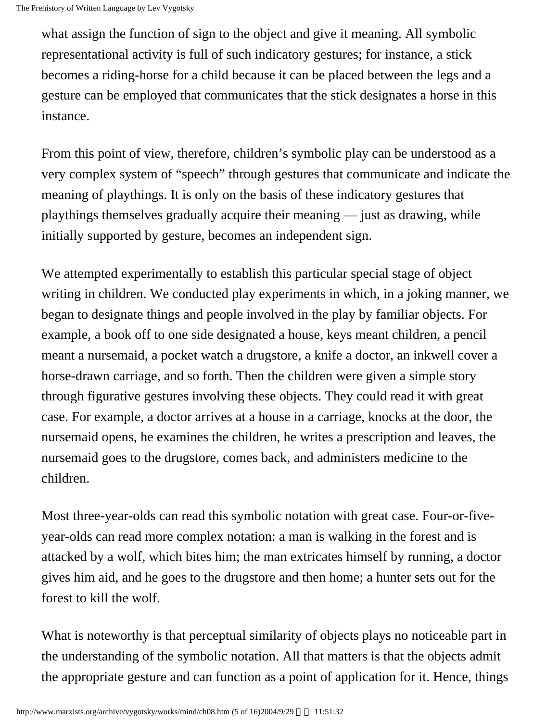what assign the function of sign to the object and give it meaning. All symbolic representational activity is full of such indicatory gestures; for instance, a stick becomes a riding-horse for a child because it can be placed between the legs and a gesture can be employed that communicates that the stick designates a horse in this instance.

From this point of view, therefore, children's symbolic play can be understood as a very complex system of "speech" through gestures that communicate and indicate the meaning of playthings. It is only on the basis of these indicatory gestures that playthings themselves gradually acquire their meaning — just as drawing, while initially supported by gesture, becomes an independent sign.

We attempted experimentally to establish this particular special stage of object writing in children. We conducted play experiments in which, in a joking manner, we began to designate things and people involved in the play by familiar objects. For example, a book off to one side designated a house, keys meant children, a pencil meant a nursemaid, a pocket watch a drugstore, a knife a doctor, an inkwell cover a horse-drawn carriage, and so forth. Then the children were given a simple story through figurative gestures involving these objects. They could read it with great case. For example, a doctor arrives at a house in a carriage, knocks at the door, the nursemaid opens, he examines the children, he writes a prescription and leaves, the nursemaid goes to the drugstore, comes back, and administers medicine to the children.

Most three-year-olds can read this symbolic notation with great case. Four-or-fiveyear-olds can read more complex notation: a man is walking in the forest and is attacked by a wolf, which bites him; the man extricates himself by running, a doctor gives him aid, and he goes to the drugstore and then home; a hunter sets out for the forest to kill the wolf.

What is noteworthy is that perceptual similarity of objects plays no noticeable part in the understanding of the symbolic notation. All that matters is that the objects admit the appropriate gesture and can function as a point of application for it. Hence, things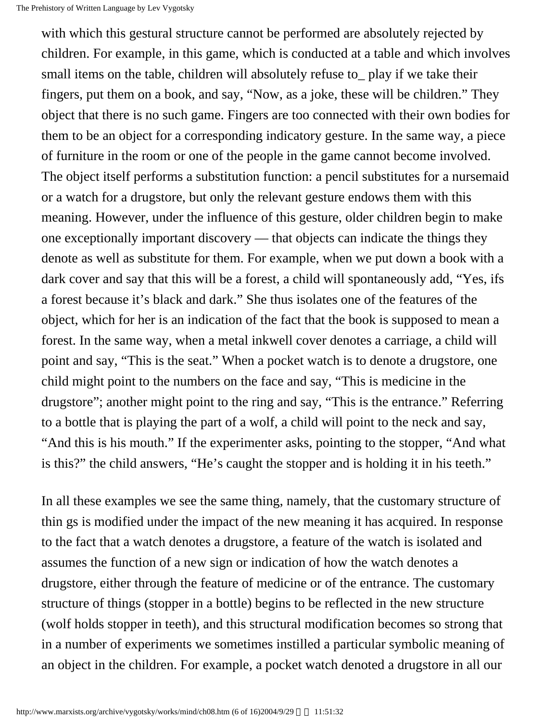with which this gestural structure cannot be performed are absolutely rejected by children. For example, in this game, which is conducted at a table and which involves small items on the table, children will absolutely refuse to\_ play if we take their fingers, put them on a book, and say, "Now, as a joke, these will be children." They object that there is no such game. Fingers are too connected with their own bodies for them to be an object for a corresponding indicatory gesture. In the same way, a piece of furniture in the room or one of the people in the game cannot become involved. The object itself performs a substitution function: a pencil substitutes for a nursemaid or a watch for a drugstore, but only the relevant gesture endows them with this meaning. However, under the influence of this gesture, older children begin to make one exceptionally important discovery — that objects can indicate the things they denote as well as substitute for them. For example, when we put down a book with a dark cover and say that this will be a forest, a child will spontaneously add, "Yes, ifs a forest because it's black and dark." She thus isolates one of the features of the object, which for her is an indication of the fact that the book is supposed to mean a forest. In the same way, when a metal inkwell cover denotes a carriage, a child will point and say, "This is the seat." When a pocket watch is to denote a drugstore, one child might point to the numbers on the face and say, "This is medicine in the drugstore"; another might point to the ring and say, "This is the entrance." Referring to a bottle that is playing the part of a wolf, a child will point to the neck and say, "And this is his mouth." If the experimenter asks, pointing to the stopper, "And what is this?" the child answers, "He's caught the stopper and is holding it in his teeth."

In all these examples we see the same thing, namely, that the customary structure of thin gs is modified under the impact of the new meaning it has acquired. In response to the fact that a watch denotes a drugstore, a feature of the watch is isolated and assumes the function of a new sign or indication of how the watch denotes a drugstore, either through the feature of medicine or of the entrance. The customary structure of things (stopper in a bottle) begins to be reflected in the new structure (wolf holds stopper in teeth), and this structural modification becomes so strong that in a number of experiments we sometimes instilled a particular symbolic meaning of an object in the children. For example, a pocket watch denoted a drugstore in all our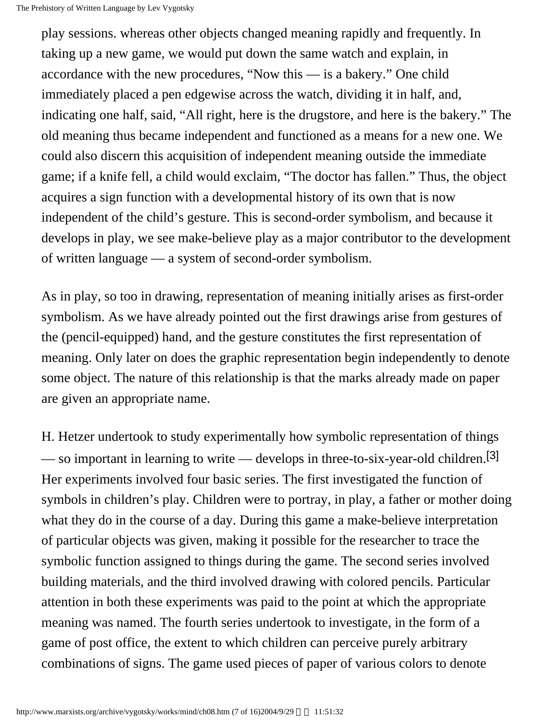play sessions. whereas other objects changed meaning rapidly and frequently. In taking up a new game, we would put down the same watch and explain, in accordance with the new procedures, "Now this — is a bakery." One child immediately placed a pen edgewise across the watch, dividing it in half, and, indicating one half, said, "All right, here is the drugstore, and here is the bakery." The old meaning thus became independent and functioned as a means for a new one. We could also discern this acquisition of independent meaning outside the immediate game; if a knife fell, a child would exclaim, "The doctor has fallen." Thus, the object acquires a sign function with a developmental history of its own that is now independent of the child's gesture. This is second-order symbolism, and because it develops in play, we see make-believe play as a major contributor to the development of written language — a system of second-order symbolism.

As in play, so too in drawing, representation of meaning initially arises as first-order symbolism. As we have already pointed out the first drawings arise from gestures of the (pencil-equipped) hand, and the gesture constitutes the first representation of meaning. Only later on does the graphic representation begin independently to denote some object. The nature of this relationship is that the marks already made on paper are given an appropriate name.

H. Hetzer undertook to study experimentally how symbolic representation of things — so important in learning to write — develops in three-to-six-year-old children.<sup>[3]</sup> Her experiments involved four basic series. The first investigated the function of symbols in children's play. Children were to portray, in play, a father or mother doing what they do in the course of a day. During this game a make-believe interpretation of particular objects was given, making it possible for the researcher to trace the symbolic function assigned to things during the game. The second series involved building materials, and the third involved drawing with colored pencils. Particular attention in both these experiments was paid to the point at which the appropriate meaning was named. The fourth series undertook to investigate, in the form of a game of post office, the extent to which children can perceive purely arbitrary combinations of signs. The game used pieces of paper of various colors to denote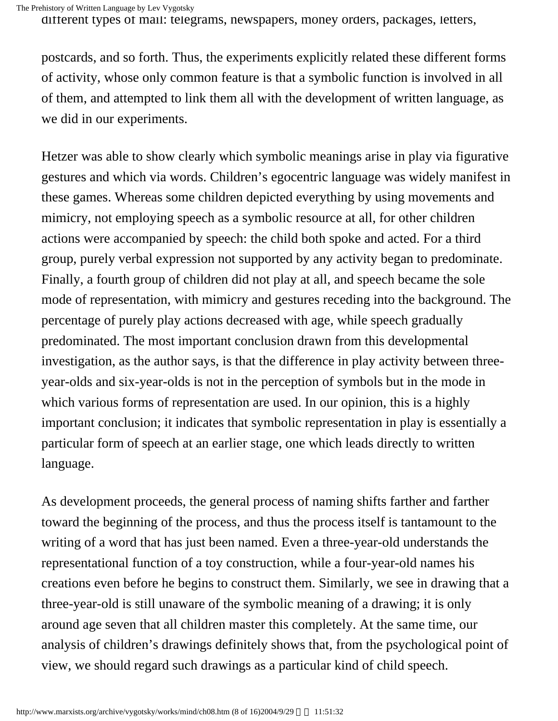different types of mail: telegrams, newspapers, money orders, packages, letters,

postcards, and so forth. Thus, the experiments explicitly related these different forms of activity, whose only common feature is that a symbolic function is involved in all of them, and attempted to link them all with the development of written language, as we did in our experiments.

Hetzer was able to show clearly which symbolic meanings arise in play via figurative gestures and which via words. Children's egocentric language was widely manifest in these games. Whereas some children depicted everything by using movements and mimicry, not employing speech as a symbolic resource at all, for other children actions were accompanied by speech: the child both spoke and acted. For a third group, purely verbal expression not supported by any activity began to predominate. Finally, a fourth group of children did not play at all, and speech became the sole mode of representation, with mimicry and gestures receding into the background. The percentage of purely play actions decreased with age, while speech gradually predominated. The most important conclusion drawn from this developmental investigation, as the author says, is that the difference in play activity between threeyear-olds and six-year-olds is not in the perception of symbols but in the mode in which various forms of representation are used. In our opinion, this is a highly important conclusion; it indicates that symbolic representation in play is essentially a particular form of speech at an earlier stage, one which leads directly to written language.

As development proceeds, the general process of naming shifts farther and farther toward the beginning of the process, and thus the process itself is tantamount to the writing of a word that has just been named. Even a three-year-old understands the representational function of a toy construction, while a four-year-old names his creations even before he begins to construct them. Similarly, we see in drawing that a three-year-old is still unaware of the symbolic meaning of a drawing; it is only around age seven that all children master this completely. At the same time, our analysis of children's drawings definitely shows that, from the psychological point of view, we should regard such drawings as a particular kind of child speech.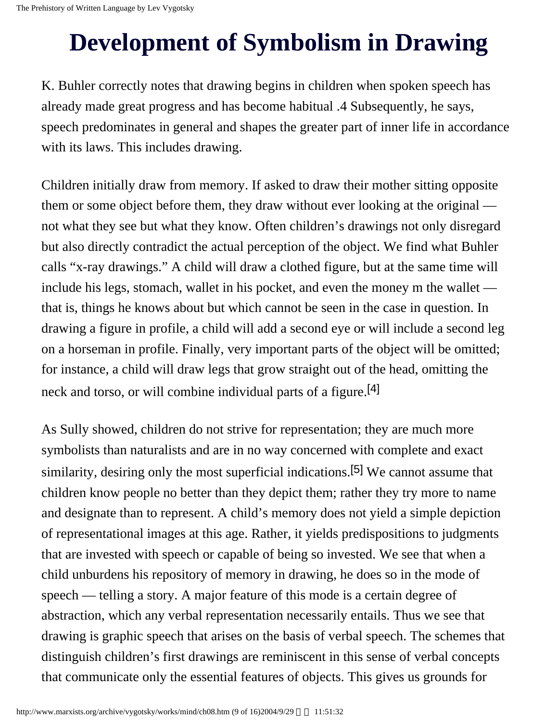# **Development of Symbolism in Drawing**

K. Buhler correctly notes that drawing begins in children when spoken speech has already made great progress and has become habitual .4 Subsequently, he says, speech predominates in general and shapes the greater part of inner life in accordance with its laws. This includes drawing.

Children initially draw from memory. If asked to draw their mother sitting opposite them or some object before them, they draw without ever looking at the original not what they see but what they know. Often children's drawings not only disregard but also directly contradict the actual perception of the object. We find what Buhler calls "x-ray drawings." A child will draw a clothed figure, but at the same time will include his legs, stomach, wallet in his pocket, and even the money m the wallet that is, things he knows about but which cannot be seen in the case in question. In drawing a figure in profile, a child will add a second eye or will include a second leg on a horseman in profile. Finally, very important parts of the object will be omitted; for instance, a child will draw legs that grow straight out of the head, omitting the neck and torso, or will combine individual parts of a figure.[4]

As Sully showed, children do not strive for representation; they are much more symbolists than naturalists and are in no way concerned with complete and exact similarity, desiring only the most superficial indications.[5] We cannot assume that children know people no better than they depict them; rather they try more to name and designate than to represent. A child's memory does not yield a simple depiction of representational images at this age. Rather, it yields predispositions to judgments that are invested with speech or capable of being so invested. We see that when a child unburdens his repository of memory in drawing, he does so in the mode of speech — telling a story. A major feature of this mode is a certain degree of abstraction, which any verbal representation necessarily entails. Thus we see that drawing is graphic speech that arises on the basis of verbal speech. The schemes that distinguish children's first drawings are reminiscent in this sense of verbal concepts that communicate only the essential features of objects. This gives us grounds for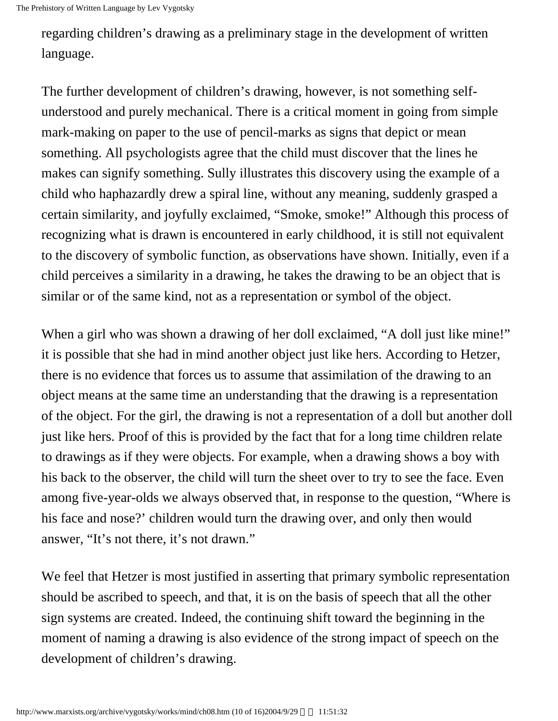The Prehistory of Written Language by Lev Vygotsky

regarding children's drawing as a preliminary stage in the development of written language.

The further development of children's drawing, however, is not something selfunderstood and purely mechanical. There is a critical moment in going from simple mark-making on paper to the use of pencil-marks as signs that depict or mean something. All psychologists agree that the child must discover that the lines he makes can signify something. Sully illustrates this discovery using the example of a child who haphazardly drew a spiral line, without any meaning, suddenly grasped a certain similarity, and joyfully exclaimed, "Smoke, smoke!" Although this process of recognizing what is drawn is encountered in early childhood, it is still not equivalent to the discovery of symbolic function, as observations have shown. Initially, even if a child perceives a similarity in a drawing, he takes the drawing to be an object that is similar or of the same kind, not as a representation or symbol of the object.

When a girl who was shown a drawing of her doll exclaimed, "A doll just like mine!" it is possible that she had in mind another object just like hers. According to Hetzer, there is no evidence that forces us to assume that assimilation of the drawing to an object means at the same time an understanding that the drawing is a representation of the object. For the girl, the drawing is not a representation of a doll but another doll just like hers. Proof of this is provided by the fact that for a long time children relate to drawings as if they were objects. For example, when a drawing shows a boy with his back to the observer, the child will turn the sheet over to try to see the face. Even among five-year-olds we always observed that, in response to the question, "Where is his face and nose?' children would turn the drawing over, and only then would answer, "It's not there, it's not drawn."

We feel that Hetzer is most justified in asserting that primary symbolic representation should be ascribed to speech, and that, it is on the basis of speech that all the other sign systems are created. Indeed, the continuing shift toward the beginning in the moment of naming a drawing is also evidence of the strong impact of speech on the development of children's drawing.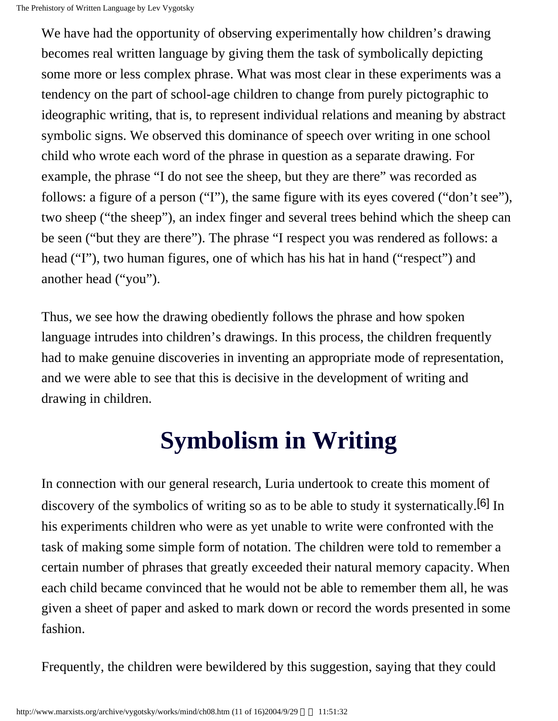We have had the opportunity of observing experimentally how children's drawing becomes real written language by giving them the task of symbolically depicting some more or less complex phrase. What was most clear in these experiments was a tendency on the part of school-age children to change from purely pictographic to ideographic writing, that is, to represent individual relations and meaning by abstract symbolic signs. We observed this dominance of speech over writing in one school child who wrote each word of the phrase in question as a separate drawing. For example, the phrase "I do not see the sheep, but they are there" was recorded as follows: a figure of a person ("I"), the same figure with its eyes covered ("don't see"), two sheep ("the sheep"), an index finger and several trees behind which the sheep can be seen ("but they are there"). The phrase "I respect you was rendered as follows: a head ("I"), two human figures, one of which has his hat in hand ("respect") and another head ("you").

Thus, we see how the drawing obediently follows the phrase and how spoken language intrudes into children's drawings. In this process, the children frequently had to make genuine discoveries in inventing an appropriate mode of representation, and we were able to see that this is decisive in the development of writing and drawing in children.

## **Symbolism in Writing**

In connection with our general research, Luria undertook to create this moment of discovery of the symbolics of writing so as to be able to study it systernatically.<sup>[6]</sup> In his experiments children who were as yet unable to write were confronted with the task of making some simple form of notation. The children were told to remember a certain number of phrases that greatly exceeded their natural memory capacity. When each child became convinced that he would not be able to remember them all, he was given a sheet of paper and asked to mark down or record the words presented in some fashion.

Frequently, the children were bewildered by this suggestion, saying that they could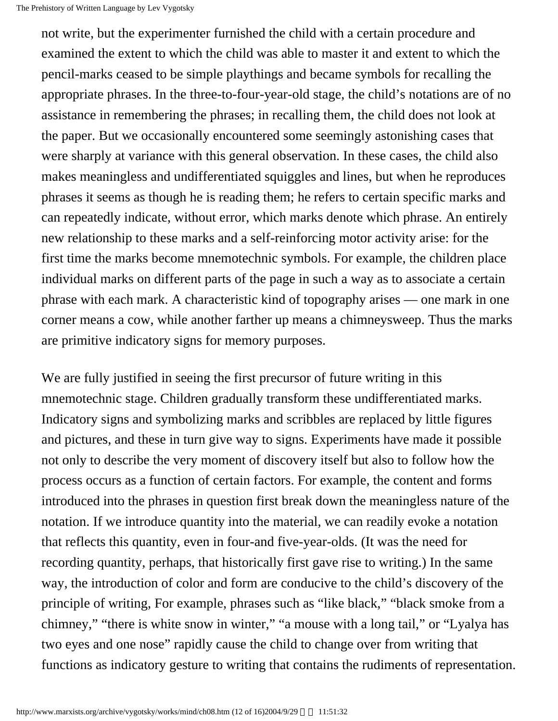not write, but the experimenter furnished the child with a certain procedure and examined the extent to which the child was able to master it and extent to which the pencil-marks ceased to be simple playthings and became symbols for recalling the appropriate phrases. In the three-to-four-year-old stage, the child's notations are of no assistance in remembering the phrases; in recalling them, the child does not look at the paper. But we occasionally encountered some seemingly astonishing cases that were sharply at variance with this general observation. In these cases, the child also makes meaningless and undifferentiated squiggles and lines, but when he reproduces phrases it seems as though he is reading them; he refers to certain specific marks and can repeatedly indicate, without error, which marks denote which phrase. An entirely new relationship to these marks and a self-reinforcing motor activity arise: for the first time the marks become mnemotechnic symbols. For example, the children place individual marks on different parts of the page in such a way as to associate a certain phrase with each mark. A characteristic kind of topography arises — one mark in one corner means a cow, while another farther up means a chimneysweep. Thus the marks are primitive indicatory signs for memory purposes.

We are fully justified in seeing the first precursor of future writing in this mnemotechnic stage. Children gradually transform these undifferentiated marks. Indicatory signs and symbolizing marks and scribbles are replaced by little figures and pictures, and these in turn give way to signs. Experiments have made it possible not only to describe the very moment of discovery itself but also to follow how the process occurs as a function of certain factors. For example, the content and forms introduced into the phrases in question first break down the meaningless nature of the notation. If we introduce quantity into the material, we can readily evoke a notation that reflects this quantity, even in four-and five-year-olds. (It was the need for recording quantity, perhaps, that historically first gave rise to writing.) In the same way, the introduction of color and form are conducive to the child's discovery of the principle of writing, For example, phrases such as "like black," "black smoke from a chimney," "there is white snow in winter," "a mouse with a long tail," or "Lyalya has two eyes and one nose" rapidly cause the child to change over from writing that functions as indicatory gesture to writing that contains the rudiments of representation.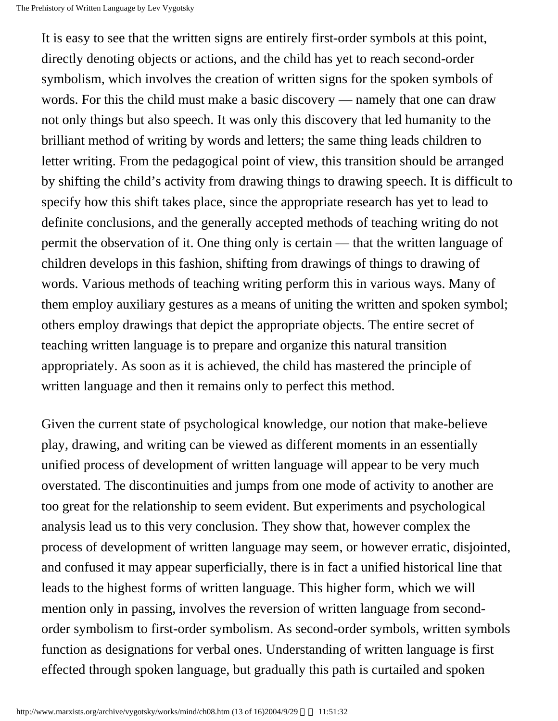It is easy to see that the written signs are entirely first-order symbols at this point, directly denoting objects or actions, and the child has yet to reach second-order symbolism, which involves the creation of written signs for the spoken symbols of words. For this the child must make a basic discovery — namely that one can draw not only things but also speech. It was only this discovery that led humanity to the brilliant method of writing by words and letters; the same thing leads children to letter writing. From the pedagogical point of view, this transition should be arranged by shifting the child's activity from drawing things to drawing speech. It is difficult to specify how this shift takes place, since the appropriate research has yet to lead to definite conclusions, and the generally accepted methods of teaching writing do not permit the observation of it. One thing only is certain — that the written language of children develops in this fashion, shifting from drawings of things to drawing of words. Various methods of teaching writing perform this in various ways. Many of them employ auxiliary gestures as a means of uniting the written and spoken symbol; others employ drawings that depict the appropriate objects. The entire secret of teaching written language is to prepare and organize this natural transition appropriately. As soon as it is achieved, the child has mastered the principle of written language and then it remains only to perfect this method.

Given the current state of psychological knowledge, our notion that make-believe play, drawing, and writing can be viewed as different moments in an essentially unified process of development of written language will appear to be very much overstated. The discontinuities and jumps from one mode of activity to another are too great for the relationship to seem evident. But experiments and psychological analysis lead us to this very conclusion. They show that, however complex the process of development of written language may seem, or however erratic, disjointed, and confused it may appear superficially, there is in fact a unified historical line that leads to the highest forms of written language. This higher form, which we will mention only in passing, involves the reversion of written language from secondorder symbolism to first-order symbolism. As second-order symbols, written symbols function as designations for verbal ones. Understanding of written language is first effected through spoken language, but gradually this path is curtailed and spoken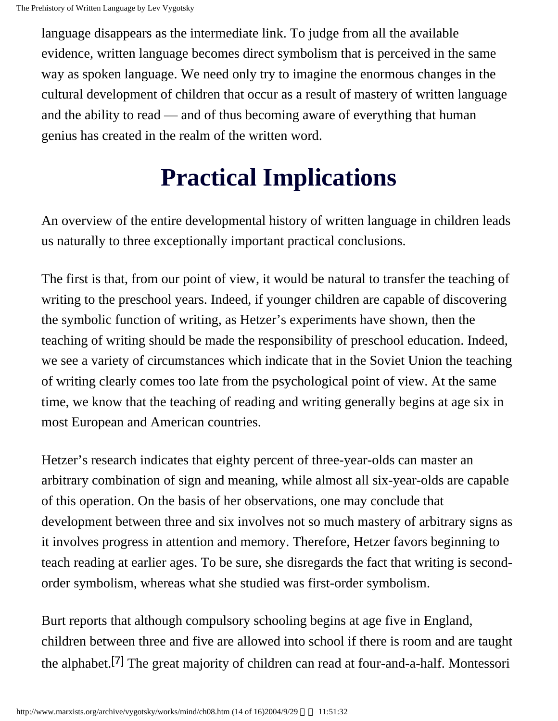language disappears as the intermediate link. To judge from all the available evidence, written language becomes direct symbolism that is perceived in the same way as spoken language. We need only try to imagine the enormous changes in the cultural development of children that occur as a result of mastery of written language and the ability to read — and of thus becoming aware of everything that human genius has created in the realm of the written word.

## **Practical Implications**

An overview of the entire developmental history of written language in children leads us naturally to three exceptionally important practical conclusions.

The first is that, from our point of view, it would be natural to transfer the teaching of writing to the preschool years. Indeed, if younger children are capable of discovering the symbolic function of writing, as Hetzer's experiments have shown, then the teaching of writing should be made the responsibility of preschool education. Indeed, we see a variety of circumstances which indicate that in the Soviet Union the teaching of writing clearly comes too late from the psychological point of view. At the same time, we know that the teaching of reading and writing generally begins at age six in most European and American countries.

Hetzer's research indicates that eighty percent of three-year-olds can master an arbitrary combination of sign and meaning, while almost all six-year-olds are capable of this operation. On the basis of her observations, one may conclude that development between three and six involves not so much mastery of arbitrary signs as it involves progress in attention and memory. Therefore, Hetzer favors beginning to teach reading at earlier ages. To be sure, she disregards the fact that writing is secondorder symbolism, whereas what she studied was first-order symbolism.

Burt reports that although compulsory schooling begins at age five in England, children between three and five are allowed into school if there is room and are taught the alphabet.[7] The great majority of children can read at four-and-a-half. Montessori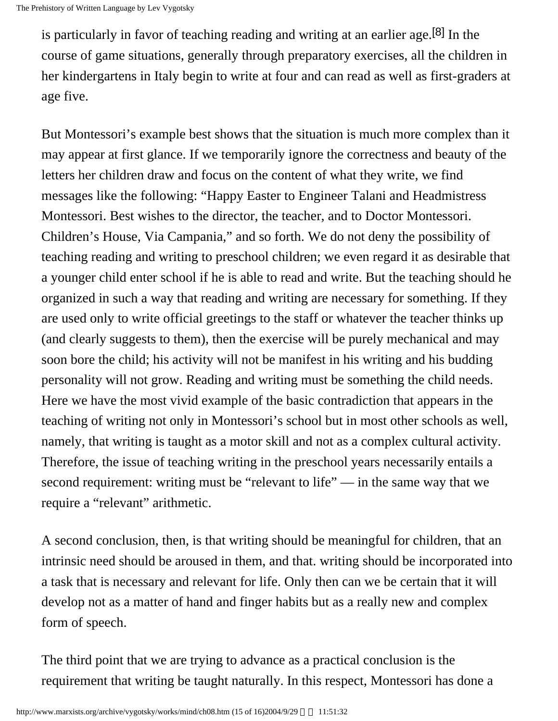is particularly in favor of teaching reading and writing at an earlier age.[8] In the course of game situations, generally through preparatory exercises, all the children in her kindergartens in Italy begin to write at four and can read as well as first-graders at age five.

But Montessori's example best shows that the situation is much more complex than it may appear at first glance. If we temporarily ignore the correctness and beauty of the letters her children draw and focus on the content of what they write, we find messages like the following: "Happy Easter to Engineer Talani and Headmistress Montessori. Best wishes to the director, the teacher, and to Doctor Montessori. Children's House, Via Campania," and so forth. We do not deny the possibility of teaching reading and writing to preschool children; we even regard it as desirable that a younger child enter school if he is able to read and write. But the teaching should he organized in such a way that reading and writing are necessary for something. If they are used only to write official greetings to the staff or whatever the teacher thinks up (and clearly suggests to them), then the exercise will be purely mechanical and may soon bore the child; his activity will not be manifest in his writing and his budding personality will not grow. Reading and writing must be something the child needs. Here we have the most vivid example of the basic contradiction that appears in the teaching of writing not only in Montessori's school but in most other schools as well, namely, that writing is taught as a motor skill and not as a complex cultural activity. Therefore, the issue of teaching writing in the preschool years necessarily entails a second requirement: writing must be "relevant to life" — in the same way that we require a "relevant" arithmetic.

A second conclusion, then, is that writing should be meaningful for children, that an intrinsic need should be aroused in them, and that. writing should be incorporated into a task that is necessary and relevant for life. Only then can we be certain that it will develop not as a matter of hand and finger habits but as a really new and complex form of speech.

The third point that we are trying to advance as a practical conclusion is the requirement that writing be taught naturally. In this respect, Montessori has done a